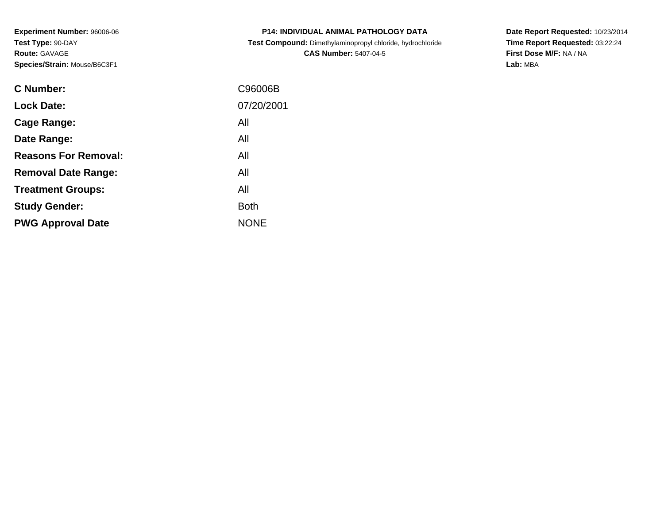**Experiment Number:** 96006-06**Test Type:** 90-DAY**Route:** GAVAGE**Species/Strain:** Mouse/B6C3F1

| <b>P14: INDIVIDUAL ANIMAL PATHOLOGY DATA</b>               |
|------------------------------------------------------------|
| Test Compound: Dimethylaminopropyl chloride, hydrochloride |
| <b>CAS Number: 5407-04-5</b>                               |

**Date Report Requested:** 10/23/2014 **Time Report Requested:** 03:22:24**First Dose M/F:** NA / NA**Lab:** MBA

| C Number:                   | C96006B     |
|-----------------------------|-------------|
| <b>Lock Date:</b>           | 07/20/2001  |
| Cage Range:                 | All         |
| Date Range:                 | All         |
| <b>Reasons For Removal:</b> | All         |
| <b>Removal Date Range:</b>  | All         |
| <b>Treatment Groups:</b>    | All         |
| <b>Study Gender:</b>        | <b>Both</b> |
| <b>PWG Approval Date</b>    | <b>NONE</b> |
|                             |             |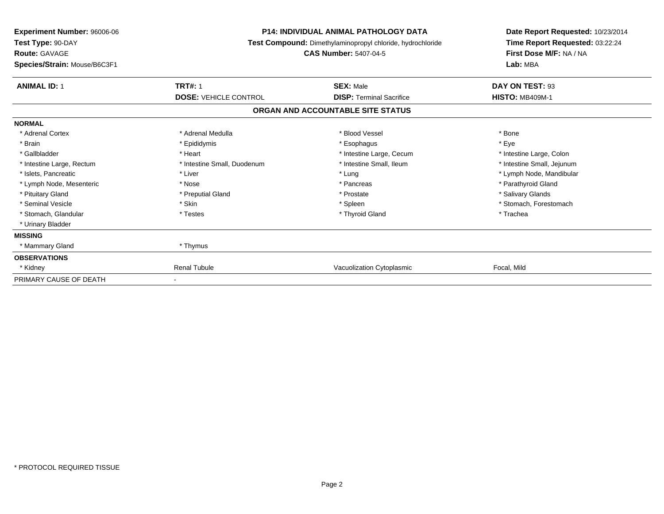| <b>Experiment Number: 96006-06</b><br>Test Type: 90-DAY<br><b>Route: GAVAGE</b> | <b>P14: INDIVIDUAL ANIMAL PATHOLOGY DATA</b><br>Test Compound: Dimethylaminopropyl chloride, hydrochloride<br><b>CAS Number: 5407-04-5</b> |                                   | Date Report Requested: 10/23/2014<br>Time Report Requested: 03:22:24<br>First Dose M/F: NA / NA |  |
|---------------------------------------------------------------------------------|--------------------------------------------------------------------------------------------------------------------------------------------|-----------------------------------|-------------------------------------------------------------------------------------------------|--|
| Species/Strain: Mouse/B6C3F1                                                    |                                                                                                                                            |                                   | Lab: MBA                                                                                        |  |
| <b>ANIMAL ID: 1</b>                                                             | <b>TRT#: 1</b>                                                                                                                             | <b>SEX: Male</b>                  | DAY ON TEST: 93                                                                                 |  |
|                                                                                 | <b>DOSE: VEHICLE CONTROL</b>                                                                                                               | <b>DISP: Terminal Sacrifice</b>   | <b>HISTO: MB409M-1</b>                                                                          |  |
|                                                                                 |                                                                                                                                            | ORGAN AND ACCOUNTABLE SITE STATUS |                                                                                                 |  |
| <b>NORMAL</b>                                                                   |                                                                                                                                            |                                   |                                                                                                 |  |
| * Adrenal Cortex                                                                | * Adrenal Medulla                                                                                                                          | * Blood Vessel                    | * Bone                                                                                          |  |
| * Brain                                                                         | * Epididymis                                                                                                                               | * Esophagus                       | * Eve                                                                                           |  |
| * Gallbladder                                                                   | * Heart                                                                                                                                    | * Intestine Large, Cecum          | * Intestine Large, Colon                                                                        |  |
| * Intestine Large, Rectum                                                       | * Intestine Small, Duodenum                                                                                                                | * Intestine Small, Ileum          | * Intestine Small, Jejunum                                                                      |  |
| * Islets, Pancreatic                                                            | * Liver                                                                                                                                    | * Lung                            | * Lymph Node, Mandibular                                                                        |  |
| * Lymph Node, Mesenteric                                                        | * Nose                                                                                                                                     | * Pancreas                        | * Parathyroid Gland                                                                             |  |
| * Pituitary Gland                                                               | * Preputial Gland                                                                                                                          | * Prostate                        | * Salivary Glands                                                                               |  |
| * Seminal Vesicle                                                               | * Skin                                                                                                                                     | * Spleen                          | * Stomach, Forestomach                                                                          |  |
| * Stomach, Glandular                                                            | * Testes                                                                                                                                   | * Thyroid Gland                   | * Trachea                                                                                       |  |
| * Urinary Bladder                                                               |                                                                                                                                            |                                   |                                                                                                 |  |
| <b>MISSING</b>                                                                  |                                                                                                                                            |                                   |                                                                                                 |  |
| * Mammary Gland                                                                 | * Thymus                                                                                                                                   |                                   |                                                                                                 |  |
| <b>OBSERVATIONS</b>                                                             |                                                                                                                                            |                                   |                                                                                                 |  |
| * Kidney                                                                        | <b>Renal Tubule</b>                                                                                                                        | Vacuolization Cytoplasmic         | Focal, Mild                                                                                     |  |
| PRIMARY CAUSE OF DEATH                                                          |                                                                                                                                            |                                   |                                                                                                 |  |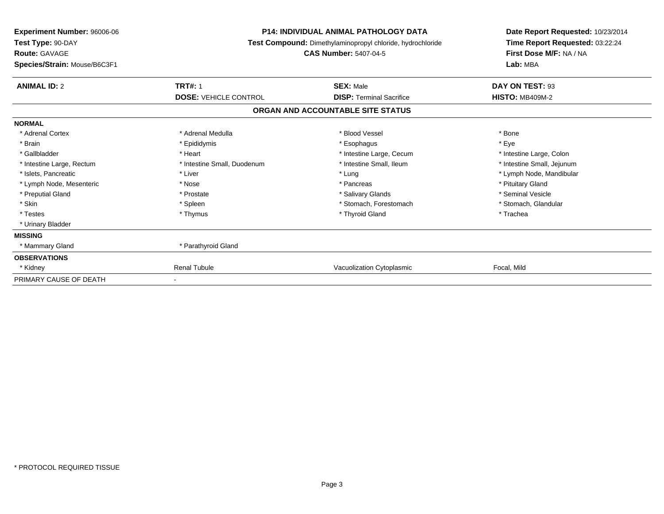| <b>Experiment Number: 96006-06</b><br>Test Type: 90-DAY<br><b>Route: GAVAGE</b> | <b>P14: INDIVIDUAL ANIMAL PATHOLOGY DATA</b><br>Test Compound: Dimethylaminopropyl chloride, hydrochloride<br><b>CAS Number: 5407-04-5</b> |                                   | Date Report Requested: 10/23/2014<br>Time Report Requested: 03:22:24<br>First Dose M/F: NA / NA |  |
|---------------------------------------------------------------------------------|--------------------------------------------------------------------------------------------------------------------------------------------|-----------------------------------|-------------------------------------------------------------------------------------------------|--|
| Species/Strain: Mouse/B6C3F1                                                    |                                                                                                                                            |                                   | Lab: MBA                                                                                        |  |
| <b>ANIMAL ID: 2</b>                                                             | <b>TRT#: 1</b>                                                                                                                             | <b>SEX: Male</b>                  | DAY ON TEST: 93                                                                                 |  |
|                                                                                 | <b>DOSE: VEHICLE CONTROL</b>                                                                                                               | <b>DISP: Terminal Sacrifice</b>   | <b>HISTO: MB409M-2</b>                                                                          |  |
|                                                                                 |                                                                                                                                            | ORGAN AND ACCOUNTABLE SITE STATUS |                                                                                                 |  |
| <b>NORMAL</b>                                                                   |                                                                                                                                            |                                   |                                                                                                 |  |
| * Adrenal Cortex                                                                | * Adrenal Medulla                                                                                                                          | * Blood Vessel                    | * Bone                                                                                          |  |
| * Brain                                                                         | * Epididymis                                                                                                                               | * Esophagus                       | * Eve                                                                                           |  |
| * Gallbladder                                                                   | * Heart                                                                                                                                    | * Intestine Large, Cecum          | * Intestine Large, Colon                                                                        |  |
| * Intestine Large, Rectum                                                       | * Intestine Small, Duodenum                                                                                                                | * Intestine Small, Ileum          | * Intestine Small, Jejunum                                                                      |  |
| * Islets, Pancreatic                                                            | * Liver                                                                                                                                    | * Lung                            | * Lymph Node, Mandibular                                                                        |  |
| * Lymph Node, Mesenteric                                                        | * Nose                                                                                                                                     | * Pancreas                        | * Pituitary Gland                                                                               |  |
| * Preputial Gland                                                               | * Prostate                                                                                                                                 | * Salivary Glands                 | * Seminal Vesicle                                                                               |  |
| * Skin                                                                          | * Spleen                                                                                                                                   | * Stomach, Forestomach            | * Stomach, Glandular                                                                            |  |
| * Testes                                                                        | * Thymus                                                                                                                                   | * Thyroid Gland                   | * Trachea                                                                                       |  |
| * Urinary Bladder                                                               |                                                                                                                                            |                                   |                                                                                                 |  |
| <b>MISSING</b>                                                                  |                                                                                                                                            |                                   |                                                                                                 |  |
| * Mammary Gland                                                                 | * Parathyroid Gland                                                                                                                        |                                   |                                                                                                 |  |
| <b>OBSERVATIONS</b>                                                             |                                                                                                                                            |                                   |                                                                                                 |  |
| * Kidney                                                                        | <b>Renal Tubule</b>                                                                                                                        | Vacuolization Cytoplasmic         | Focal, Mild                                                                                     |  |
| PRIMARY CAUSE OF DEATH                                                          |                                                                                                                                            |                                   |                                                                                                 |  |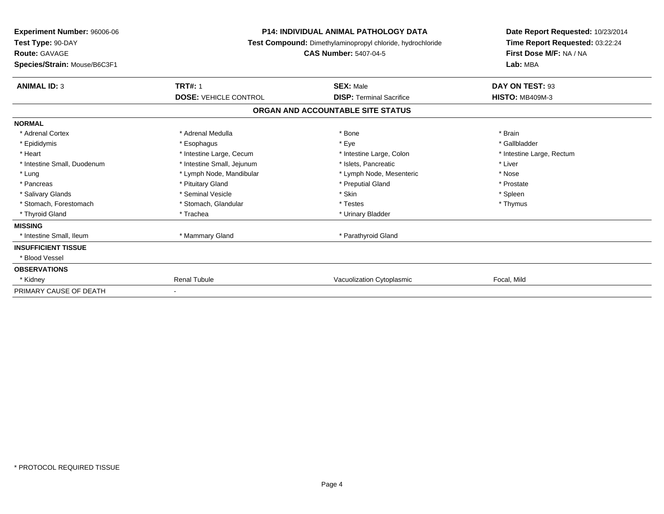| Experiment Number: 96006-06<br>Test Type: 90-DAY<br><b>Route: GAVAGE</b><br>Species/Strain: Mouse/B6C3F1 | <b>P14: INDIVIDUAL ANIMAL PATHOLOGY DATA</b><br>Test Compound: Dimethylaminopropyl chloride, hydrochloride<br><b>CAS Number: 5407-04-5</b> |                                   | Date Report Requested: 10/23/2014<br>Time Report Requested: 03:22:24<br>First Dose M/F: NA / NA<br>Lab: MBA |
|----------------------------------------------------------------------------------------------------------|--------------------------------------------------------------------------------------------------------------------------------------------|-----------------------------------|-------------------------------------------------------------------------------------------------------------|
| <b>ANIMAL ID: 3</b>                                                                                      | <b>TRT#: 1</b>                                                                                                                             | <b>SEX: Male</b>                  | DAY ON TEST: 93                                                                                             |
|                                                                                                          | <b>DOSE: VEHICLE CONTROL</b>                                                                                                               | <b>DISP:</b> Terminal Sacrifice   | <b>HISTO: MB409M-3</b>                                                                                      |
|                                                                                                          |                                                                                                                                            | ORGAN AND ACCOUNTABLE SITE STATUS |                                                                                                             |
| <b>NORMAL</b>                                                                                            |                                                                                                                                            |                                   |                                                                                                             |
| * Adrenal Cortex                                                                                         | * Adrenal Medulla                                                                                                                          | * Bone                            | * Brain                                                                                                     |
| * Epididymis                                                                                             | * Esophagus                                                                                                                                | * Eye                             | * Gallbladder                                                                                               |
| * Heart                                                                                                  | * Intestine Large, Cecum                                                                                                                   | * Intestine Large, Colon          | * Intestine Large, Rectum                                                                                   |
| * Intestine Small, Duodenum                                                                              | * Intestine Small, Jejunum                                                                                                                 | * Islets. Pancreatic              | * Liver                                                                                                     |
| * Lung                                                                                                   | * Lymph Node, Mandibular                                                                                                                   | * Lymph Node, Mesenteric          | * Nose                                                                                                      |
| * Pancreas                                                                                               | * Pituitary Gland                                                                                                                          | * Preputial Gland                 | * Prostate                                                                                                  |
| * Salivary Glands                                                                                        | * Seminal Vesicle                                                                                                                          | * Skin                            | * Spleen                                                                                                    |
| * Stomach, Forestomach                                                                                   | * Stomach, Glandular                                                                                                                       | * Testes                          | * Thymus                                                                                                    |
| * Thyroid Gland                                                                                          | * Trachea                                                                                                                                  | * Urinary Bladder                 |                                                                                                             |
| <b>MISSING</b>                                                                                           |                                                                                                                                            |                                   |                                                                                                             |
| * Intestine Small, Ileum                                                                                 | * Mammary Gland                                                                                                                            | * Parathyroid Gland               |                                                                                                             |
| <b>INSUFFICIENT TISSUE</b>                                                                               |                                                                                                                                            |                                   |                                                                                                             |
| <b>Blood Vessel</b>                                                                                      |                                                                                                                                            |                                   |                                                                                                             |
| <b>OBSERVATIONS</b>                                                                                      |                                                                                                                                            |                                   |                                                                                                             |
| * Kidney                                                                                                 | <b>Renal Tubule</b>                                                                                                                        | Vacuolization Cytoplasmic         | Focal, Mild                                                                                                 |
| PRIMARY CAUSE OF DEATH                                                                                   |                                                                                                                                            |                                   |                                                                                                             |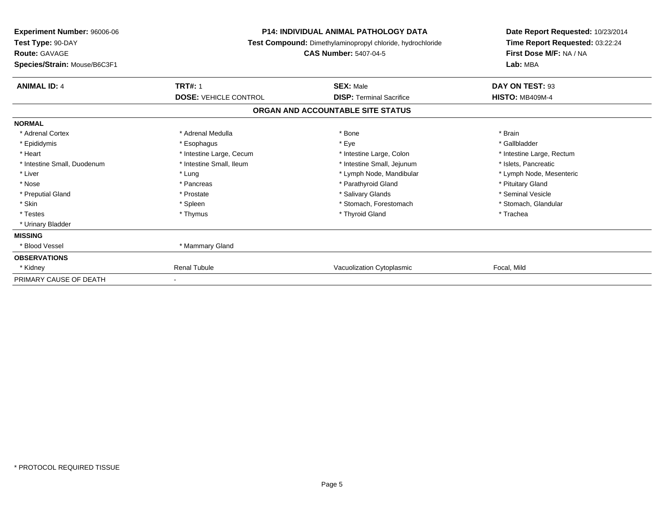| <b>Experiment Number: 96006-06</b><br>Test Type: 90-DAY<br><b>Route: GAVAGE</b><br>Species/Strain: Mouse/B6C3F1 | <b>P14: INDIVIDUAL ANIMAL PATHOLOGY DATA</b><br>Test Compound: Dimethylaminopropyl chloride, hydrochloride<br><b>CAS Number: 5407-04-5</b> |                                   | Date Report Requested: 10/23/2014<br>Time Report Requested: 03:22:24<br>First Dose M/F: NA / NA<br>Lab: MBA |
|-----------------------------------------------------------------------------------------------------------------|--------------------------------------------------------------------------------------------------------------------------------------------|-----------------------------------|-------------------------------------------------------------------------------------------------------------|
| <b>ANIMAL ID: 4</b>                                                                                             | <b>TRT#: 1</b>                                                                                                                             | <b>SEX: Male</b>                  | DAY ON TEST: 93                                                                                             |
|                                                                                                                 | <b>DOSE: VEHICLE CONTROL</b>                                                                                                               | <b>DISP: Terminal Sacrifice</b>   | <b>HISTO: MB409M-4</b>                                                                                      |
|                                                                                                                 |                                                                                                                                            | ORGAN AND ACCOUNTABLE SITE STATUS |                                                                                                             |
| <b>NORMAL</b>                                                                                                   |                                                                                                                                            |                                   |                                                                                                             |
| * Adrenal Cortex                                                                                                | * Adrenal Medulla                                                                                                                          | * Bone                            | * Brain                                                                                                     |
| * Epididymis                                                                                                    | * Esophagus                                                                                                                                | * Eye                             | * Gallbladder                                                                                               |
| * Heart                                                                                                         | * Intestine Large, Cecum                                                                                                                   | * Intestine Large, Colon          | * Intestine Large, Rectum                                                                                   |
| * Intestine Small, Duodenum                                                                                     | * Intestine Small, Ileum                                                                                                                   | * Intestine Small, Jejunum        | * Islets. Pancreatic                                                                                        |
| * Liver                                                                                                         | * Lung                                                                                                                                     | * Lymph Node, Mandibular          | * Lymph Node, Mesenteric                                                                                    |
| * Nose                                                                                                          | * Pancreas                                                                                                                                 | * Parathyroid Gland               | * Pituitary Gland                                                                                           |
| * Preputial Gland                                                                                               | * Prostate                                                                                                                                 | * Salivary Glands                 | * Seminal Vesicle                                                                                           |
| * Skin                                                                                                          | * Spleen                                                                                                                                   | * Stomach, Forestomach            | * Stomach, Glandular                                                                                        |
| * Testes                                                                                                        | * Thymus                                                                                                                                   | * Thyroid Gland                   | * Trachea                                                                                                   |
| * Urinary Bladder                                                                                               |                                                                                                                                            |                                   |                                                                                                             |
| <b>MISSING</b>                                                                                                  |                                                                                                                                            |                                   |                                                                                                             |
| * Blood Vessel                                                                                                  | * Mammary Gland                                                                                                                            |                                   |                                                                                                             |
| <b>OBSERVATIONS</b>                                                                                             |                                                                                                                                            |                                   |                                                                                                             |
| * Kidney                                                                                                        | <b>Renal Tubule</b>                                                                                                                        | Vacuolization Cytoplasmic         | Focal, Mild                                                                                                 |
| PRIMARY CAUSE OF DEATH                                                                                          |                                                                                                                                            |                                   |                                                                                                             |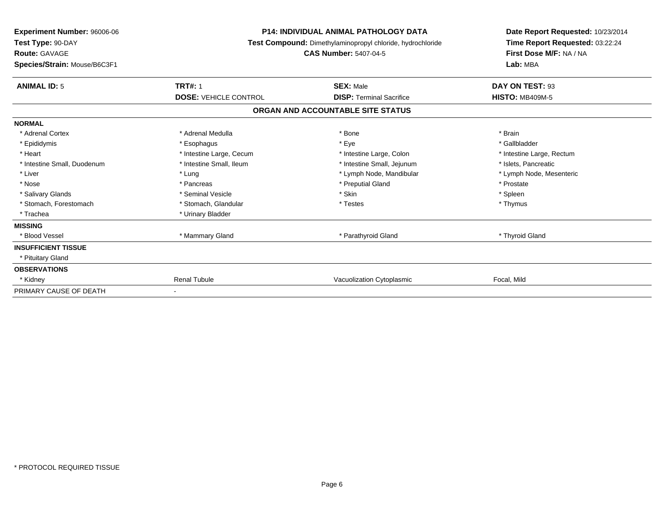| <b>Experiment Number: 96006-06</b><br>Test Type: 90-DAY<br><b>Route: GAVAGE</b><br>Species/Strain: Mouse/B6C3F1 |                              | <b>P14: INDIVIDUAL ANIMAL PATHOLOGY DATA</b><br>Test Compound: Dimethylaminopropyl chloride, hydrochloride<br><b>CAS Number: 5407-04-5</b> |                           |
|-----------------------------------------------------------------------------------------------------------------|------------------------------|--------------------------------------------------------------------------------------------------------------------------------------------|---------------------------|
| <b>ANIMAL ID: 5</b>                                                                                             | <b>TRT#: 1</b>               | <b>SEX: Male</b>                                                                                                                           | DAY ON TEST: 93           |
|                                                                                                                 | <b>DOSE: VEHICLE CONTROL</b> | <b>DISP:</b> Terminal Sacrifice                                                                                                            | <b>HISTO: MB409M-5</b>    |
|                                                                                                                 |                              | ORGAN AND ACCOUNTABLE SITE STATUS                                                                                                          |                           |
| <b>NORMAL</b>                                                                                                   |                              |                                                                                                                                            |                           |
| * Adrenal Cortex                                                                                                | * Adrenal Medulla            | * Bone                                                                                                                                     | * Brain                   |
| * Epididymis                                                                                                    | * Esophagus                  | * Eye                                                                                                                                      | * Gallbladder             |
| * Heart                                                                                                         | * Intestine Large, Cecum     | * Intestine Large, Colon                                                                                                                   | * Intestine Large, Rectum |
| * Intestine Small, Duodenum                                                                                     | * Intestine Small, Ileum     | * Intestine Small, Jejunum                                                                                                                 | * Islets, Pancreatic      |
| * Liver                                                                                                         | * Lung                       | * Lymph Node, Mandibular                                                                                                                   | * Lymph Node, Mesenteric  |
| * Nose                                                                                                          | * Pancreas                   | * Preputial Gland                                                                                                                          | * Prostate                |
| * Salivary Glands                                                                                               | * Seminal Vesicle            | * Skin                                                                                                                                     | * Spleen                  |
| * Stomach, Forestomach                                                                                          | * Stomach, Glandular         | * Testes                                                                                                                                   | * Thymus                  |
| * Trachea                                                                                                       | * Urinary Bladder            |                                                                                                                                            |                           |
| <b>MISSING</b>                                                                                                  |                              |                                                                                                                                            |                           |
| * Blood Vessel                                                                                                  | * Mammary Gland              | * Parathyroid Gland                                                                                                                        | * Thyroid Gland           |
| <b>INSUFFICIENT TISSUE</b>                                                                                      |                              |                                                                                                                                            |                           |
| * Pituitary Gland                                                                                               |                              |                                                                                                                                            |                           |
| <b>OBSERVATIONS</b>                                                                                             |                              |                                                                                                                                            |                           |
| * Kidney                                                                                                        | <b>Renal Tubule</b>          | Vacuolization Cytoplasmic                                                                                                                  | Focal, Mild               |
| PRIMARY CAUSE OF DEATH                                                                                          |                              |                                                                                                                                            |                           |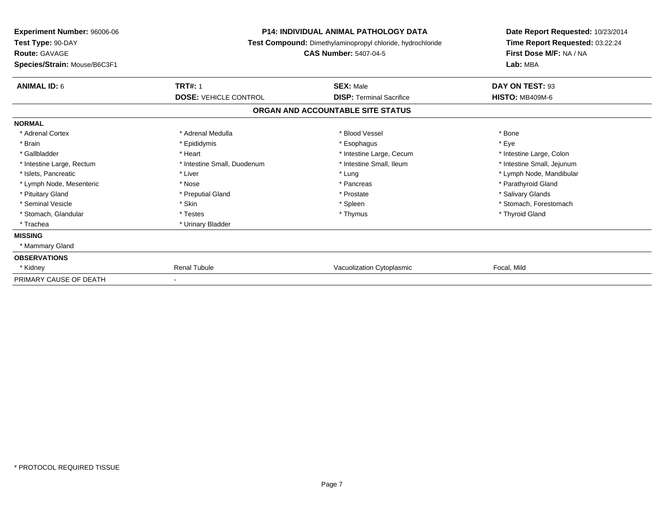| Experiment Number: 96006-06<br>Test Type: 90-DAY<br>Route: GAVAGE | <b>P14: INDIVIDUAL ANIMAL PATHOLOGY DATA</b><br>Test Compound: Dimethylaminopropyl chloride, hydrochloride<br><b>CAS Number: 5407-04-5</b> |                                   | Date Report Requested: 10/23/2014<br>Time Report Requested: 03:22:24<br>First Dose M/F: NA / NA |  |
|-------------------------------------------------------------------|--------------------------------------------------------------------------------------------------------------------------------------------|-----------------------------------|-------------------------------------------------------------------------------------------------|--|
| Species/Strain: Mouse/B6C3F1                                      |                                                                                                                                            |                                   | Lab: MBA                                                                                        |  |
| <b>ANIMAL ID: 6</b>                                               | <b>TRT#: 1</b>                                                                                                                             | <b>SEX: Male</b>                  | DAY ON TEST: 93                                                                                 |  |
|                                                                   | <b>DOSE: VEHICLE CONTROL</b>                                                                                                               | <b>DISP: Terminal Sacrifice</b>   | <b>HISTO: MB409M-6</b>                                                                          |  |
|                                                                   |                                                                                                                                            | ORGAN AND ACCOUNTABLE SITE STATUS |                                                                                                 |  |
| <b>NORMAL</b>                                                     |                                                                                                                                            |                                   |                                                                                                 |  |
| * Adrenal Cortex                                                  | * Adrenal Medulla                                                                                                                          | * Blood Vessel                    | * Bone                                                                                          |  |
| * Brain                                                           | * Epididymis                                                                                                                               | * Esophagus                       | * Eve                                                                                           |  |
| * Gallbladder                                                     | * Heart                                                                                                                                    | * Intestine Large, Cecum          | * Intestine Large, Colon                                                                        |  |
| * Intestine Large, Rectum                                         | * Intestine Small, Duodenum                                                                                                                | * Intestine Small, Ileum          | * Intestine Small, Jejunum                                                                      |  |
| * Islets, Pancreatic                                              | * Liver                                                                                                                                    | * Lung                            | * Lymph Node, Mandibular                                                                        |  |
| * Lymph Node, Mesenteric                                          | * Nose                                                                                                                                     | * Pancreas                        | * Parathyroid Gland                                                                             |  |
| * Pituitary Gland                                                 | * Preputial Gland                                                                                                                          | * Prostate                        | * Salivary Glands                                                                               |  |
| * Seminal Vesicle                                                 | * Skin                                                                                                                                     | * Spleen                          | * Stomach, Forestomach                                                                          |  |
| * Stomach, Glandular                                              | * Testes                                                                                                                                   | * Thymus                          | * Thyroid Gland                                                                                 |  |
| * Trachea                                                         | * Urinary Bladder                                                                                                                          |                                   |                                                                                                 |  |
| <b>MISSING</b>                                                    |                                                                                                                                            |                                   |                                                                                                 |  |
| * Mammary Gland                                                   |                                                                                                                                            |                                   |                                                                                                 |  |
| <b>OBSERVATIONS</b>                                               |                                                                                                                                            |                                   |                                                                                                 |  |
| * Kidney                                                          | <b>Renal Tubule</b>                                                                                                                        | Vacuolization Cytoplasmic         | Focal, Mild                                                                                     |  |
| PRIMARY CAUSE OF DEATH                                            |                                                                                                                                            |                                   |                                                                                                 |  |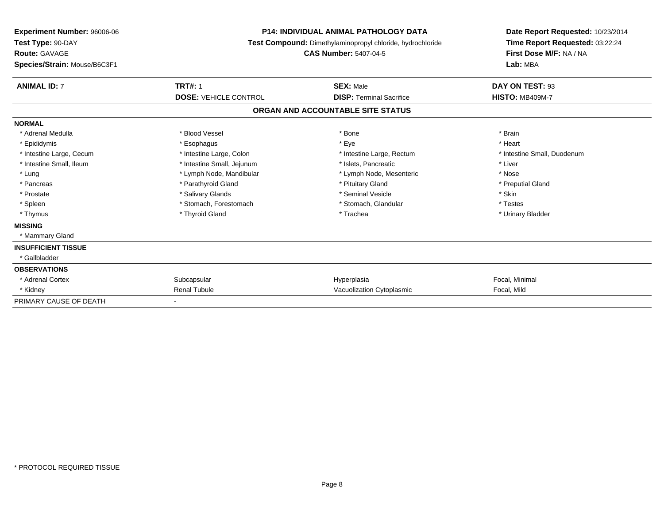| Experiment Number: 96006-06<br>Test Type: 90-DAY<br><b>Route: GAVAGE</b><br>Species/Strain: Mouse/B6C3F1 |                              | <b>P14: INDIVIDUAL ANIMAL PATHOLOGY DATA</b><br><b>Test Compound:</b> Dimethylaminopropyl chloride, hydrochloride<br><b>CAS Number: 5407-04-5</b> | Date Report Requested: 10/23/2014<br>Time Report Requested: 03:22:24<br>First Dose M/F: NA / NA<br>Lab: MBA |
|----------------------------------------------------------------------------------------------------------|------------------------------|---------------------------------------------------------------------------------------------------------------------------------------------------|-------------------------------------------------------------------------------------------------------------|
| <b>ANIMAL ID: 7</b>                                                                                      | <b>TRT#: 1</b>               | <b>SEX: Male</b>                                                                                                                                  | DAY ON TEST: 93                                                                                             |
|                                                                                                          | <b>DOSE: VEHICLE CONTROL</b> | <b>DISP: Terminal Sacrifice</b>                                                                                                                   | <b>HISTO: MB409M-7</b>                                                                                      |
|                                                                                                          |                              | ORGAN AND ACCOUNTABLE SITE STATUS                                                                                                                 |                                                                                                             |
| <b>NORMAL</b>                                                                                            |                              |                                                                                                                                                   |                                                                                                             |
| * Adrenal Medulla                                                                                        | * Blood Vessel               | * Bone                                                                                                                                            | * Brain                                                                                                     |
| * Epididymis                                                                                             | * Esophagus                  | * Eye                                                                                                                                             | * Heart                                                                                                     |
| * Intestine Large, Cecum                                                                                 | * Intestine Large, Colon     | * Intestine Large, Rectum                                                                                                                         | * Intestine Small, Duodenum                                                                                 |
| * Intestine Small, Ileum                                                                                 | * Intestine Small, Jejunum   | * Islets, Pancreatic                                                                                                                              | * Liver                                                                                                     |
| * Lung                                                                                                   | * Lymph Node, Mandibular     | * Lymph Node, Mesenteric                                                                                                                          | * Nose                                                                                                      |
| * Pancreas                                                                                               | * Parathyroid Gland          | * Pituitary Gland                                                                                                                                 | * Preputial Gland                                                                                           |
| * Prostate                                                                                               | * Salivary Glands            | * Seminal Vesicle                                                                                                                                 | * Skin                                                                                                      |
| * Spleen                                                                                                 | * Stomach, Forestomach       | * Stomach, Glandular                                                                                                                              | * Testes                                                                                                    |
| * Thymus                                                                                                 | * Thyroid Gland              | * Trachea                                                                                                                                         | * Urinary Bladder                                                                                           |
| <b>MISSING</b>                                                                                           |                              |                                                                                                                                                   |                                                                                                             |
| * Mammary Gland                                                                                          |                              |                                                                                                                                                   |                                                                                                             |
| <b>INSUFFICIENT TISSUE</b>                                                                               |                              |                                                                                                                                                   |                                                                                                             |
| * Gallbladder                                                                                            |                              |                                                                                                                                                   |                                                                                                             |
| <b>OBSERVATIONS</b>                                                                                      |                              |                                                                                                                                                   |                                                                                                             |
| * Adrenal Cortex                                                                                         | Subcapsular                  | Hyperplasia                                                                                                                                       | Focal, Minimal                                                                                              |
| * Kidney                                                                                                 | <b>Renal Tubule</b>          | Vacuolization Cytoplasmic                                                                                                                         | Focal, Mild                                                                                                 |
| PRIMARY CAUSE OF DEATH                                                                                   | $\overline{\phantom{0}}$     |                                                                                                                                                   |                                                                                                             |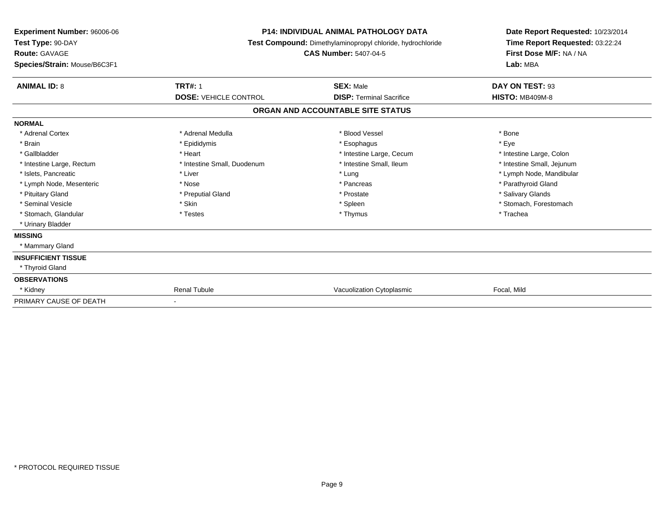| Experiment Number: 96006-06<br>Test Type: 90-DAY<br><b>Route: GAVAGE</b><br>Species/Strain: Mouse/B6C3F1 |                              | <b>P14: INDIVIDUAL ANIMAL PATHOLOGY DATA</b><br><b>Test Compound:</b> Dimethylaminopropyl chloride, hydrochloride<br><b>CAS Number: 5407-04-5</b> |                            |
|----------------------------------------------------------------------------------------------------------|------------------------------|---------------------------------------------------------------------------------------------------------------------------------------------------|----------------------------|
| <b>ANIMAL ID: 8</b>                                                                                      | <b>TRT#: 1</b>               | <b>SEX: Male</b>                                                                                                                                  | DAY ON TEST: 93            |
|                                                                                                          | <b>DOSE: VEHICLE CONTROL</b> | <b>DISP: Terminal Sacrifice</b>                                                                                                                   | <b>HISTO: MB409M-8</b>     |
|                                                                                                          |                              | ORGAN AND ACCOUNTABLE SITE STATUS                                                                                                                 |                            |
| <b>NORMAL</b>                                                                                            |                              |                                                                                                                                                   |                            |
| * Adrenal Cortex                                                                                         | * Adrenal Medulla            | * Blood Vessel                                                                                                                                    | * Bone                     |
| * Brain                                                                                                  | * Epididymis                 | * Esophagus                                                                                                                                       | * Eye                      |
| * Gallbladder                                                                                            | * Heart                      | * Intestine Large, Cecum                                                                                                                          | * Intestine Large, Colon   |
| * Intestine Large, Rectum                                                                                | * Intestine Small, Duodenum  | * Intestine Small, Ileum                                                                                                                          | * Intestine Small, Jejunum |
| * Islets, Pancreatic                                                                                     | * Liver                      | * Lung                                                                                                                                            | * Lymph Node, Mandibular   |
| * Lymph Node, Mesenteric                                                                                 | * Nose                       | * Pancreas                                                                                                                                        | * Parathyroid Gland        |
| * Pituitary Gland                                                                                        | * Preputial Gland            | * Prostate                                                                                                                                        | * Salivary Glands          |
| * Seminal Vesicle                                                                                        | * Skin                       | * Spleen                                                                                                                                          | * Stomach, Forestomach     |
| * Stomach, Glandular                                                                                     | * Testes                     | * Thymus                                                                                                                                          | * Trachea                  |
| * Urinary Bladder                                                                                        |                              |                                                                                                                                                   |                            |
| <b>MISSING</b>                                                                                           |                              |                                                                                                                                                   |                            |
| * Mammary Gland                                                                                          |                              |                                                                                                                                                   |                            |
| <b>INSUFFICIENT TISSUE</b>                                                                               |                              |                                                                                                                                                   |                            |
| * Thyroid Gland                                                                                          |                              |                                                                                                                                                   |                            |
| <b>OBSERVATIONS</b>                                                                                      |                              |                                                                                                                                                   |                            |
| * Kidney                                                                                                 | <b>Renal Tubule</b>          | Vacuolization Cytoplasmic                                                                                                                         | Focal, Mild                |
| PRIMARY CAUSE OF DEATH                                                                                   |                              |                                                                                                                                                   |                            |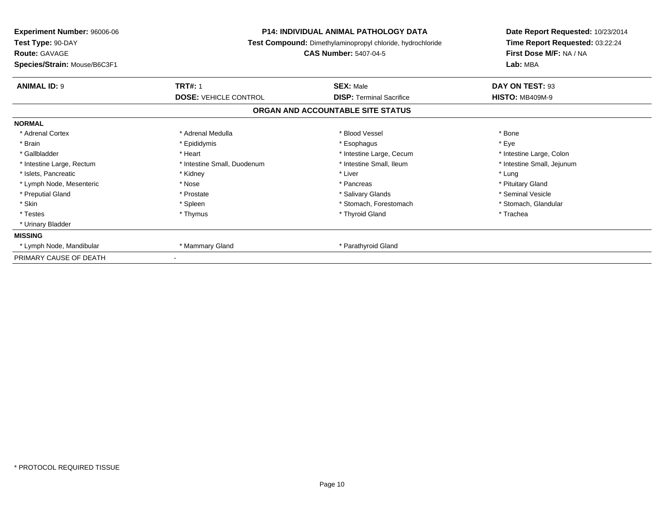| Experiment Number: 96006-06<br>Test Type: 90-DAY<br><b>Route: GAVAGE</b><br>Species/Strain: Mouse/B6C3F1 | <b>P14: INDIVIDUAL ANIMAL PATHOLOGY DATA</b><br>Test Compound: Dimethylaminopropyl chloride, hydrochloride<br><b>CAS Number: 5407-04-5</b> |                                                     | Date Report Requested: 10/23/2014<br>Time Report Requested: 03:22:24<br>First Dose M/F: NA / NA<br>Lab: MBA |  |
|----------------------------------------------------------------------------------------------------------|--------------------------------------------------------------------------------------------------------------------------------------------|-----------------------------------------------------|-------------------------------------------------------------------------------------------------------------|--|
|                                                                                                          |                                                                                                                                            |                                                     |                                                                                                             |  |
| <b>ANIMAL ID: 9</b>                                                                                      | <b>TRT#: 1</b><br><b>DOSE: VEHICLE CONTROL</b>                                                                                             | <b>SEX: Male</b><br><b>DISP:</b> Terminal Sacrifice | DAY ON TEST: 93<br><b>HISTO: MB409M-9</b>                                                                   |  |
|                                                                                                          |                                                                                                                                            | ORGAN AND ACCOUNTABLE SITE STATUS                   |                                                                                                             |  |
| <b>NORMAL</b>                                                                                            |                                                                                                                                            |                                                     |                                                                                                             |  |
| * Adrenal Cortex                                                                                         | * Adrenal Medulla                                                                                                                          | * Blood Vessel                                      | * Bone                                                                                                      |  |
| * Brain                                                                                                  | * Epididymis                                                                                                                               | * Esophagus                                         | * Eye                                                                                                       |  |
| * Gallbladder                                                                                            | * Heart                                                                                                                                    | * Intestine Large, Cecum                            | * Intestine Large, Colon                                                                                    |  |
| * Intestine Large, Rectum                                                                                | * Intestine Small, Duodenum                                                                                                                | * Intestine Small, Ileum                            | * Intestine Small, Jejunum                                                                                  |  |
| * Islets, Pancreatic                                                                                     | * Kidney                                                                                                                                   | * Liver                                             | * Lung                                                                                                      |  |
| * Lymph Node, Mesenteric                                                                                 | * Nose                                                                                                                                     | * Pancreas                                          | * Pituitary Gland                                                                                           |  |
| * Preputial Gland                                                                                        | * Prostate                                                                                                                                 | * Salivary Glands                                   | * Seminal Vesicle                                                                                           |  |
| * Skin                                                                                                   | * Spleen                                                                                                                                   | * Stomach, Forestomach                              | * Stomach, Glandular                                                                                        |  |
| * Testes                                                                                                 | * Thymus                                                                                                                                   | * Thyroid Gland                                     | * Trachea                                                                                                   |  |
| * Urinary Bladder                                                                                        |                                                                                                                                            |                                                     |                                                                                                             |  |
| <b>MISSING</b>                                                                                           |                                                                                                                                            |                                                     |                                                                                                             |  |
| * Lymph Node, Mandibular                                                                                 | * Mammary Gland                                                                                                                            | * Parathyroid Gland                                 |                                                                                                             |  |
| PRIMARY CAUSE OF DEATH                                                                                   |                                                                                                                                            |                                                     |                                                                                                             |  |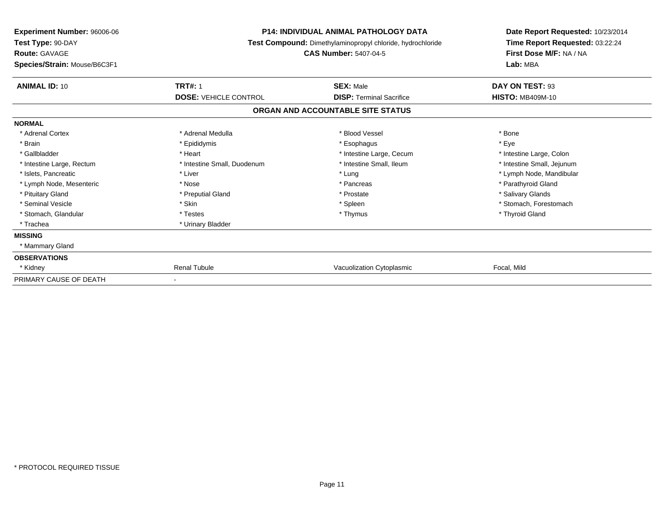| <b>Experiment Number: 96006-06</b><br>Test Type: 90-DAY<br><b>Route: GAVAGE</b><br>Species/Strain: Mouse/B6C3F1 | <b>P14: INDIVIDUAL ANIMAL PATHOLOGY DATA</b><br>Test Compound: Dimethylaminopropyl chloride, hydrochloride<br><b>CAS Number: 5407-04-5</b> |                                   | Date Report Requested: 10/23/2014<br>Time Report Requested: 03:22:24<br>First Dose M/F: NA / NA<br>Lab: MBA |
|-----------------------------------------------------------------------------------------------------------------|--------------------------------------------------------------------------------------------------------------------------------------------|-----------------------------------|-------------------------------------------------------------------------------------------------------------|
| <b>ANIMAL ID: 10</b>                                                                                            | <b>TRT#: 1</b>                                                                                                                             | <b>SEX: Male</b>                  | DAY ON TEST: 93                                                                                             |
|                                                                                                                 | <b>DOSE: VEHICLE CONTROL</b>                                                                                                               | <b>DISP: Terminal Sacrifice</b>   | <b>HISTO: MB409M-10</b>                                                                                     |
|                                                                                                                 |                                                                                                                                            | ORGAN AND ACCOUNTABLE SITE STATUS |                                                                                                             |
| <b>NORMAL</b>                                                                                                   |                                                                                                                                            |                                   |                                                                                                             |
| * Adrenal Cortex                                                                                                | * Adrenal Medulla                                                                                                                          | * Blood Vessel                    | * Bone                                                                                                      |
| * Brain                                                                                                         | * Epididymis                                                                                                                               | * Esophagus                       | * Eye                                                                                                       |
| * Gallbladder                                                                                                   | * Heart                                                                                                                                    | * Intestine Large, Cecum          | * Intestine Large, Colon                                                                                    |
| * Intestine Large, Rectum                                                                                       | * Intestine Small, Duodenum                                                                                                                | * Intestine Small, Ileum          | * Intestine Small, Jejunum                                                                                  |
| * Islets, Pancreatic                                                                                            | * Liver                                                                                                                                    | * Lung                            | * Lymph Node, Mandibular                                                                                    |
| * Lymph Node, Mesenteric                                                                                        | * Nose                                                                                                                                     | * Pancreas                        | * Parathyroid Gland                                                                                         |
| * Pituitary Gland                                                                                               | * Preputial Gland                                                                                                                          | * Prostate                        | * Salivary Glands                                                                                           |
| * Seminal Vesicle                                                                                               | * Skin                                                                                                                                     | * Spleen                          | * Stomach, Forestomach                                                                                      |
| * Stomach, Glandular                                                                                            | * Testes                                                                                                                                   | * Thymus                          | * Thyroid Gland                                                                                             |
| * Trachea                                                                                                       | * Urinary Bladder                                                                                                                          |                                   |                                                                                                             |
| <b>MISSING</b>                                                                                                  |                                                                                                                                            |                                   |                                                                                                             |
| * Mammary Gland                                                                                                 |                                                                                                                                            |                                   |                                                                                                             |
| <b>OBSERVATIONS</b>                                                                                             |                                                                                                                                            |                                   |                                                                                                             |
| * Kidney                                                                                                        | <b>Renal Tubule</b>                                                                                                                        | Vacuolization Cytoplasmic         | Focal, Mild                                                                                                 |
| PRIMARY CAUSE OF DEATH                                                                                          |                                                                                                                                            |                                   |                                                                                                             |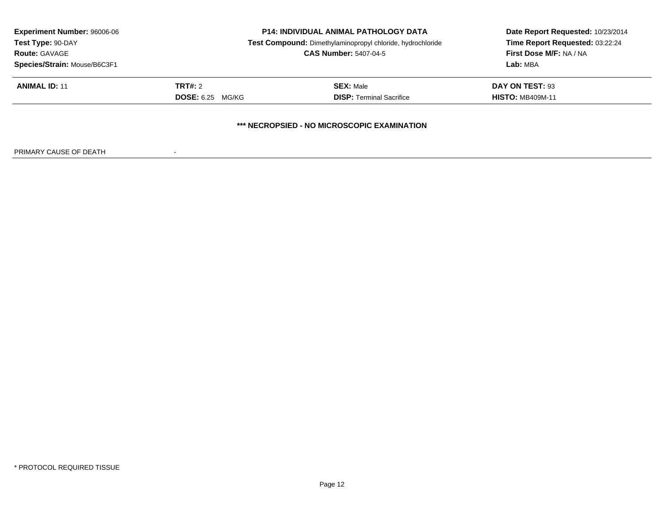| <b>Experiment Number: 96006-06</b><br>Test Type: 90-DAY<br><b>Route: GAVAGE</b><br>Species/Strain: Mouse/B6C3F1 | <b>P14: INDIVIDUAL ANIMAL PATHOLOGY DATA</b><br>Test Compound: Dimethylaminopropyl chloride, hydrochloride<br><b>CAS Number: 5407-04-5</b> |                                                    | Date Report Requested: 10/23/2014<br>Time Report Requested: 03:22:24<br>First Dose M/F: NA / NA<br>Lab: MBA |
|-----------------------------------------------------------------------------------------------------------------|--------------------------------------------------------------------------------------------------------------------------------------------|----------------------------------------------------|-------------------------------------------------------------------------------------------------------------|
| <b>ANIMAL ID: 11</b>                                                                                            | TRT#: 2                                                                                                                                    | <b>SEX: Male</b>                                   | DAY ON TEST: 93                                                                                             |
|                                                                                                                 | <b>DOSE:</b> 6.25 MG/KG                                                                                                                    | <b>DISP: Terminal Sacrifice</b>                    | <b>HISTO: MB409M-11</b>                                                                                     |
|                                                                                                                 |                                                                                                                                            | <b>*** NECROPSIED - NO MICROSCOPIC EXAMINATION</b> |                                                                                                             |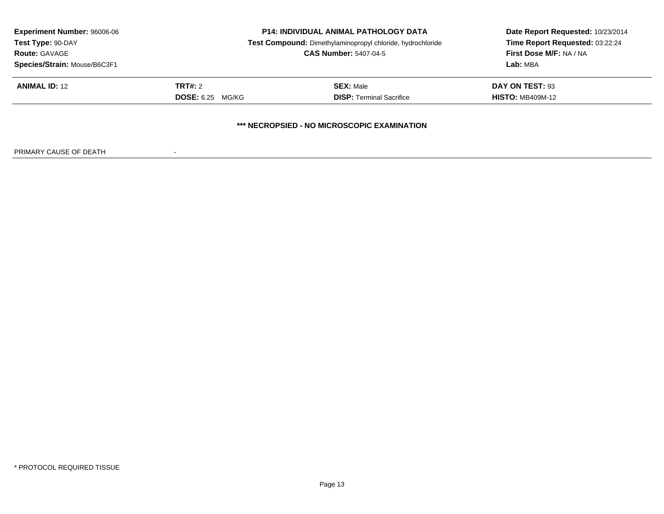| <b>Experiment Number: 96006-06</b><br>Test Type: 90-DAY<br><b>Route: GAVAGE</b> | <b>P14: INDIVIDUAL ANIMAL PATHOLOGY DATA</b><br>Test Compound: Dimethylaminopropyl chloride, hydrochloride<br><b>CAS Number: 5407-04-5</b> |                                 | Date Report Requested: 10/23/2014<br>Time Report Requested: 03:22:24<br>First Dose M/F: NA / NA |  |  |
|---------------------------------------------------------------------------------|--------------------------------------------------------------------------------------------------------------------------------------------|---------------------------------|-------------------------------------------------------------------------------------------------|--|--|
| Species/Strain: Mouse/B6C3F1                                                    |                                                                                                                                            |                                 | Lab: MBA                                                                                        |  |  |
| <b>ANIMAL ID: 12</b>                                                            | TRT#: 2                                                                                                                                    | <b>SEX: Male</b>                | DAY ON TEST: 93                                                                                 |  |  |
|                                                                                 | <b>DOSE:</b> 6.25 MG/KG                                                                                                                    | <b>DISP: Terminal Sacrifice</b> | <b>HISTO: MB409M-12</b>                                                                         |  |  |
| *** NECROPSIED - NO MICROSCOPIC EXAMINATION                                     |                                                                                                                                            |                                 |                                                                                                 |  |  |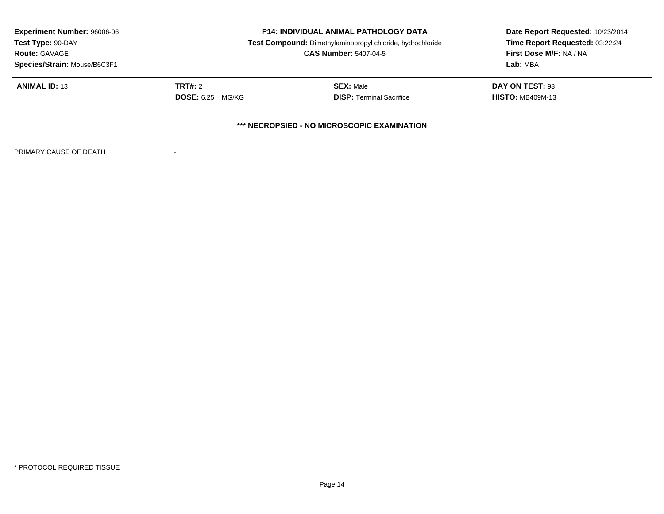| <b>Experiment Number: 96006-06</b><br>Test Type: 90-DAY<br><b>Route: GAVAGE</b><br>Species/Strain: Mouse/B6C3F1 | <b>P14: INDIVIDUAL ANIMAL PATHOLOGY DATA</b><br>Test Compound: Dimethylaminopropyl chloride, hydrochloride<br><b>CAS Number: 5407-04-5</b> |                                             | Date Report Requested: 10/23/2014<br>Time Report Requested: 03:22:24<br>First Dose M/F: NA / NA<br>Lab: MBA |  |
|-----------------------------------------------------------------------------------------------------------------|--------------------------------------------------------------------------------------------------------------------------------------------|---------------------------------------------|-------------------------------------------------------------------------------------------------------------|--|
| <b>ANIMAL ID: 13</b>                                                                                            | <b>TRT#:</b> 2                                                                                                                             | <b>SEX: Male</b>                            | DAY ON TEST: 93                                                                                             |  |
|                                                                                                                 | <b>DOSE:</b> 6.25 MG/KG                                                                                                                    | <b>DISP: Terminal Sacrifice</b>             | <b>HISTO: MB409M-13</b>                                                                                     |  |
|                                                                                                                 |                                                                                                                                            | *** NECROPSIED - NO MICROSCOPIC EXAMINATION |                                                                                                             |  |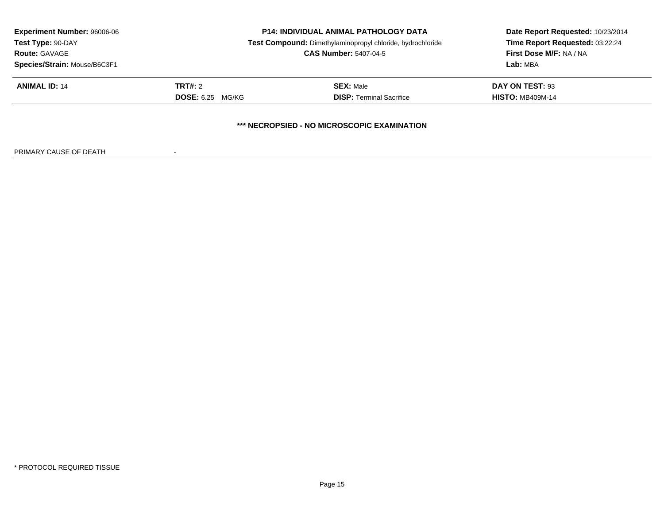| <b>Experiment Number: 96006-06</b>          | <b>P14: INDIVIDUAL ANIMAL PATHOLOGY DATA</b><br>Test Compound: Dimethylaminopropyl chloride, hydrochloride |                                 | Date Report Requested: 10/23/2014 |  |  |
|---------------------------------------------|------------------------------------------------------------------------------------------------------------|---------------------------------|-----------------------------------|--|--|
| Test Type: 90-DAY                           |                                                                                                            |                                 | Time Report Requested: 03:22:24   |  |  |
| <b>Route: GAVAGE</b>                        | <b>CAS Number: 5407-04-5</b>                                                                               |                                 | First Dose M/F: NA / NA           |  |  |
| Species/Strain: Mouse/B6C3F1                |                                                                                                            | Lab: MBA                        |                                   |  |  |
| <b>ANIMAL ID: 14</b>                        | <b>TRT#:</b> 2                                                                                             | <b>SEX: Male</b>                | DAY ON TEST: 93                   |  |  |
|                                             | <b>DOSE:</b> 6.25 MG/KG                                                                                    | <b>DISP: Terminal Sacrifice</b> | <b>HISTO: MB409M-14</b>           |  |  |
| *** NECROPSIED - NO MICROSCOPIC EXAMINATION |                                                                                                            |                                 |                                   |  |  |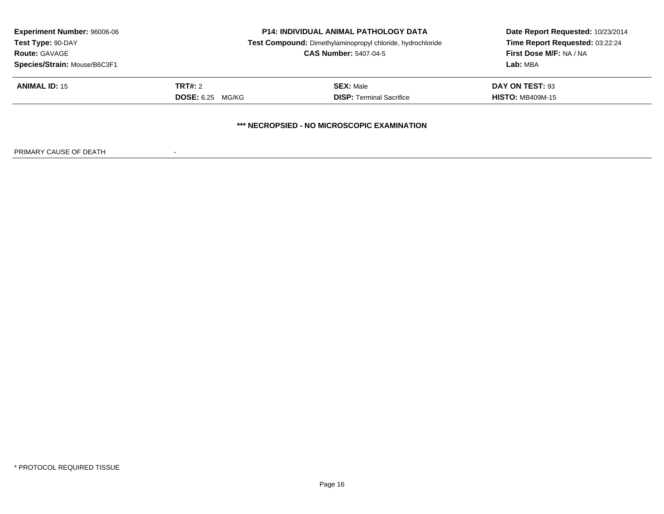| <b>Experiment Number: 96006-06</b><br>Test Type: 90-DAY | <b>P14: INDIVIDUAL ANIMAL PATHOLOGY DATA</b><br>Test Compound: Dimethylaminopropyl chloride, hydrochloride |                                 | Date Report Requested: 10/23/2014<br>Time Report Requested: 03:22:24 |  |  |
|---------------------------------------------------------|------------------------------------------------------------------------------------------------------------|---------------------------------|----------------------------------------------------------------------|--|--|
| <b>Route: GAVAGE</b>                                    | <b>CAS Number: 5407-04-5</b>                                                                               |                                 | <b>First Dose M/F: NA / NA</b>                                       |  |  |
| Species/Strain: Mouse/B6C3F1                            |                                                                                                            | Lab: MBA                        |                                                                      |  |  |
| <b>ANIMAL ID: 15</b>                                    | <b>TRT#:</b> 2                                                                                             | <b>SEX: Male</b>                | DAY ON TEST: 93                                                      |  |  |
|                                                         | <b>DOSE:</b> 6.25 MG/KG                                                                                    | <b>DISP: Terminal Sacrifice</b> | <b>HISTO: MB409M-15</b>                                              |  |  |
| *** NECROPSIED - NO MICROSCOPIC EXAMINATION             |                                                                                                            |                                 |                                                                      |  |  |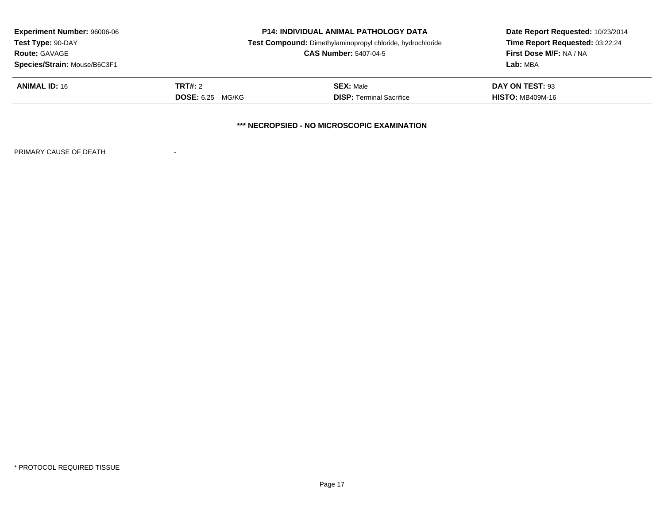| <b>Experiment Number: 96006-06</b>          | <b>P14: INDIVIDUAL ANIMAL PATHOLOGY DATA</b><br>Test Compound: Dimethylaminopropyl chloride, hydrochloride<br><b>CAS Number: 5407-04-5</b> |                                 | Date Report Requested: 10/23/2014 |  |  |
|---------------------------------------------|--------------------------------------------------------------------------------------------------------------------------------------------|---------------------------------|-----------------------------------|--|--|
| Test Type: 90-DAY                           |                                                                                                                                            |                                 | Time Report Requested: 03:22:24   |  |  |
| <b>Route: GAVAGE</b>                        |                                                                                                                                            |                                 | <b>First Dose M/F: NA / NA</b>    |  |  |
| Species/Strain: Mouse/B6C3F1                |                                                                                                                                            | Lab: MBA                        |                                   |  |  |
| <b>ANIMAL ID: 16</b>                        | <b>TRT#:</b> 2                                                                                                                             | <b>SEX: Male</b>                | DAY ON TEST: 93                   |  |  |
|                                             | <b>DOSE:</b> 6.25 MG/KG                                                                                                                    | <b>DISP: Terminal Sacrifice</b> | <b>HISTO: MB409M-16</b>           |  |  |
| *** NECROPSIED - NO MICROSCOPIC EXAMINATION |                                                                                                                                            |                                 |                                   |  |  |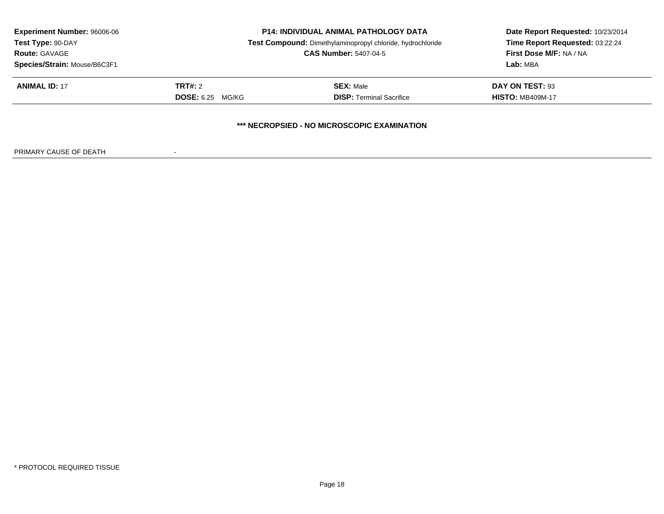| <b>Experiment Number: 96006-06</b><br>Test Type: 90-DAY<br><b>Route: GAVAGE</b><br>Species/Strain: Mouse/B6C3F1 | <b>P14: INDIVIDUAL ANIMAL PATHOLOGY DATA</b><br>Test Compound: Dimethylaminopropyl chloride, hydrochloride<br><b>CAS Number: 5407-04-5</b> |                                                    | Date Report Requested: 10/23/2014<br>Time Report Requested: 03:22:24<br><b>First Dose M/F: NA / NA</b><br>Lab: MBA |
|-----------------------------------------------------------------------------------------------------------------|--------------------------------------------------------------------------------------------------------------------------------------------|----------------------------------------------------|--------------------------------------------------------------------------------------------------------------------|
| <b>ANIMAL ID: 17</b>                                                                                            | TRT#: 2                                                                                                                                    | <b>SEX: Male</b>                                   | DAY ON TEST: 93                                                                                                    |
|                                                                                                                 | <b>DOSE:</b> 6.25 MG/KG                                                                                                                    | <b>DISP: Terminal Sacrifice</b>                    | <b>HISTO: MB409M-17</b>                                                                                            |
|                                                                                                                 |                                                                                                                                            | <b>*** NECROPSIED - NO MICROSCOPIC EXAMINATION</b> |                                                                                                                    |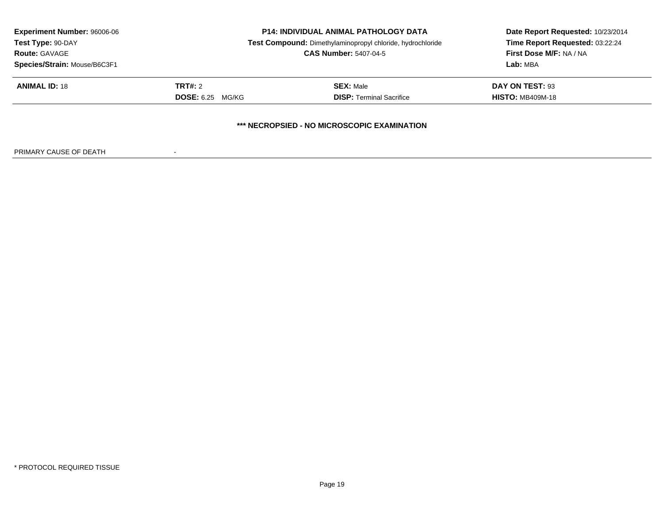| <b>Experiment Number: 96006-06</b><br>Test Type: 90-DAY | <b>P14: INDIVIDUAL ANIMAL PATHOLOGY DATA</b><br>Test Compound: Dimethylaminopropyl chloride, hydrochloride |                                 | Date Report Requested: 10/23/2014<br>Time Report Requested: 03:22:24 |  |  |
|---------------------------------------------------------|------------------------------------------------------------------------------------------------------------|---------------------------------|----------------------------------------------------------------------|--|--|
| <b>Route: GAVAGE</b>                                    | <b>CAS Number: 5407-04-5</b>                                                                               |                                 | <b>First Dose M/F: NA / NA</b>                                       |  |  |
| Species/Strain: Mouse/B6C3F1                            |                                                                                                            | Lab: MBA                        |                                                                      |  |  |
| <b>ANIMAL ID: 18</b>                                    | <b>TRT#:</b> 2                                                                                             | <b>SEX: Male</b>                | DAY ON TEST: 93                                                      |  |  |
|                                                         | <b>DOSE:</b> 6.25 MG/KG                                                                                    | <b>DISP: Terminal Sacrifice</b> | <b>HISTO: MB409M-18</b>                                              |  |  |
| *** NECROPSIED - NO MICROSCOPIC EXAMINATION             |                                                                                                            |                                 |                                                                      |  |  |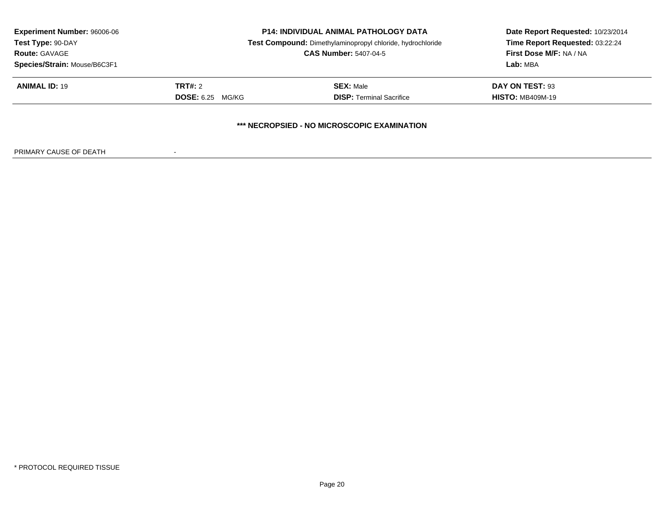| <b>Experiment Number: 96006-06</b>          | <b>P14: INDIVIDUAL ANIMAL PATHOLOGY DATA</b><br>Test Compound: Dimethylaminopropyl chloride, hydrochloride<br><b>CAS Number: 5407-04-5</b> |                                 | Date Report Requested: 10/23/2014 |  |  |
|---------------------------------------------|--------------------------------------------------------------------------------------------------------------------------------------------|---------------------------------|-----------------------------------|--|--|
| Test Type: 90-DAY                           |                                                                                                                                            |                                 | Time Report Requested: 03:22:24   |  |  |
| <b>Route: GAVAGE</b>                        |                                                                                                                                            |                                 | <b>First Dose M/F: NA / NA</b>    |  |  |
| Species/Strain: Mouse/B6C3F1                |                                                                                                                                            | Lab: MBA                        |                                   |  |  |
| <b>ANIMAL ID: 19</b>                        | <b>TRT#:</b> 2                                                                                                                             | <b>SEX: Male</b>                | DAY ON TEST: 93                   |  |  |
|                                             | <b>DOSE:</b> 6.25 MG/KG                                                                                                                    | <b>DISP: Terminal Sacrifice</b> | <b>HISTO: MB409M-19</b>           |  |  |
| *** NECROPSIED - NO MICROSCOPIC EXAMINATION |                                                                                                                                            |                                 |                                   |  |  |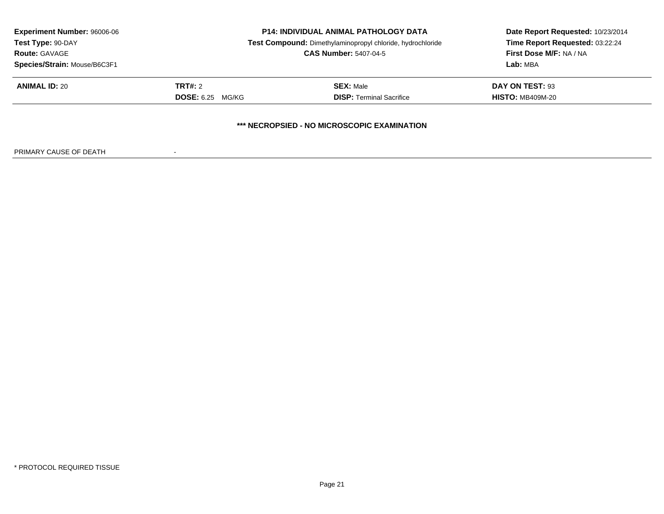| <b>Experiment Number: 96006-06</b><br>Test Type: 90-DAY | <b>P14: INDIVIDUAL ANIMAL PATHOLOGY DATA</b><br>Test Compound: Dimethylaminopropyl chloride, hydrochloride |                                             | Date Report Requested: 10/23/2014<br>Time Report Requested: 03:22:24 |
|---------------------------------------------------------|------------------------------------------------------------------------------------------------------------|---------------------------------------------|----------------------------------------------------------------------|
| <b>Route: GAVAGE</b>                                    | <b>CAS Number: 5407-04-5</b>                                                                               |                                             | <b>First Dose M/F: NA / NA</b>                                       |
| Species/Strain: Mouse/B6C3F1                            |                                                                                                            | Lab: MBA                                    |                                                                      |
| <b>ANIMAL ID: 20</b>                                    | TRT#: 2                                                                                                    | <b>SEX: Male</b>                            | <b>DAY ON TEST: 93</b>                                               |
|                                                         | <b>DOSE:</b> 6.25 MG/KG                                                                                    | <b>DISP: Terminal Sacrifice</b>             | <b>HISTO: MB409M-20</b>                                              |
|                                                         |                                                                                                            | *** NECROPSIED - NO MICROSCOPIC EXAMINATION |                                                                      |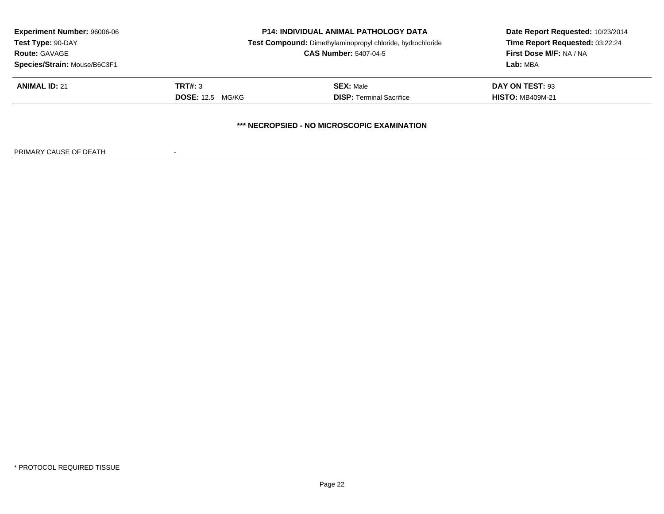| <b>Experiment Number: 96006-06</b><br>Test Type: 90-DAY<br><b>Route: GAVAGE</b><br>Species/Strain: Mouse/B6C3F1 | <b>P14: INDIVIDUAL ANIMAL PATHOLOGY DATA</b><br>Test Compound: Dimethylaminopropyl chloride, hydrochloride<br><b>CAS Number: 5407-04-5</b> |                                                     | Date Report Requested: 10/23/2014<br>Time Report Requested: 03:22:24<br>First Dose M/F: NA / NA<br>Lab: MBA |  |
|-----------------------------------------------------------------------------------------------------------------|--------------------------------------------------------------------------------------------------------------------------------------------|-----------------------------------------------------|-------------------------------------------------------------------------------------------------------------|--|
| <b>ANIMAL ID: 21</b>                                                                                            | TRT#: 3<br><b>DOSE:</b> 12.5 MG/KG                                                                                                         | <b>SEX: Male</b><br><b>DISP: Terminal Sacrifice</b> | DAY ON TEST: 93<br><b>HISTO: MB409M-21</b>                                                                  |  |
|                                                                                                                 |                                                                                                                                            | *** NECROPSIED - NO MICROSCOPIC EXAMINATION         |                                                                                                             |  |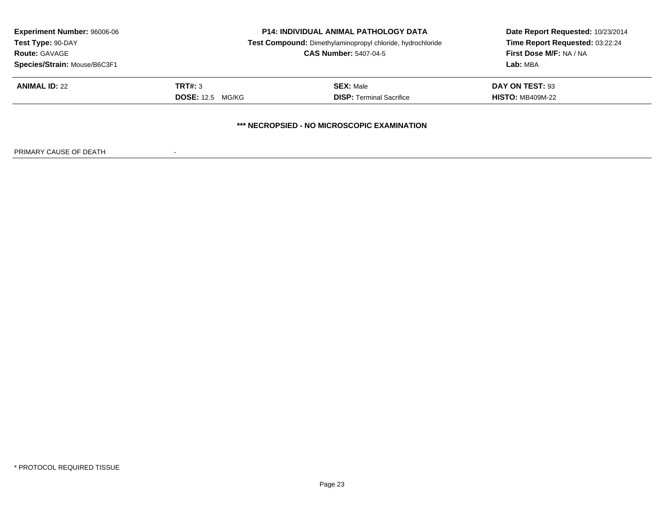| <b>Experiment Number: 96006-06</b><br>Test Type: 90-DAY | <b>P14: INDIVIDUAL ANIMAL PATHOLOGY DATA</b><br>Test Compound: Dimethylaminopropyl chloride, hydrochloride |                                             | Date Report Requested: 10/23/2014<br>Time Report Requested: 03:22:24 |
|---------------------------------------------------------|------------------------------------------------------------------------------------------------------------|---------------------------------------------|----------------------------------------------------------------------|
| <b>Route: GAVAGE</b>                                    | <b>CAS Number: 5407-04-5</b>                                                                               |                                             | First Dose M/F: NA / NA                                              |
| Species/Strain: Mouse/B6C3F1                            |                                                                                                            | Lab: MBA                                    |                                                                      |
| <b>ANIMAL ID: 22</b>                                    | TRT#: 3                                                                                                    | <b>SEX: Male</b>                            | DAY ON TEST: 93                                                      |
|                                                         | <b>DOSE:</b> 12.5 MG/KG                                                                                    | <b>DISP: Terminal Sacrifice</b>             | <b>HISTO: MB409M-22</b>                                              |
|                                                         |                                                                                                            | *** NECROPSIED - NO MICROSCOPIC EXAMINATION |                                                                      |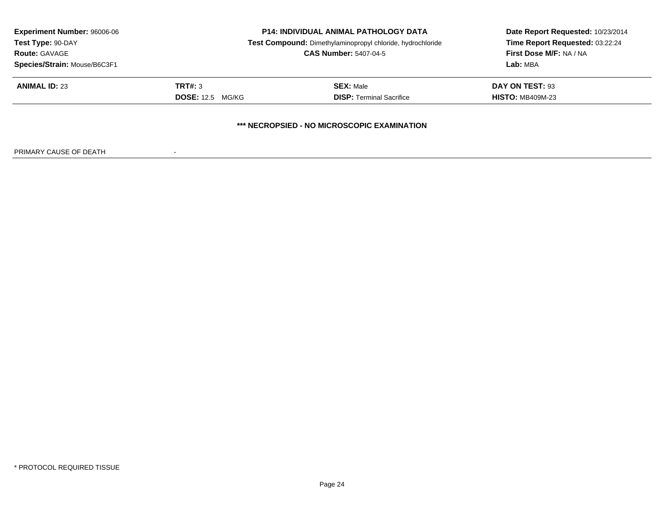| <b>Experiment Number: 96006-06</b><br>Test Type: 90-DAY | <b>P14: INDIVIDUAL ANIMAL PATHOLOGY DATA</b><br>Test Compound: Dimethylaminopropyl chloride, hydrochloride |                                 | Date Report Requested: 10/23/2014<br>Time Report Requested: 03:22:24 |  |  |
|---------------------------------------------------------|------------------------------------------------------------------------------------------------------------|---------------------------------|----------------------------------------------------------------------|--|--|
| <b>Route: GAVAGE</b>                                    |                                                                                                            | <b>CAS Number: 5407-04-5</b>    |                                                                      |  |  |
| Species/Strain: Mouse/B6C3F1                            |                                                                                                            | Lab: MBA                        |                                                                      |  |  |
| <b>ANIMAL ID: 23</b>                                    | TRT#: 3                                                                                                    | <b>SEX: Male</b>                | DAY ON TEST: 93                                                      |  |  |
|                                                         | <b>DOSE:</b> 12.5 MG/KG                                                                                    | <b>DISP: Terminal Sacrifice</b> | <b>HISTO: MB409M-23</b>                                              |  |  |
| *** NECROPSIED - NO MICROSCOPIC EXAMINATION             |                                                                                                            |                                 |                                                                      |  |  |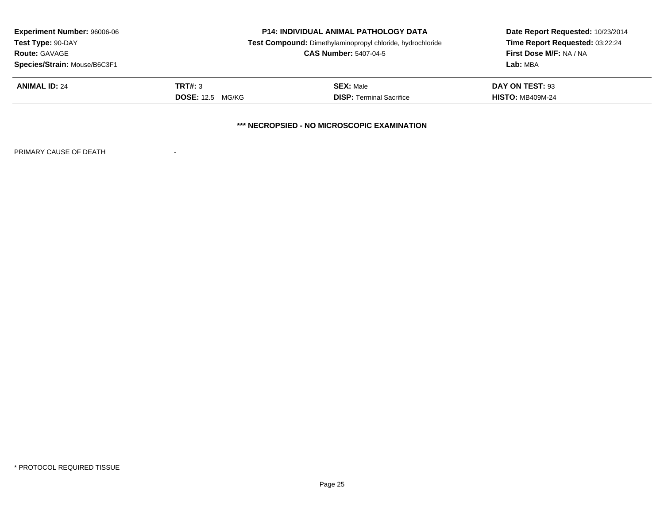| <b>Experiment Number: 96006-06</b>          | <b>P14: INDIVIDUAL ANIMAL PATHOLOGY DATA</b><br>Test Compound: Dimethylaminopropyl chloride, hydrochloride |                                 | Date Report Requested: 10/23/2014 |  |  |
|---------------------------------------------|------------------------------------------------------------------------------------------------------------|---------------------------------|-----------------------------------|--|--|
| Test Type: 90-DAY                           |                                                                                                            |                                 | Time Report Requested: 03:22:24   |  |  |
| <b>Route: GAVAGE</b>                        |                                                                                                            | <b>CAS Number: 5407-04-5</b>    |                                   |  |  |
| Species/Strain: Mouse/B6C3F1                |                                                                                                            | Lab: MBA                        |                                   |  |  |
| <b>ANIMAL ID: 24</b>                        | TRT#: 3                                                                                                    | <b>SEX: Male</b>                | DAY ON TEST: 93                   |  |  |
|                                             | <b>DOSE:</b> 12.5 MG/KG                                                                                    | <b>DISP: Terminal Sacrifice</b> | <b>HISTO: MB409M-24</b>           |  |  |
| *** NECROPSIED - NO MICROSCOPIC EXAMINATION |                                                                                                            |                                 |                                   |  |  |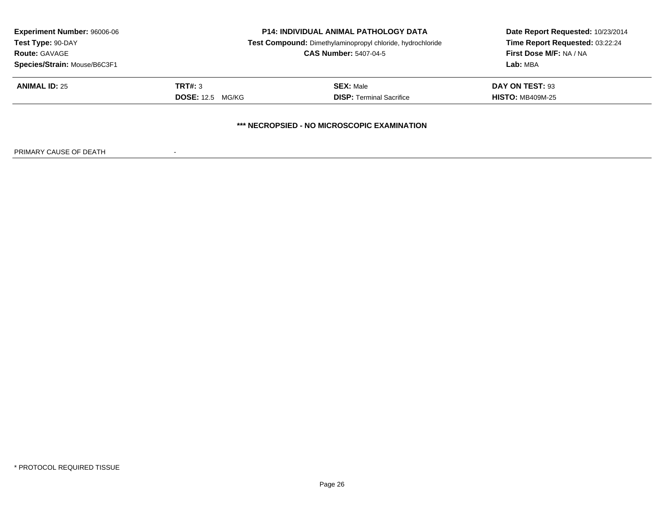| <b>Experiment Number: 96006-06</b>          | <b>P14: INDIVIDUAL ANIMAL PATHOLOGY DATA</b><br>Test Compound: Dimethylaminopropyl chloride, hydrochloride |                                 | Date Report Requested: 10/23/2014 |  |  |
|---------------------------------------------|------------------------------------------------------------------------------------------------------------|---------------------------------|-----------------------------------|--|--|
| Test Type: 90-DAY                           |                                                                                                            |                                 | Time Report Requested: 03:22:24   |  |  |
| <b>Route: GAVAGE</b>                        |                                                                                                            | <b>CAS Number: 5407-04-5</b>    |                                   |  |  |
| Species/Strain: Mouse/B6C3F1                |                                                                                                            | Lab: MBA                        |                                   |  |  |
| <b>ANIMAL ID: 25</b>                        | TRT#: 3                                                                                                    | <b>SEX: Male</b>                | DAY ON TEST: 93                   |  |  |
|                                             | <b>DOSE:</b> 12.5 MG/KG                                                                                    | <b>DISP: Terminal Sacrifice</b> | <b>HISTO: MB409M-25</b>           |  |  |
| *** NECROPSIED - NO MICROSCOPIC EXAMINATION |                                                                                                            |                                 |                                   |  |  |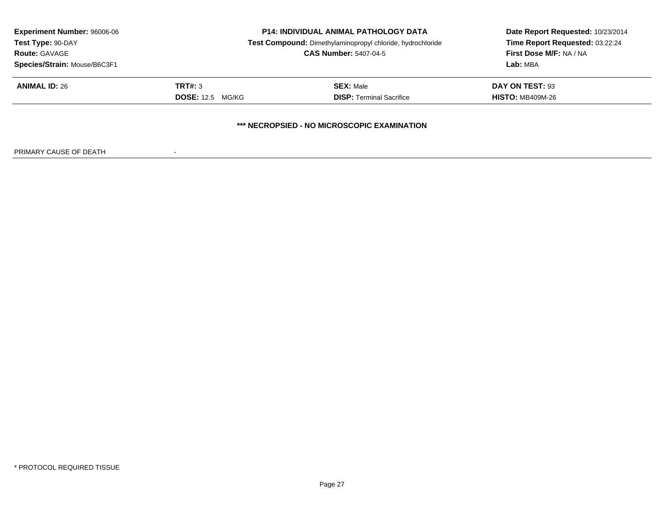| <b>Experiment Number: 96006-06</b>          | <b>P14: INDIVIDUAL ANIMAL PATHOLOGY DATA</b><br>Test Compound: Dimethylaminopropyl chloride, hydrochloride |                                 | Date Report Requested: 10/23/2014 |  |  |
|---------------------------------------------|------------------------------------------------------------------------------------------------------------|---------------------------------|-----------------------------------|--|--|
| Test Type: 90-DAY                           |                                                                                                            |                                 | Time Report Requested: 03:22:24   |  |  |
| <b>Route: GAVAGE</b>                        | <b>CAS Number: 5407-04-5</b>                                                                               |                                 | First Dose M/F: NA / NA           |  |  |
| Species/Strain: Mouse/B6C3F1                |                                                                                                            | Lab: MBA                        |                                   |  |  |
| <b>ANIMAL ID: 26</b>                        | TRT#: 3                                                                                                    | <b>SEX: Male</b>                | DAY ON TEST: 93                   |  |  |
|                                             | <b>DOSE:</b> 12.5 MG/KG                                                                                    | <b>DISP: Terminal Sacrifice</b> | <b>HISTO: MB409M-26</b>           |  |  |
| *** NECROPSIED - NO MICROSCOPIC EXAMINATION |                                                                                                            |                                 |                                   |  |  |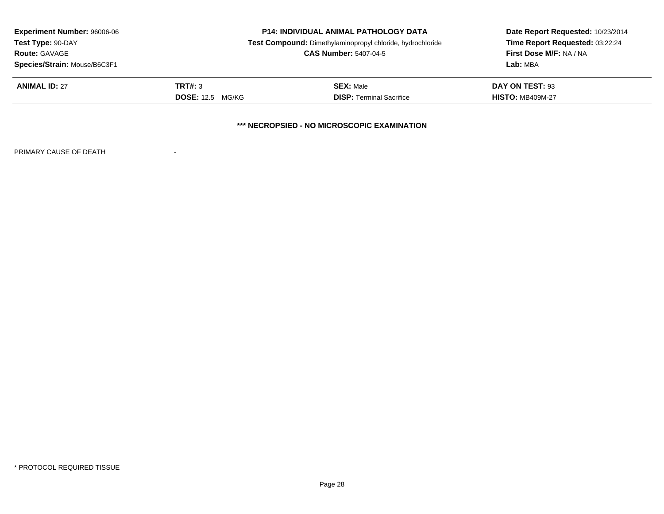| <b>Experiment Number: 96006-06</b><br>Test Type: 90-DAY<br><b>Route: GAVAGE</b> | <b>P14: INDIVIDUAL ANIMAL PATHOLOGY DATA</b><br>Test Compound: Dimethylaminopropyl chloride, hydrochloride<br><b>CAS Number: 5407-04-5</b> |                                 | Date Report Requested: 10/23/2014<br>Time Report Requested: 03:22:24<br>First Dose M/F: NA / NA |  |  |
|---------------------------------------------------------------------------------|--------------------------------------------------------------------------------------------------------------------------------------------|---------------------------------|-------------------------------------------------------------------------------------------------|--|--|
| Species/Strain: Mouse/B6C3F1                                                    |                                                                                                                                            |                                 | Lab: MBA                                                                                        |  |  |
| <b>ANIMAL ID: 27</b>                                                            | TRT#: 3                                                                                                                                    | <b>SEX: Male</b>                | DAY ON TEST: 93                                                                                 |  |  |
|                                                                                 | <b>DOSE:</b> 12.5 MG/KG                                                                                                                    | <b>DISP: Terminal Sacrifice</b> | <b>HISTO: MB409M-27</b>                                                                         |  |  |
| *** NECROPSIED - NO MICROSCOPIC EXAMINATION                                     |                                                                                                                                            |                                 |                                                                                                 |  |  |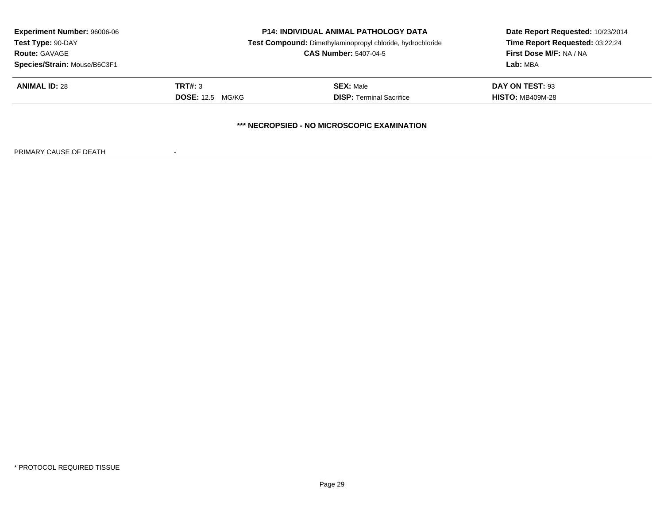| <b>Experiment Number: 96006-06</b><br>Test Type: 90-DAY | <b>P14: INDIVIDUAL ANIMAL PATHOLOGY DATA</b><br>Test Compound: Dimethylaminopropyl chloride, hydrochloride |                                             | Date Report Requested: 10/23/2014<br>Time Report Requested: 03:22:24 |
|---------------------------------------------------------|------------------------------------------------------------------------------------------------------------|---------------------------------------------|----------------------------------------------------------------------|
| <b>Route: GAVAGE</b><br>Species/Strain: Mouse/B6C3F1    | <b>CAS Number: 5407-04-5</b>                                                                               |                                             | <b>First Dose M/F: NA / NA</b><br>Lab: MBA                           |
| <b>ANIMAL ID: 28</b>                                    | TRT#: 3                                                                                                    | <b>SEX: Male</b>                            | <b>DAY ON TEST: 93</b>                                               |
|                                                         | <b>DOSE:</b> 12.5 MG/KG                                                                                    | <b>DISP: Terminal Sacrifice</b>             | <b>HISTO: MB409M-28</b>                                              |
|                                                         |                                                                                                            | *** NECROPSIED - NO MICROSCOPIC EXAMINATION |                                                                      |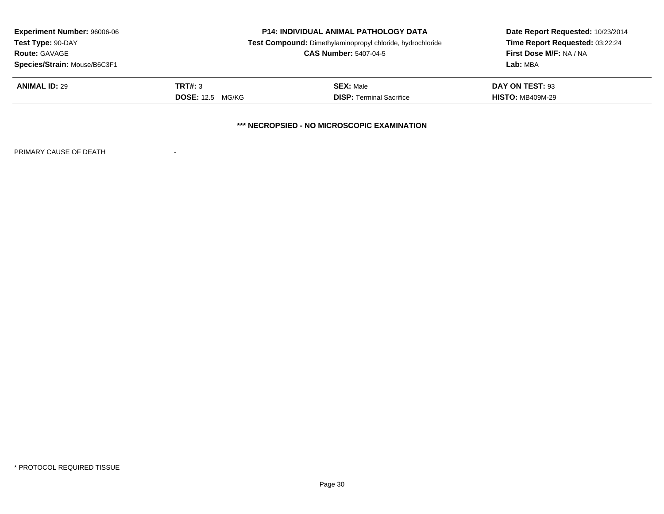| <b>Experiment Number: 96006-06</b><br>Test Type: 90-DAY | <b>P14: INDIVIDUAL ANIMAL PATHOLOGY DATA</b><br>Test Compound: Dimethylaminopropyl chloride, hydrochloride |                                 | Date Report Requested: 10/23/2014<br>Time Report Requested: 03:22:24 |  |  |
|---------------------------------------------------------|------------------------------------------------------------------------------------------------------------|---------------------------------|----------------------------------------------------------------------|--|--|
| <b>Route: GAVAGE</b>                                    | <b>CAS Number: 5407-04-5</b>                                                                               |                                 | First Dose M/F: NA / NA                                              |  |  |
| Species/Strain: Mouse/B6C3F1                            |                                                                                                            | Lab: MBA                        |                                                                      |  |  |
| <b>ANIMAL ID: 29</b>                                    | TRT#: 3                                                                                                    | <b>SEX: Male</b>                | DAY ON TEST: 93                                                      |  |  |
|                                                         | <b>DOSE:</b> 12.5 MG/KG                                                                                    | <b>DISP: Terminal Sacrifice</b> | <b>HISTO: MB409M-29</b>                                              |  |  |
| *** NECROPSIED - NO MICROSCOPIC EXAMINATION             |                                                                                                            |                                 |                                                                      |  |  |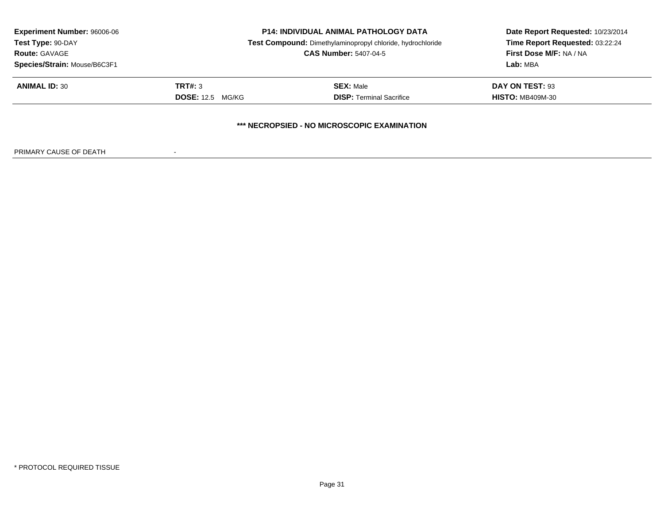| <b>Experiment Number: 96006-06</b>          | <b>P14: INDIVIDUAL ANIMAL PATHOLOGY DATA</b><br>Test Compound: Dimethylaminopropyl chloride, hydrochloride |                                 | Date Report Requested: 10/23/2014 |  |  |
|---------------------------------------------|------------------------------------------------------------------------------------------------------------|---------------------------------|-----------------------------------|--|--|
| Test Type: 90-DAY                           |                                                                                                            |                                 | Time Report Requested: 03:22:24   |  |  |
| <b>Route: GAVAGE</b>                        | <b>CAS Number: 5407-04-5</b>                                                                               |                                 | First Dose M/F: NA / NA           |  |  |
| Species/Strain: Mouse/B6C3F1                |                                                                                                            | Lab: MBA                        |                                   |  |  |
| <b>ANIMAL ID: 30</b>                        | TRT#: 3                                                                                                    | <b>SEX: Male</b>                | DAY ON TEST: 93                   |  |  |
|                                             | <b>DOSE:</b> 12.5 MG/KG                                                                                    | <b>DISP: Terminal Sacrifice</b> | <b>HISTO: MB409M-30</b>           |  |  |
| *** NECROPSIED - NO MICROSCOPIC EXAMINATION |                                                                                                            |                                 |                                   |  |  |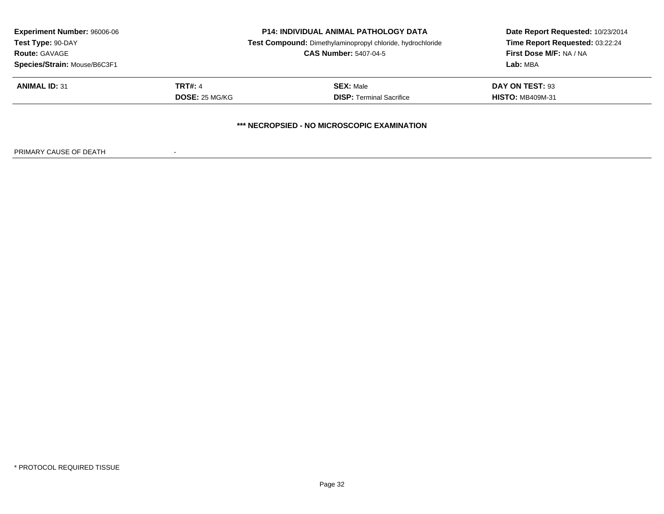| <b>Experiment Number: 96006-06</b> | <b>P14: INDIVIDUAL ANIMAL PATHOLOGY DATA</b> |                                                            | Date Report Requested: 10/23/2014 |
|------------------------------------|----------------------------------------------|------------------------------------------------------------|-----------------------------------|
| Test Type: 90-DAY                  |                                              | Test Compound: Dimethylaminopropyl chloride, hydrochloride | Time Report Requested: 03:22:24   |
| <b>Route: GAVAGE</b>               | <b>CAS Number: 5407-04-5</b>                 |                                                            | <b>First Dose M/F: NA / NA</b>    |
| Species/Strain: Mouse/B6C3F1       |                                              |                                                            | Lab: MBA                          |
| <b>ANIMAL ID: 31</b>               | <b>TRT#: 4</b>                               | <b>SEX: Male</b>                                           | DAY ON TEST: 93                   |
|                                    | DOSE: 25 MG/KG                               | <b>DISP: Terminal Sacrifice</b>                            | <b>HISTO: MB409M-31</b>           |
|                                    |                                              | *** NECROPSIED - NO MICROSCOPIC EXAMINATION                |                                   |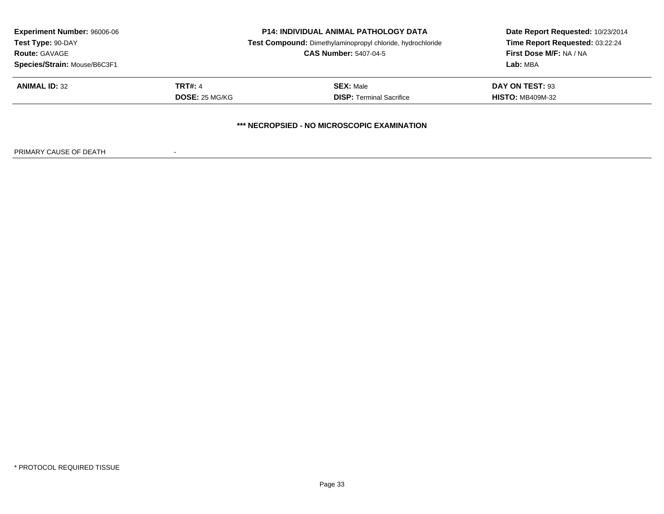| <b>Experiment Number: 96006-06</b>          | <b>P14: INDIVIDUAL ANIMAL PATHOLOGY DATA</b><br>Test Compound: Dimethylaminopropyl chloride, hydrochloride |                                 | Date Report Requested: 10/23/2014 |  |  |  |
|---------------------------------------------|------------------------------------------------------------------------------------------------------------|---------------------------------|-----------------------------------|--|--|--|
| Test Type: 90-DAY                           |                                                                                                            |                                 | Time Report Requested: 03:22:24   |  |  |  |
| <b>Route: GAVAGE</b>                        |                                                                                                            | <b>CAS Number: 5407-04-5</b>    | First Dose M/F: NA / NA           |  |  |  |
| Species/Strain: Mouse/B6C3F1                |                                                                                                            |                                 | Lab: MBA                          |  |  |  |
| <b>ANIMAL ID: 32</b>                        | <b>TRT#: 4</b>                                                                                             | <b>SEX: Male</b>                | DAY ON TEST: 93                   |  |  |  |
|                                             | <b>DOSE: 25 MG/KG</b>                                                                                      | <b>DISP: Terminal Sacrifice</b> | <b>HISTO: MB409M-32</b>           |  |  |  |
| *** NECROPSIED - NO MICROSCOPIC EXAMINATION |                                                                                                            |                                 |                                   |  |  |  |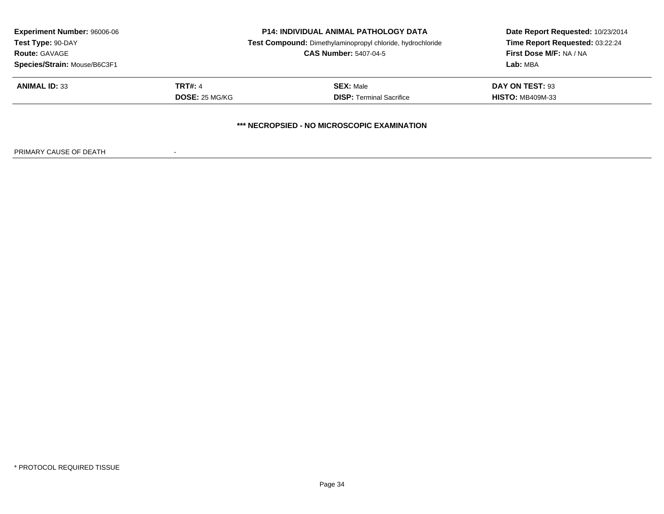| <b>Experiment Number: 96006-06</b><br>Test Type: 90-DAY<br><b>Route: GAVAGE</b> | <b>P14: INDIVIDUAL ANIMAL PATHOLOGY DATA</b><br>Test Compound: Dimethylaminopropyl chloride, hydrochloride<br><b>CAS Number: 5407-04-5</b> |                                 | Date Report Requested: 10/23/2014<br>Time Report Requested: 03:22:24<br>First Dose M/F: NA / NA |  |  |  |
|---------------------------------------------------------------------------------|--------------------------------------------------------------------------------------------------------------------------------------------|---------------------------------|-------------------------------------------------------------------------------------------------|--|--|--|
| Species/Strain: Mouse/B6C3F1                                                    |                                                                                                                                            |                                 | Lab: MBA                                                                                        |  |  |  |
| <b>ANIMAL ID: 33</b>                                                            | <b>TRT#: 4</b>                                                                                                                             | <b>SEX: Male</b>                | DAY ON TEST: 93                                                                                 |  |  |  |
|                                                                                 | <b>DOSE: 25 MG/KG</b>                                                                                                                      | <b>DISP: Terminal Sacrifice</b> | <b>HISTO: MB409M-33</b>                                                                         |  |  |  |
| *** NECROPSIED - NO MICROSCOPIC EXAMINATION                                     |                                                                                                                                            |                                 |                                                                                                 |  |  |  |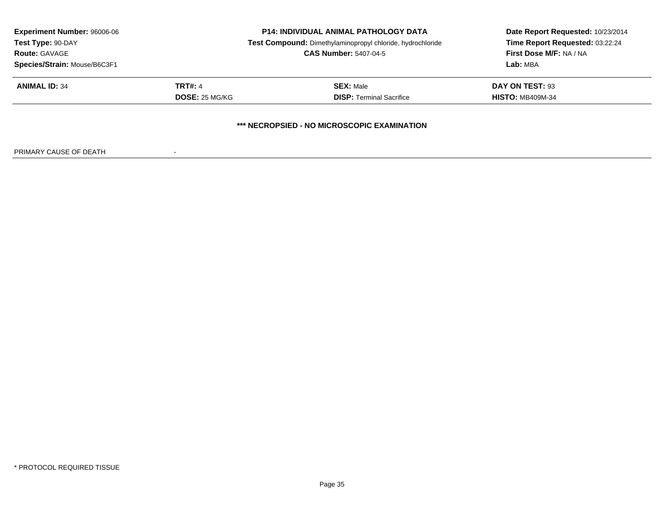| <b>Experiment Number: 96006-06</b>          | <b>P14: INDIVIDUAL ANIMAL PATHOLOGY DATA</b><br>Test Compound: Dimethylaminopropyl chloride, hydrochloride |                                 | Date Report Requested: 10/23/2014 |  |  |
|---------------------------------------------|------------------------------------------------------------------------------------------------------------|---------------------------------|-----------------------------------|--|--|
| Test Type: 90-DAY                           |                                                                                                            |                                 | Time Report Requested: 03:22:24   |  |  |
| <b>Route: GAVAGE</b>                        |                                                                                                            | <b>CAS Number: 5407-04-5</b>    | First Dose M/F: NA / NA           |  |  |
| Species/Strain: Mouse/B6C3F1                |                                                                                                            |                                 | Lab: MBA                          |  |  |
| <b>ANIMAL ID: 34</b>                        | <b>TRT#: 4</b>                                                                                             | <b>SEX: Male</b>                | DAY ON TEST: 93                   |  |  |
|                                             | <b>DOSE: 25 MG/KG</b>                                                                                      | <b>DISP: Terminal Sacrifice</b> | <b>HISTO: MB409M-34</b>           |  |  |
| *** NECROPSIED - NO MICROSCOPIC EXAMINATION |                                                                                                            |                                 |                                   |  |  |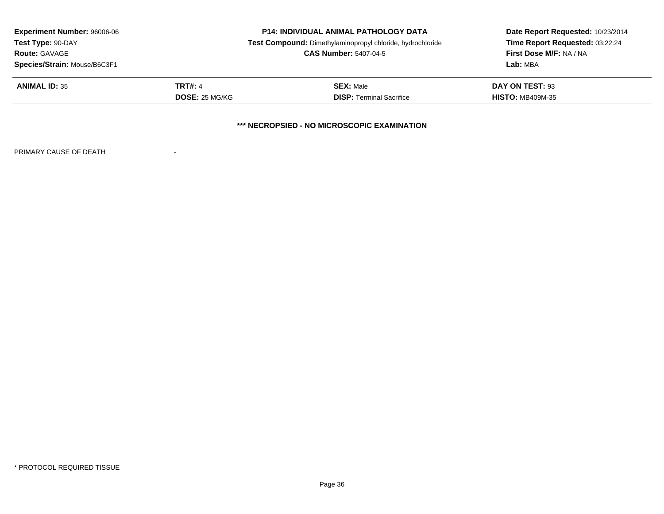| <b>Experiment Number: 96006-06</b>          |                       | <b>P14: INDIVIDUAL ANIMAL PATHOLOGY DATA</b>               | Date Report Requested: 10/23/2014 |
|---------------------------------------------|-----------------------|------------------------------------------------------------|-----------------------------------|
| Test Type: 90-DAY                           |                       | Test Compound: Dimethylaminopropyl chloride, hydrochloride | Time Report Requested: 03:22:24   |
| <b>Route: GAVAGE</b>                        |                       | <b>CAS Number: 5407-04-5</b>                               | First Dose M/F: NA / NA           |
| Species/Strain: Mouse/B6C3F1                |                       |                                                            | Lab: MBA                          |
| <b>ANIMAL ID: 35</b>                        | <b>TRT#: 4</b>        | <b>SEX: Male</b>                                           | DAY ON TEST: 93                   |
|                                             | <b>DOSE: 25 MG/KG</b> | <b>DISP: Terminal Sacrifice</b>                            | <b>HISTO: MB409M-35</b>           |
| *** NECROPSIED - NO MICROSCOPIC EXAMINATION |                       |                                                            |                                   |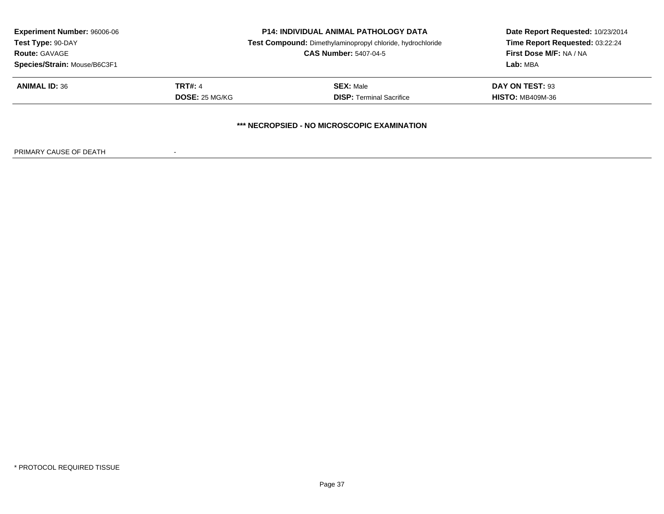| <b>Experiment Number: 96006-06</b> | <b>P14: INDIVIDUAL ANIMAL PATHOLOGY DATA</b> |                                                            | Date Report Requested: 10/23/2014 |
|------------------------------------|----------------------------------------------|------------------------------------------------------------|-----------------------------------|
| Test Type: 90-DAY                  |                                              | Test Compound: Dimethylaminopropyl chloride, hydrochloride | Time Report Requested: 03:22:24   |
| <b>Route: GAVAGE</b>               |                                              | <b>CAS Number: 5407-04-5</b>                               | First Dose M/F: NA / NA           |
| Species/Strain: Mouse/B6C3F1       |                                              |                                                            | Lab: MBA                          |
| <b>ANIMAL ID: 36</b>               | <b>TRT#: 4</b>                               | <b>SEX: Male</b>                                           | DAY ON TEST: 93                   |
|                                    | <b>DOSE: 25 MG/KG</b>                        | <b>DISP: Terminal Sacrifice</b>                            | <b>HISTO: MB409M-36</b>           |
|                                    |                                              | *** NECROPSIED - NO MICROSCOPIC EXAMINATION                |                                   |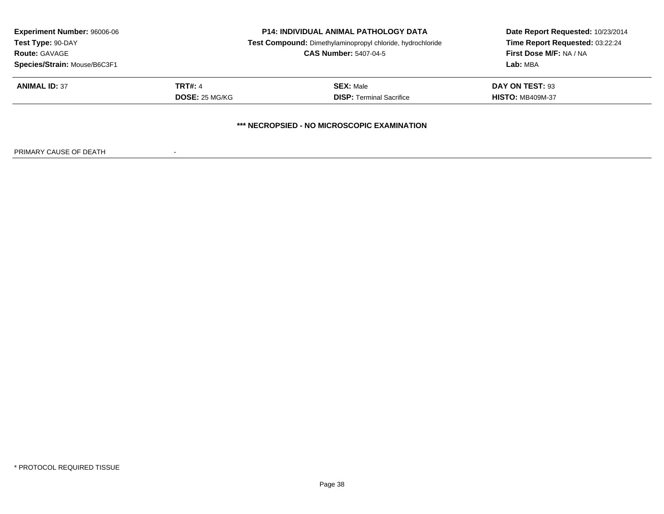| <b>Experiment Number: 96006-06</b> | <b>P14: INDIVIDUAL ANIMAL PATHOLOGY DATA</b> |                                                            | Date Report Requested: 10/23/2014 |
|------------------------------------|----------------------------------------------|------------------------------------------------------------|-----------------------------------|
| Test Type: 90-DAY                  |                                              | Test Compound: Dimethylaminopropyl chloride, hydrochloride | Time Report Requested: 03:22:24   |
| <b>Route: GAVAGE</b>               |                                              | <b>CAS Number: 5407-04-5</b>                               | <b>First Dose M/F: NA / NA</b>    |
| Species/Strain: Mouse/B6C3F1       |                                              |                                                            | Lab: MBA                          |
| <b>ANIMAL ID: 37</b>               | <b>TRT#: 4</b>                               | <b>SEX: Male</b>                                           | DAY ON TEST: 93                   |
|                                    | DOSE: 25 MG/KG                               | <b>DISP:</b> Terminal Sacrifice                            | <b>HISTO: MB409M-37</b>           |
|                                    |                                              | *** NECROPSIED - NO MICROSCOPIC EXAMINATION                |                                   |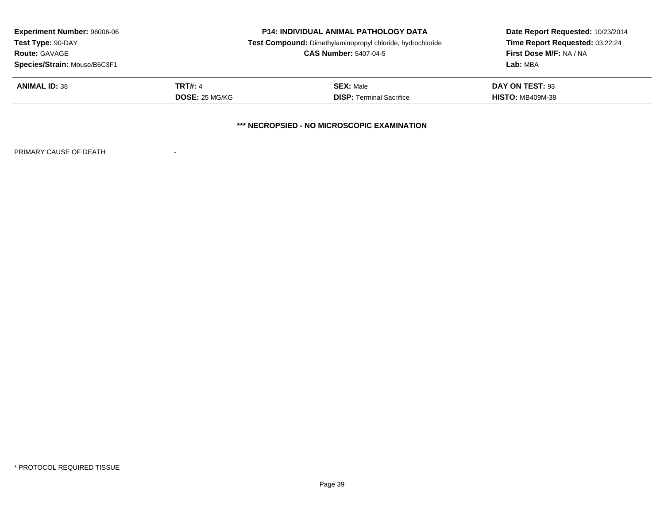| <b>Experiment Number: 96006-06</b> | <b>P14: INDIVIDUAL ANIMAL PATHOLOGY DATA</b> |                                                            | Date Report Requested: 10/23/2014 |
|------------------------------------|----------------------------------------------|------------------------------------------------------------|-----------------------------------|
| Test Type: 90-DAY                  |                                              | Test Compound: Dimethylaminopropyl chloride, hydrochloride | Time Report Requested: 03:22:24   |
| <b>Route: GAVAGE</b>               |                                              | <b>CAS Number: 5407-04-5</b>                               | First Dose M/F: NA / NA           |
| Species/Strain: Mouse/B6C3F1       |                                              |                                                            | Lab: MBA                          |
| <b>ANIMAL ID: 38</b>               | <b>TRT#: 4</b>                               | <b>SEX: Male</b>                                           | DAY ON TEST: 93                   |
|                                    | <b>DOSE: 25 MG/KG</b>                        | <b>DISP: Terminal Sacrifice</b>                            | <b>HISTO: MB409M-38</b>           |
|                                    |                                              | *** NECROPSIED - NO MICROSCOPIC EXAMINATION                |                                   |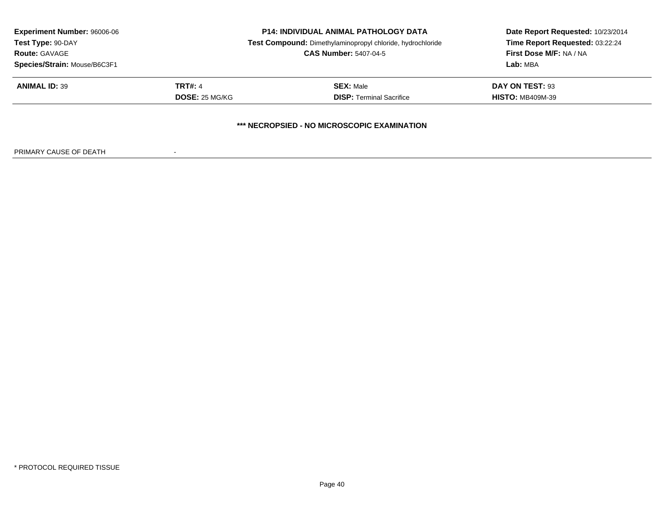| <b>Experiment Number: 96006-06</b> | <b>P14: INDIVIDUAL ANIMAL PATHOLOGY DATA</b> |                                                            | Date Report Requested: 10/23/2014 |
|------------------------------------|----------------------------------------------|------------------------------------------------------------|-----------------------------------|
| Test Type: 90-DAY                  |                                              | Test Compound: Dimethylaminopropyl chloride, hydrochloride | Time Report Requested: 03:22:24   |
| <b>Route: GAVAGE</b>               |                                              | <b>CAS Number: 5407-04-5</b>                               | First Dose M/F: NA / NA           |
| Species/Strain: Mouse/B6C3F1       |                                              |                                                            | Lab: MBA                          |
| <b>ANIMAL ID: 39</b>               | <b>TRT#: 4</b>                               | <b>SEX: Male</b>                                           | DAY ON TEST: 93                   |
|                                    | <b>DOSE: 25 MG/KG</b>                        | <b>DISP: Terminal Sacrifice</b>                            | <b>HISTO: MB409M-39</b>           |
|                                    |                                              | *** NECROPSIED - NO MICROSCOPIC EXAMINATION                |                                   |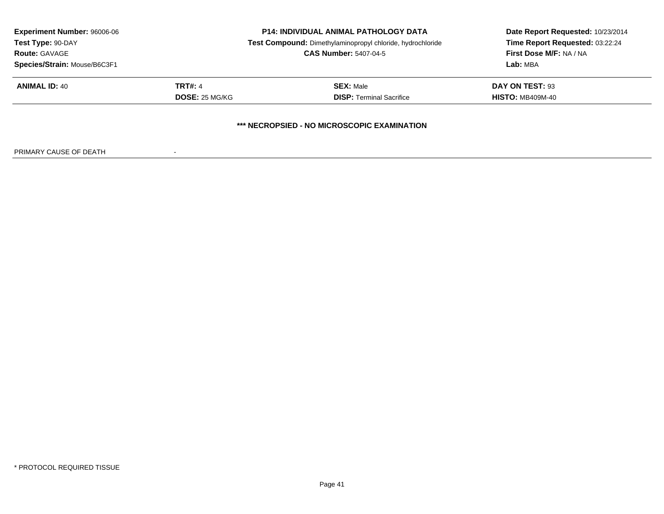| <b>Experiment Number: 96006-06</b> |                | <b>P14: INDIVIDUAL ANIMAL PATHOLOGY DATA</b>               | Date Report Requested: 10/23/2014 |
|------------------------------------|----------------|------------------------------------------------------------|-----------------------------------|
| Test Type: 90-DAY                  |                | Test Compound: Dimethylaminopropyl chloride, hydrochloride | Time Report Requested: 03:22:24   |
| <b>Route: GAVAGE</b>               |                | <b>CAS Number: 5407-04-5</b>                               | First Dose M/F: NA / NA           |
| Species/Strain: Mouse/B6C3F1       |                |                                                            | Lab: MBA                          |
| <b>ANIMAL ID: 40</b>               | <b>TRT#: 4</b> | <b>SEX: Male</b>                                           | DAY ON TEST: 93                   |
|                                    | DOSE: 25 MG/KG | <b>DISP: Terminal Sacrifice</b>                            | <b>HISTO: MB409M-40</b>           |
|                                    |                | *** NECROPSIED - NO MICROSCOPIC EXAMINATION                |                                   |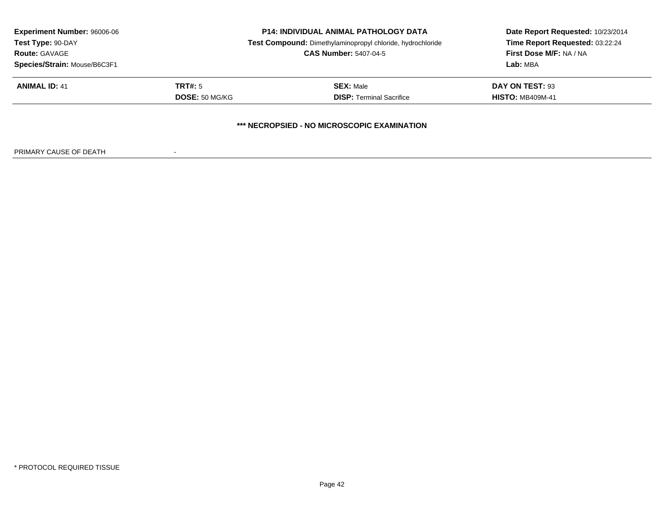| <b>Experiment Number: 96006-06</b> | <b>P14: INDIVIDUAL ANIMAL PATHOLOGY DATA</b> |                                                            | Date Report Requested: 10/23/2014 |
|------------------------------------|----------------------------------------------|------------------------------------------------------------|-----------------------------------|
| Test Type: 90-DAY                  |                                              | Test Compound: Dimethylaminopropyl chloride, hydrochloride | Time Report Requested: 03:22:24   |
| <b>Route: GAVAGE</b>               |                                              | <b>CAS Number: 5407-04-5</b>                               | First Dose M/F: NA / NA           |
| Species/Strain: Mouse/B6C3F1       |                                              |                                                            | Lab: MBA                          |
| <b>ANIMAL ID: 41</b>               | TRT#: 5                                      | <b>SEX: Male</b>                                           | DAY ON TEST: 93                   |
|                                    | <b>DOSE: 50 MG/KG</b>                        | <b>DISP: Terminal Sacrifice</b>                            | <b>HISTO: MB409M-41</b>           |
|                                    |                                              | *** NECROPSIED - NO MICROSCOPIC EXAMINATION                |                                   |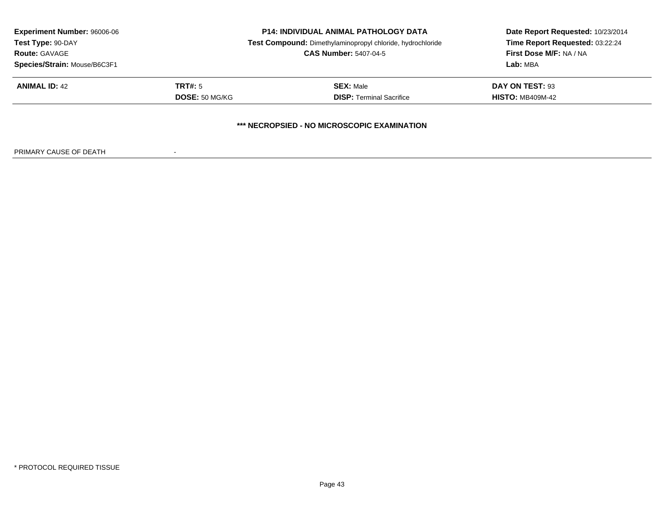| <b>Experiment Number: 96006-06</b> | <b>P14: INDIVIDUAL ANIMAL PATHOLOGY DATA</b> |                                                            | Date Report Requested: 10/23/2014 |
|------------------------------------|----------------------------------------------|------------------------------------------------------------|-----------------------------------|
| Test Type: 90-DAY                  |                                              | Test Compound: Dimethylaminopropyl chloride, hydrochloride | Time Report Requested: 03:22:24   |
| <b>Route: GAVAGE</b>               |                                              | <b>CAS Number: 5407-04-5</b>                               | First Dose M/F: NA / NA           |
| Species/Strain: Mouse/B6C3F1       |                                              |                                                            | Lab: MBA                          |
| <b>ANIMAL ID: 42</b>               | TRT#: 5                                      | <b>SEX: Male</b>                                           | DAY ON TEST: 93                   |
|                                    | <b>DOSE: 50 MG/KG</b>                        | <b>DISP: Terminal Sacrifice</b>                            | <b>HISTO: MB409M-42</b>           |
|                                    |                                              | *** NECROPSIED - NO MICROSCOPIC EXAMINATION                |                                   |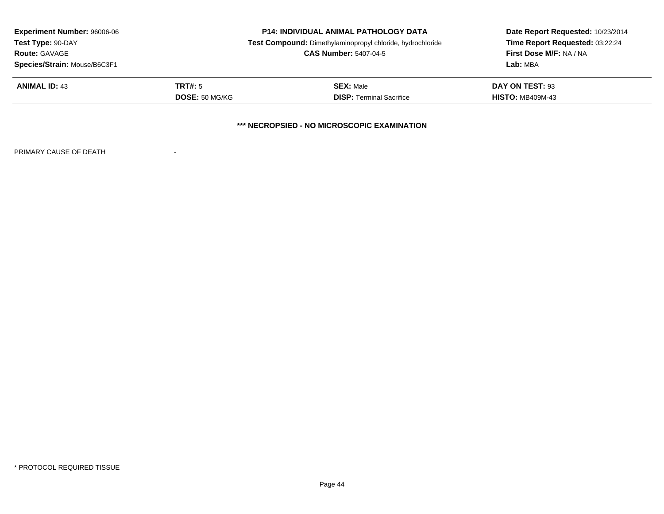| <b>Experiment Number: 96006-06</b> | <b>P14: INDIVIDUAL ANIMAL PATHOLOGY DATA</b> |                                                            | Date Report Requested: 10/23/2014 |
|------------------------------------|----------------------------------------------|------------------------------------------------------------|-----------------------------------|
| Test Type: 90-DAY                  |                                              | Test Compound: Dimethylaminopropyl chloride, hydrochloride | Time Report Requested: 03:22:24   |
| <b>Route: GAVAGE</b>               |                                              | <b>CAS Number: 5407-04-5</b>                               | First Dose M/F: NA / NA           |
| Species/Strain: Mouse/B6C3F1       |                                              |                                                            | Lab: MBA                          |
| <b>ANIMAL ID: 43</b>               | TRT#: 5                                      | <b>SEX: Male</b>                                           | DAY ON TEST: 93                   |
|                                    | <b>DOSE: 50 MG/KG</b>                        | <b>DISP: Terminal Sacrifice</b>                            | <b>HISTO: MB409M-43</b>           |
|                                    |                                              | *** NECROPSIED - NO MICROSCOPIC EXAMINATION                |                                   |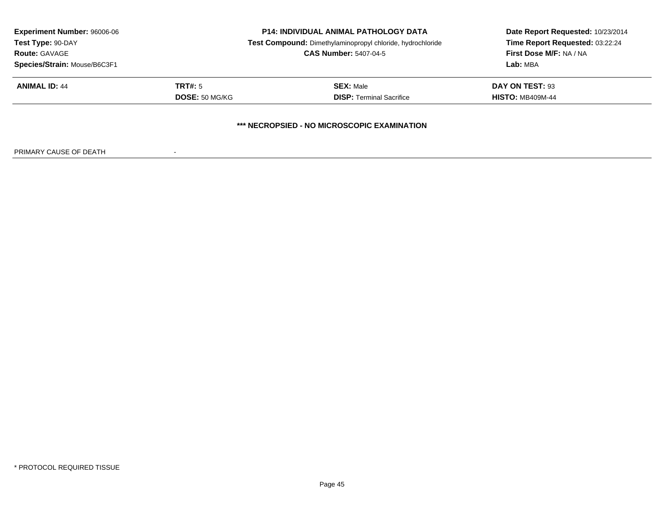| <b>Experiment Number: 96006-06</b> | <b>P14: INDIVIDUAL ANIMAL PATHOLOGY DATA</b> |                                                            | Date Report Requested: 10/23/2014 |
|------------------------------------|----------------------------------------------|------------------------------------------------------------|-----------------------------------|
| Test Type: 90-DAY                  |                                              | Test Compound: Dimethylaminopropyl chloride, hydrochloride | Time Report Requested: 03:22:24   |
| <b>Route: GAVAGE</b>               |                                              | <b>CAS Number: 5407-04-5</b>                               | First Dose M/F: NA / NA           |
| Species/Strain: Mouse/B6C3F1       |                                              |                                                            | Lab: MBA                          |
| <b>ANIMAL ID: 44</b>               | TRT#: 5                                      | <b>SEX: Male</b>                                           | DAY ON TEST: 93                   |
|                                    | <b>DOSE: 50 MG/KG</b>                        | <b>DISP: Terminal Sacrifice</b>                            | <b>HISTO: MB409M-44</b>           |
|                                    |                                              | *** NECROPSIED - NO MICROSCOPIC EXAMINATION                |                                   |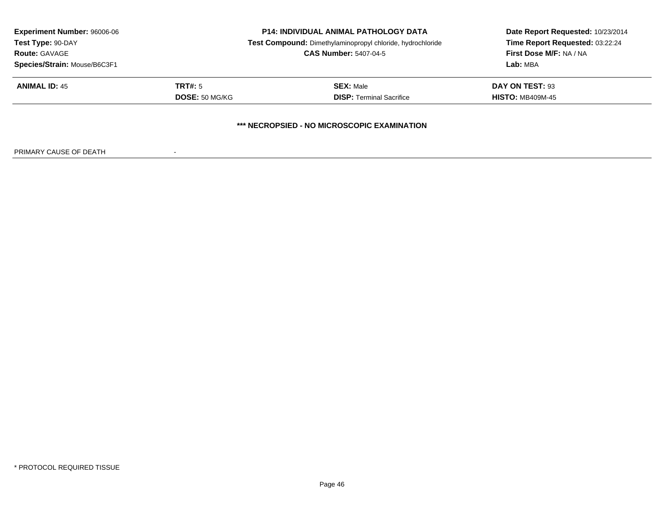| <b>Experiment Number: 96006-06</b> | <b>P14: INDIVIDUAL ANIMAL PATHOLOGY DATA</b> |                                                            | Date Report Requested: 10/23/2014 |
|------------------------------------|----------------------------------------------|------------------------------------------------------------|-----------------------------------|
| Test Type: 90-DAY                  |                                              | Test Compound: Dimethylaminopropyl chloride, hydrochloride | Time Report Requested: 03:22:24   |
| <b>Route: GAVAGE</b>               |                                              | <b>CAS Number: 5407-04-5</b>                               | First Dose M/F: NA / NA           |
| Species/Strain: Mouse/B6C3F1       |                                              |                                                            | Lab: MBA                          |
| <b>ANIMAL ID: 45</b>               | TRT#: 5                                      | <b>SEX: Male</b>                                           | DAY ON TEST: 93                   |
|                                    | <b>DOSE: 50 MG/KG</b>                        | <b>DISP: Terminal Sacrifice</b>                            | <b>HISTO: MB409M-45</b>           |
|                                    |                                              | *** NECROPSIED - NO MICROSCOPIC EXAMINATION                |                                   |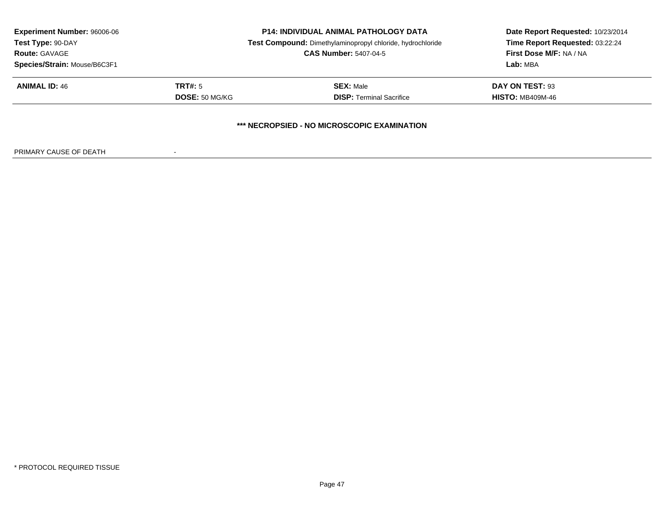| <b>Experiment Number: 96006-06</b> | <b>P14: INDIVIDUAL ANIMAL PATHOLOGY DATA</b> |                                                            | Date Report Requested: 10/23/2014 |
|------------------------------------|----------------------------------------------|------------------------------------------------------------|-----------------------------------|
| Test Type: 90-DAY                  |                                              | Test Compound: Dimethylaminopropyl chloride, hydrochloride | Time Report Requested: 03:22:24   |
| <b>Route: GAVAGE</b>               |                                              | <b>CAS Number: 5407-04-5</b>                               | First Dose M/F: NA / NA           |
| Species/Strain: Mouse/B6C3F1       |                                              |                                                            | Lab: MBA                          |
| <b>ANIMAL ID: 46</b>               | TRT#: 5                                      | <b>SEX: Male</b>                                           | DAY ON TEST: 93                   |
|                                    | <b>DOSE: 50 MG/KG</b>                        | <b>DISP: Terminal Sacrifice</b>                            | <b>HISTO: MB409M-46</b>           |
|                                    |                                              | *** NECROPSIED - NO MICROSCOPIC EXAMINATION                |                                   |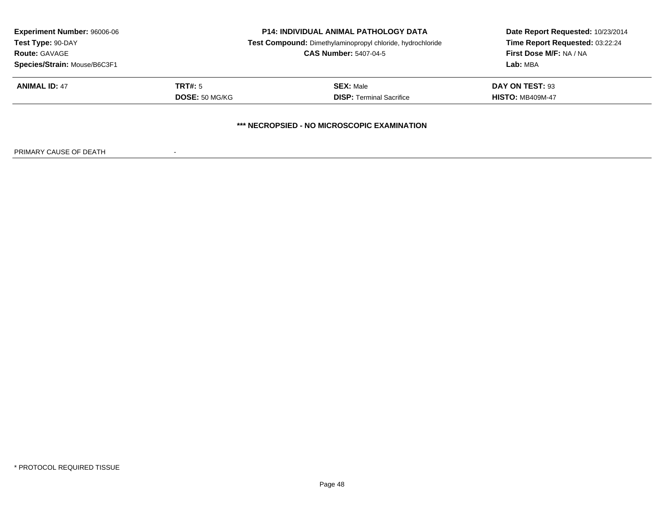| <b>Experiment Number: 96006-06</b> | <b>P14: INDIVIDUAL ANIMAL PATHOLOGY DATA</b> |                                                            | Date Report Requested: 10/23/2014 |
|------------------------------------|----------------------------------------------|------------------------------------------------------------|-----------------------------------|
| Test Type: 90-DAY                  |                                              | Test Compound: Dimethylaminopropyl chloride, hydrochloride | Time Report Requested: 03:22:24   |
| <b>Route: GAVAGE</b>               |                                              | <b>CAS Number: 5407-04-5</b>                               | First Dose M/F: NA / NA           |
| Species/Strain: Mouse/B6C3F1       |                                              |                                                            | Lab: MBA                          |
| <b>ANIMAL ID: 47</b>               | TRT#: 5                                      | <b>SEX: Male</b>                                           | DAY ON TEST: 93                   |
|                                    | <b>DOSE: 50 MG/KG</b>                        | <b>DISP: Terminal Sacrifice</b>                            | <b>HISTO: MB409M-47</b>           |
|                                    |                                              | *** NECROPSIED - NO MICROSCOPIC EXAMINATION                |                                   |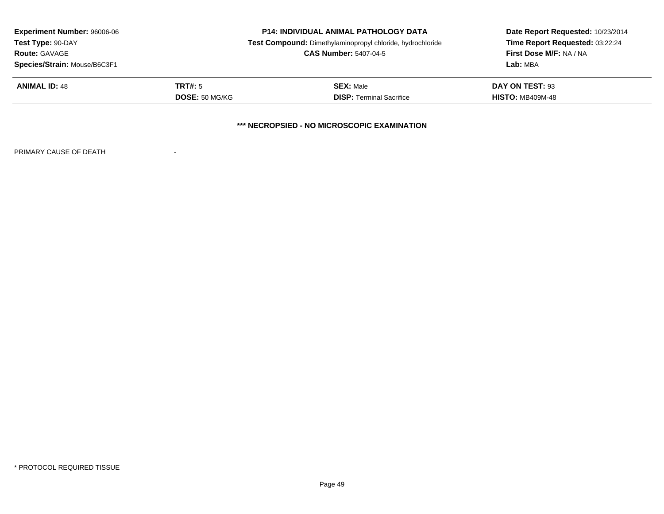| <b>Experiment Number: 96006-06</b><br>Test Type: 90-DAY |                              | <b>P14: INDIVIDUAL ANIMAL PATHOLOGY DATA</b>               | Date Report Requested: 10/23/2014<br>Time Report Requested: 03:22:24 |  |  |
|---------------------------------------------------------|------------------------------|------------------------------------------------------------|----------------------------------------------------------------------|--|--|
|                                                         |                              | Test Compound: Dimethylaminopropyl chloride, hydrochloride |                                                                      |  |  |
| <b>Route: GAVAGE</b>                                    | <b>CAS Number: 5407-04-5</b> |                                                            | First Dose M/F: NA / NA                                              |  |  |
| Species/Strain: Mouse/B6C3F1                            |                              |                                                            | Lab: MBA                                                             |  |  |
| <b>ANIMAL ID: 48</b>                                    | TRT#: 5                      | <b>SEX: Male</b>                                           | DAY ON TEST: 93                                                      |  |  |
|                                                         | <b>DOSE: 50 MG/KG</b>        | <b>DISP: Terminal Sacrifice</b>                            | <b>HISTO: MB409M-48</b>                                              |  |  |
| *** NECROPSIED - NO MICROSCOPIC EXAMINATION             |                              |                                                            |                                                                      |  |  |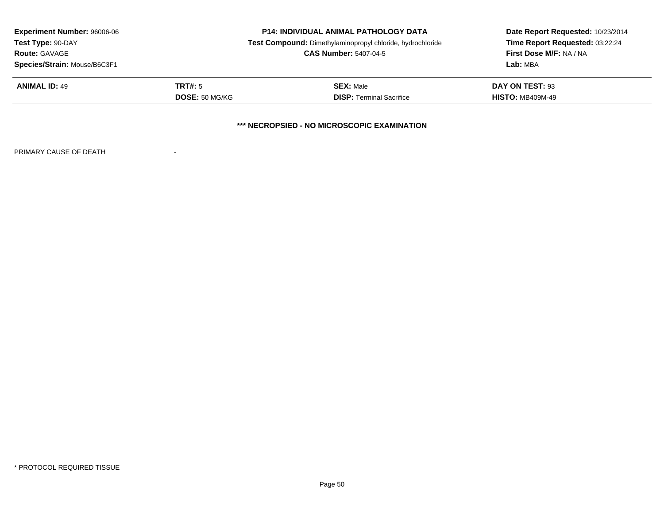| <b>Experiment Number: 96006-06</b><br>Test Type: 90-DAY |                              | <b>P14: INDIVIDUAL ANIMAL PATHOLOGY DATA</b>               | Date Report Requested: 10/23/2014<br>Time Report Requested: 03:22:24 |  |  |
|---------------------------------------------------------|------------------------------|------------------------------------------------------------|----------------------------------------------------------------------|--|--|
|                                                         |                              | Test Compound: Dimethylaminopropyl chloride, hydrochloride |                                                                      |  |  |
| <b>Route: GAVAGE</b>                                    | <b>CAS Number: 5407-04-5</b> |                                                            | <b>First Dose M/F: NA / NA</b>                                       |  |  |
| Species/Strain: Mouse/B6C3F1                            |                              |                                                            | Lab: MBA                                                             |  |  |
| <b>ANIMAL ID: 49</b>                                    | TRT#: 5                      | <b>SEX: Male</b>                                           | DAY ON TEST: 93                                                      |  |  |
|                                                         | DOSE: 50 MG/KG               | <b>DISP:</b> Terminal Sacrifice                            | <b>HISTO: MB409M-49</b>                                              |  |  |
| *** NECROPSIED - NO MICROSCOPIC EXAMINATION             |                              |                                                            |                                                                      |  |  |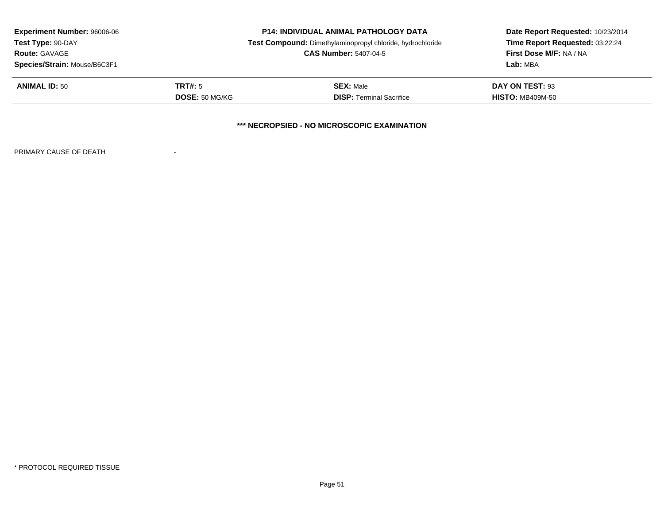| <b>Experiment Number: 96006-06</b><br>Test Type: 90-DAY<br><b>Route: GAVAGE</b><br>Species/Strain: Mouse/B6C3F1 |                       | <b>P14: INDIVIDUAL ANIMAL PATHOLOGY DATA</b>               | Date Report Requested: 10/23/2014<br>Time Report Requested: 03:22:24 |  |  |
|-----------------------------------------------------------------------------------------------------------------|-----------------------|------------------------------------------------------------|----------------------------------------------------------------------|--|--|
|                                                                                                                 |                       | Test Compound: Dimethylaminopropyl chloride, hydrochloride |                                                                      |  |  |
|                                                                                                                 |                       | <b>CAS Number: 5407-04-5</b>                               | First Dose M/F: NA / NA                                              |  |  |
|                                                                                                                 |                       |                                                            | Lab: MBA                                                             |  |  |
| <b>ANIMAL ID: 50</b>                                                                                            | TRT#: 5               | <b>SEX: Male</b>                                           | DAY ON TEST: 93                                                      |  |  |
|                                                                                                                 | <b>DOSE: 50 MG/KG</b> | <b>DISP: Terminal Sacrifice</b>                            | <b>HISTO: MB409M-50</b>                                              |  |  |
| *** NECROPSIED - NO MICROSCOPIC EXAMINATION                                                                     |                       |                                                            |                                                                      |  |  |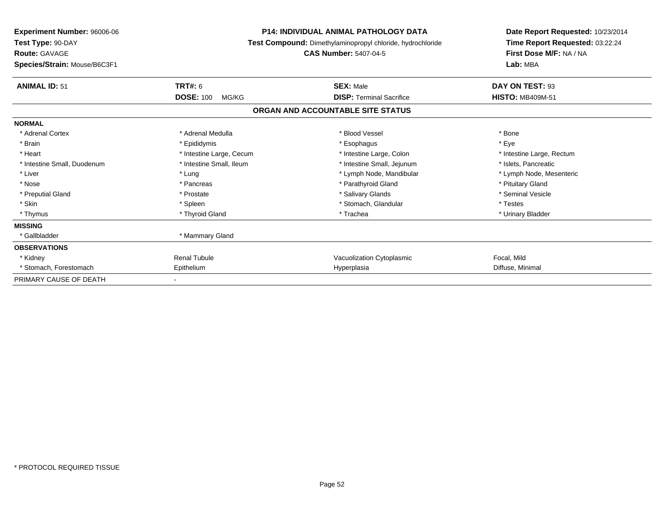| <b>Experiment Number: 96006-06</b><br>Test Type: 90-DAY<br><b>Route: GAVAGE</b><br>Species/Strain: Mouse/B6C3F1 |                           | <b>P14: INDIVIDUAL ANIMAL PATHOLOGY DATA</b><br>Test Compound: Dimethylaminopropyl chloride, hydrochloride<br><b>CAS Number: 5407-04-5</b> | Date Report Requested: 10/23/2014<br>Time Report Requested: 03:22:24<br>First Dose M/F: NA / NA<br>Lab: MBA |
|-----------------------------------------------------------------------------------------------------------------|---------------------------|--------------------------------------------------------------------------------------------------------------------------------------------|-------------------------------------------------------------------------------------------------------------|
| <b>ANIMAL ID: 51</b>                                                                                            | <b>TRT#: 6</b>            | <b>SEX: Male</b>                                                                                                                           | DAY ON TEST: 93                                                                                             |
|                                                                                                                 | <b>DOSE: 100</b><br>MG/KG | <b>DISP:</b> Terminal Sacrifice                                                                                                            | <b>HISTO: MB409M-51</b>                                                                                     |
|                                                                                                                 |                           | ORGAN AND ACCOUNTABLE SITE STATUS                                                                                                          |                                                                                                             |
| <b>NORMAL</b>                                                                                                   |                           |                                                                                                                                            |                                                                                                             |
| * Adrenal Cortex                                                                                                | * Adrenal Medulla         | * Blood Vessel                                                                                                                             | * Bone                                                                                                      |
| * Brain                                                                                                         | * Epididymis              | * Esophagus                                                                                                                                | * Eye                                                                                                       |
| * Heart                                                                                                         | * Intestine Large, Cecum  | * Intestine Large, Colon                                                                                                                   | * Intestine Large, Rectum                                                                                   |
| * Intestine Small, Duodenum                                                                                     | * Intestine Small, Ileum  | * Intestine Small, Jejunum                                                                                                                 | * Islets, Pancreatic                                                                                        |
| * Liver                                                                                                         | * Lung                    | * Lymph Node, Mandibular                                                                                                                   | * Lymph Node, Mesenteric                                                                                    |
| * Nose                                                                                                          | * Pancreas                | * Parathyroid Gland                                                                                                                        | * Pituitary Gland                                                                                           |
| * Preputial Gland                                                                                               | * Prostate                | * Salivary Glands                                                                                                                          | * Seminal Vesicle                                                                                           |
| * Skin                                                                                                          | * Spleen                  | * Stomach, Glandular                                                                                                                       | * Testes                                                                                                    |
| * Thymus                                                                                                        | * Thyroid Gland           | * Trachea                                                                                                                                  | * Urinary Bladder                                                                                           |
| <b>MISSING</b>                                                                                                  |                           |                                                                                                                                            |                                                                                                             |
| * Gallbladder                                                                                                   | * Mammary Gland           |                                                                                                                                            |                                                                                                             |
| <b>OBSERVATIONS</b>                                                                                             |                           |                                                                                                                                            |                                                                                                             |
| * Kidney                                                                                                        | <b>Renal Tubule</b>       | Vacuolization Cytoplasmic                                                                                                                  | Focal, Mild                                                                                                 |
| * Stomach, Forestomach                                                                                          | Epithelium                | Hyperplasia                                                                                                                                | Diffuse, Minimal                                                                                            |
| PRIMARY CAUSE OF DEATH                                                                                          |                           |                                                                                                                                            |                                                                                                             |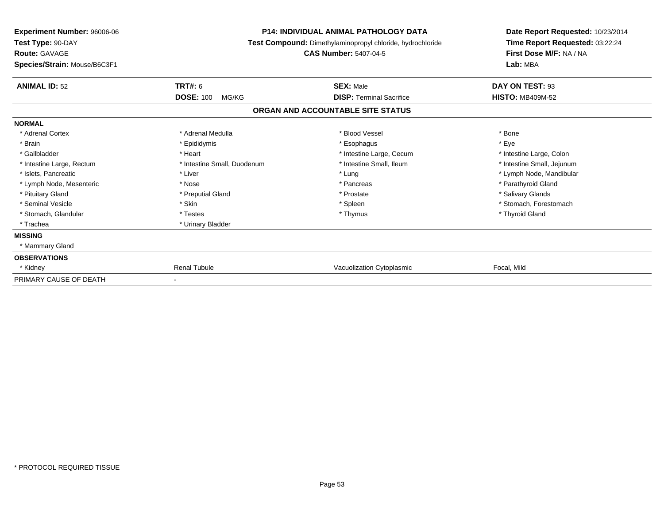| <b>Experiment Number: 96006-06</b><br>Test Type: 90-DAY<br><b>Route: GAVAGE</b><br>Species/Strain: Mouse/B6C3F1 |                             | <b>P14: INDIVIDUAL ANIMAL PATHOLOGY DATA</b><br>Test Compound: Dimethylaminopropyl chloride, hydrochloride<br><b>CAS Number: 5407-04-5</b> | Date Report Requested: 10/23/2014<br>Time Report Requested: 03:22:24<br>First Dose M/F: NA / NA<br>Lab: MBA |
|-----------------------------------------------------------------------------------------------------------------|-----------------------------|--------------------------------------------------------------------------------------------------------------------------------------------|-------------------------------------------------------------------------------------------------------------|
| <b>ANIMAL ID: 52</b>                                                                                            | <b>TRT#: 6</b>              | <b>SEX: Male</b>                                                                                                                           | DAY ON TEST: 93                                                                                             |
|                                                                                                                 | <b>DOSE: 100</b><br>MG/KG   | <b>DISP: Terminal Sacrifice</b>                                                                                                            | <b>HISTO: MB409M-52</b>                                                                                     |
|                                                                                                                 |                             | ORGAN AND ACCOUNTABLE SITE STATUS                                                                                                          |                                                                                                             |
| <b>NORMAL</b>                                                                                                   |                             |                                                                                                                                            |                                                                                                             |
| * Adrenal Cortex                                                                                                | * Adrenal Medulla           | * Blood Vessel                                                                                                                             | * Bone                                                                                                      |
| * Brain                                                                                                         | * Epididymis                | * Esophagus                                                                                                                                | * Eye                                                                                                       |
| * Gallbladder                                                                                                   | * Heart                     | * Intestine Large, Cecum                                                                                                                   | * Intestine Large, Colon                                                                                    |
| * Intestine Large, Rectum                                                                                       | * Intestine Small, Duodenum | * Intestine Small, Ileum                                                                                                                   | * Intestine Small, Jejunum                                                                                  |
| * Islets, Pancreatic                                                                                            | * Liver                     | * Lung                                                                                                                                     | * Lymph Node, Mandibular                                                                                    |
| * Lymph Node, Mesenteric                                                                                        | * Nose                      | * Pancreas                                                                                                                                 | * Parathyroid Gland                                                                                         |
| * Pituitary Gland                                                                                               | * Preputial Gland           | * Prostate                                                                                                                                 | * Salivary Glands                                                                                           |
| * Seminal Vesicle                                                                                               | * Skin                      | * Spleen                                                                                                                                   | * Stomach, Forestomach                                                                                      |
| * Stomach, Glandular                                                                                            | * Testes                    | * Thymus                                                                                                                                   | * Thyroid Gland                                                                                             |
| * Trachea                                                                                                       | * Urinary Bladder           |                                                                                                                                            |                                                                                                             |
| <b>MISSING</b>                                                                                                  |                             |                                                                                                                                            |                                                                                                             |
| * Mammary Gland                                                                                                 |                             |                                                                                                                                            |                                                                                                             |
| <b>OBSERVATIONS</b>                                                                                             |                             |                                                                                                                                            |                                                                                                             |
| * Kidney                                                                                                        | <b>Renal Tubule</b>         | Vacuolization Cytoplasmic                                                                                                                  | Focal, Mild                                                                                                 |
| PRIMARY CAUSE OF DEATH                                                                                          |                             |                                                                                                                                            |                                                                                                             |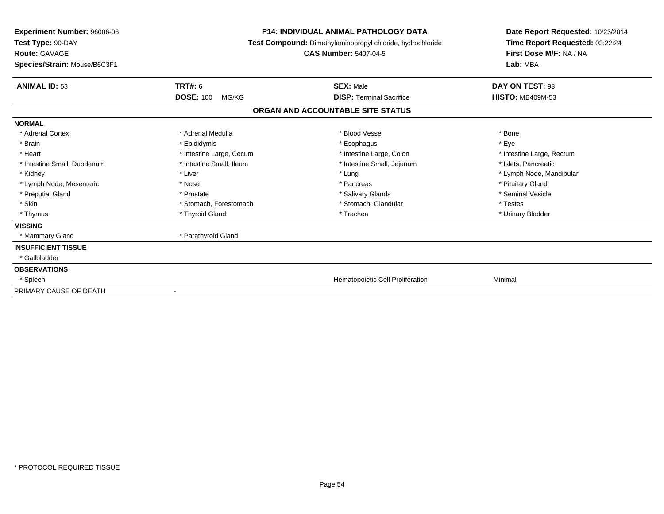| Experiment Number: 96006-06<br>Test Type: 90-DAY<br><b>Route: GAVAGE</b><br>Species/Strain: Mouse/B6C3F1 | <b>P14: INDIVIDUAL ANIMAL PATHOLOGY DATA</b><br>Test Compound: Dimethylaminopropyl chloride, hydrochloride<br><b>CAS Number: 5407-04-5</b> | Date Report Requested: 10/23/2014<br>Time Report Requested: 03:22:24<br>First Dose M/F: NA / NA<br>Lab: MBA |  |
|----------------------------------------------------------------------------------------------------------|--------------------------------------------------------------------------------------------------------------------------------------------|-------------------------------------------------------------------------------------------------------------|--|
| <b>ANIMAL ID: 53</b><br><b>TRT#: 6</b>                                                                   | <b>SEX: Male</b>                                                                                                                           | DAY ON TEST: 93                                                                                             |  |
| <b>DOSE: 100</b><br>MG/KG                                                                                | <b>DISP:</b> Terminal Sacrifice                                                                                                            | <b>HISTO: MB409M-53</b>                                                                                     |  |
|                                                                                                          | ORGAN AND ACCOUNTABLE SITE STATUS                                                                                                          |                                                                                                             |  |
| <b>NORMAL</b>                                                                                            |                                                                                                                                            |                                                                                                             |  |
| * Adrenal Cortex<br>* Adrenal Medulla                                                                    | * Blood Vessel                                                                                                                             | * Bone                                                                                                      |  |
| * Brain<br>* Epididymis                                                                                  | * Esophagus                                                                                                                                | * Eye                                                                                                       |  |
| * Heart<br>* Intestine Large, Cecum                                                                      | * Intestine Large, Colon                                                                                                                   | * Intestine Large, Rectum                                                                                   |  |
| * Intestine Small, Ileum<br>* Intestine Small, Duodenum                                                  | * Intestine Small, Jejunum                                                                                                                 | * Islets, Pancreatic                                                                                        |  |
| * Kidney<br>* Liver                                                                                      | * Lung                                                                                                                                     | * Lymph Node, Mandibular                                                                                    |  |
| * Lymph Node, Mesenteric<br>* Nose                                                                       | * Pancreas                                                                                                                                 | * Pituitary Gland                                                                                           |  |
| * Preputial Gland<br>* Prostate                                                                          | * Salivary Glands                                                                                                                          | * Seminal Vesicle                                                                                           |  |
| * Skin<br>* Stomach, Forestomach                                                                         | * Stomach, Glandular                                                                                                                       | * Testes                                                                                                    |  |
| * Thyroid Gland<br>* Thymus                                                                              | * Trachea                                                                                                                                  | * Urinary Bladder                                                                                           |  |
| <b>MISSING</b>                                                                                           |                                                                                                                                            |                                                                                                             |  |
| * Parathyroid Gland<br>* Mammary Gland                                                                   |                                                                                                                                            |                                                                                                             |  |
| <b>INSUFFICIENT TISSUE</b>                                                                               |                                                                                                                                            |                                                                                                             |  |
| * Gallbladder                                                                                            |                                                                                                                                            |                                                                                                             |  |
| <b>OBSERVATIONS</b>                                                                                      |                                                                                                                                            |                                                                                                             |  |
| * Spleen                                                                                                 | Hematopoietic Cell Proliferation                                                                                                           | Minimal                                                                                                     |  |
| PRIMARY CAUSE OF DEATH                                                                                   |                                                                                                                                            |                                                                                                             |  |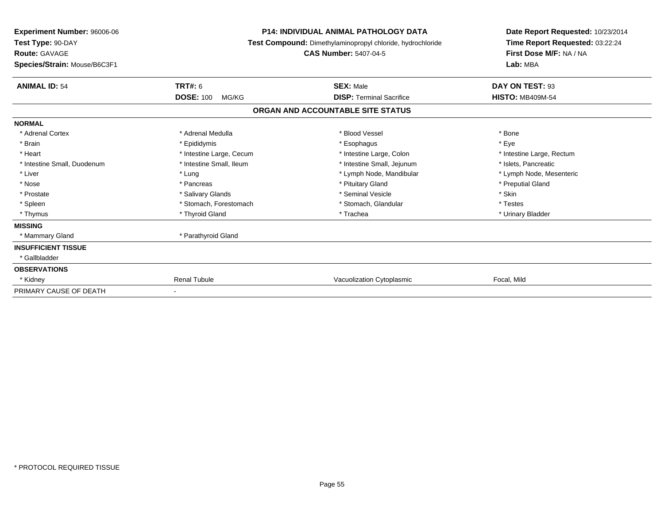| Experiment Number: 96006-06<br>Test Type: 90-DAY<br><b>Route: GAVAGE</b><br>Species/Strain: Mouse/B6C3F1 | <b>P14: INDIVIDUAL ANIMAL PATHOLOGY DATA</b><br>Test Compound: Dimethylaminopropyl chloride, hydrochloride<br><b>CAS Number: 5407-04-5</b> |                                   | Date Report Requested: 10/23/2014<br>Time Report Requested: 03:22:24<br>First Dose M/F: NA / NA<br>Lab: MBA |
|----------------------------------------------------------------------------------------------------------|--------------------------------------------------------------------------------------------------------------------------------------------|-----------------------------------|-------------------------------------------------------------------------------------------------------------|
| <b>ANIMAL ID: 54</b>                                                                                     | TRT#: 6                                                                                                                                    | <b>SEX: Male</b>                  | DAY ON TEST: 93                                                                                             |
|                                                                                                          | <b>DOSE: 100</b><br>MG/KG                                                                                                                  | <b>DISP: Terminal Sacrifice</b>   | <b>HISTO: MB409M-54</b>                                                                                     |
|                                                                                                          |                                                                                                                                            | ORGAN AND ACCOUNTABLE SITE STATUS |                                                                                                             |
| <b>NORMAL</b>                                                                                            |                                                                                                                                            |                                   |                                                                                                             |
| * Adrenal Cortex                                                                                         | * Adrenal Medulla                                                                                                                          | * Blood Vessel                    | * Bone                                                                                                      |
| * Brain                                                                                                  | * Epididymis                                                                                                                               | * Esophagus                       | * Eve                                                                                                       |
| * Heart                                                                                                  | * Intestine Large, Cecum                                                                                                                   | * Intestine Large, Colon          | * Intestine Large, Rectum                                                                                   |
| * Intestine Small, Duodenum                                                                              | * Intestine Small, Ileum                                                                                                                   | * Intestine Small, Jejunum        | * Islets. Pancreatic                                                                                        |
| * Liver                                                                                                  | * Lung                                                                                                                                     | * Lymph Node, Mandibular          | * Lymph Node, Mesenteric                                                                                    |
| * Nose                                                                                                   | * Pancreas                                                                                                                                 | * Pituitary Gland                 | * Preputial Gland                                                                                           |
| * Prostate                                                                                               | * Salivary Glands                                                                                                                          | * Seminal Vesicle                 | * Skin                                                                                                      |
| * Spleen                                                                                                 | * Stomach, Forestomach                                                                                                                     | * Stomach, Glandular              | * Testes                                                                                                    |
| * Thymus                                                                                                 | * Thyroid Gland                                                                                                                            | * Trachea                         | * Urinary Bladder                                                                                           |
| <b>MISSING</b>                                                                                           |                                                                                                                                            |                                   |                                                                                                             |
| * Mammary Gland                                                                                          | * Parathyroid Gland                                                                                                                        |                                   |                                                                                                             |
| <b>INSUFFICIENT TISSUE</b>                                                                               |                                                                                                                                            |                                   |                                                                                                             |
| * Gallbladder                                                                                            |                                                                                                                                            |                                   |                                                                                                             |
| <b>OBSERVATIONS</b>                                                                                      |                                                                                                                                            |                                   |                                                                                                             |
| * Kidney                                                                                                 | <b>Renal Tubule</b>                                                                                                                        | Vacuolization Cytoplasmic         | Focal, Mild                                                                                                 |
| PRIMARY CAUSE OF DEATH                                                                                   |                                                                                                                                            |                                   |                                                                                                             |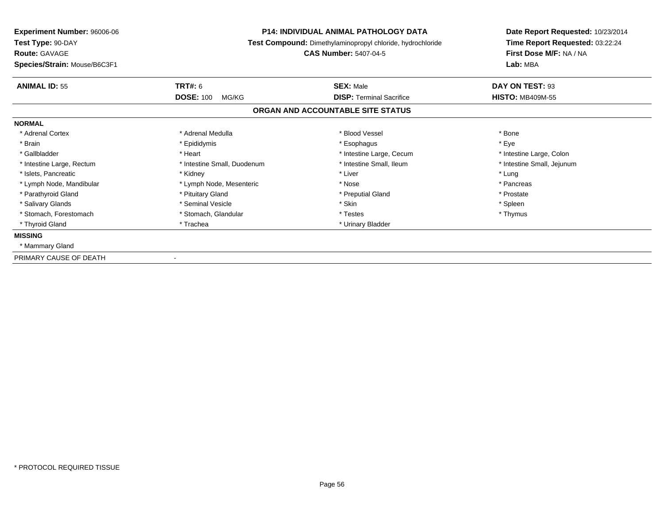| <b>Experiment Number: 96006-06</b><br>Test Type: 90-DAY<br><b>Route: GAVAGE</b><br>Species/Strain: Mouse/B6C3F1 | <b>P14: INDIVIDUAL ANIMAL PATHOLOGY DATA</b><br>Test Compound: Dimethylaminopropyl chloride, hydrochloride<br><b>CAS Number: 5407-04-5</b> |                                                     | Date Report Requested: 10/23/2014<br>Time Report Requested: 03:22:24<br>First Dose M/F: NA / NA<br>Lab: MBA |  |
|-----------------------------------------------------------------------------------------------------------------|--------------------------------------------------------------------------------------------------------------------------------------------|-----------------------------------------------------|-------------------------------------------------------------------------------------------------------------|--|
| <b>ANIMAL ID: 55</b>                                                                                            | <b>TRT#: 6</b><br><b>DOSE: 100</b><br>MG/KG                                                                                                | <b>SEX: Male</b><br><b>DISP: Terminal Sacrifice</b> | DAY ON TEST: 93<br><b>HISTO: MB409M-55</b>                                                                  |  |
|                                                                                                                 |                                                                                                                                            | ORGAN AND ACCOUNTABLE SITE STATUS                   |                                                                                                             |  |
| <b>NORMAL</b>                                                                                                   |                                                                                                                                            |                                                     |                                                                                                             |  |
| * Adrenal Cortex                                                                                                | * Adrenal Medulla                                                                                                                          | * Blood Vessel                                      | * Bone                                                                                                      |  |
| * Brain                                                                                                         | * Epididymis                                                                                                                               | * Esophagus                                         | * Eye                                                                                                       |  |
| * Gallbladder                                                                                                   | * Heart                                                                                                                                    | * Intestine Large, Cecum                            | * Intestine Large, Colon                                                                                    |  |
| * Intestine Large, Rectum                                                                                       | * Intestine Small, Duodenum                                                                                                                | * Intestine Small, Ileum                            | * Intestine Small, Jejunum                                                                                  |  |
| * Islets, Pancreatic                                                                                            | * Kidney                                                                                                                                   | * Liver                                             | * Lung                                                                                                      |  |
| * Lymph Node, Mandibular                                                                                        | * Lymph Node, Mesenteric                                                                                                                   | * Nose                                              | * Pancreas                                                                                                  |  |
| * Parathyroid Gland                                                                                             | * Pituitary Gland                                                                                                                          | * Preputial Gland                                   | * Prostate                                                                                                  |  |
| * Salivary Glands                                                                                               | * Seminal Vesicle                                                                                                                          | * Skin                                              | * Spleen                                                                                                    |  |
| * Stomach, Forestomach                                                                                          | * Stomach, Glandular                                                                                                                       | * Testes                                            | * Thymus                                                                                                    |  |
| * Thyroid Gland                                                                                                 | * Trachea                                                                                                                                  | * Urinary Bladder                                   |                                                                                                             |  |
| <b>MISSING</b>                                                                                                  |                                                                                                                                            |                                                     |                                                                                                             |  |
| * Mammary Gland                                                                                                 |                                                                                                                                            |                                                     |                                                                                                             |  |
| PRIMARY CAUSE OF DEATH                                                                                          |                                                                                                                                            |                                                     |                                                                                                             |  |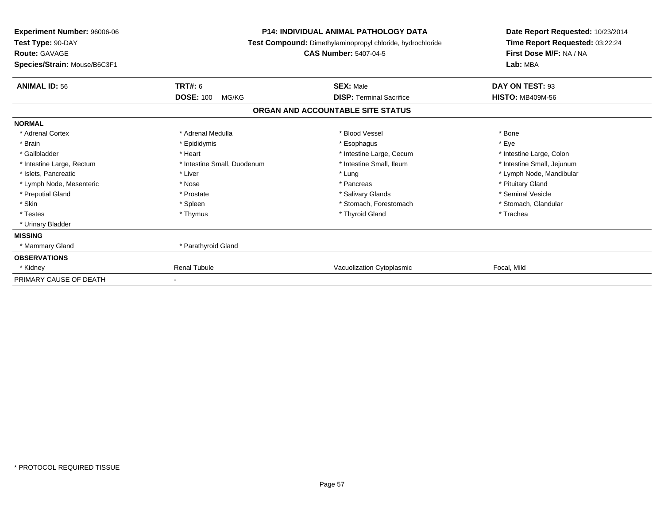| <b>Experiment Number: 96006-06</b><br>Test Type: 90-DAY<br><b>Route: GAVAGE</b><br>Species/Strain: Mouse/B6C3F1 | <b>P14: INDIVIDUAL ANIMAL PATHOLOGY DATA</b><br>Test Compound: Dimethylaminopropyl chloride, hydrochloride<br><b>CAS Number: 5407-04-5</b> |                                   | Date Report Requested: 10/23/2014<br>Time Report Requested: 03:22:24<br>First Dose M/F: NA / NA<br>Lab: MBA |
|-----------------------------------------------------------------------------------------------------------------|--------------------------------------------------------------------------------------------------------------------------------------------|-----------------------------------|-------------------------------------------------------------------------------------------------------------|
| <b>ANIMAL ID: 56</b>                                                                                            | <b>TRT#: 6</b>                                                                                                                             | <b>SEX: Male</b>                  | DAY ON TEST: 93                                                                                             |
|                                                                                                                 | <b>DOSE: 100</b><br>MG/KG                                                                                                                  | <b>DISP: Terminal Sacrifice</b>   | <b>HISTO: MB409M-56</b>                                                                                     |
|                                                                                                                 |                                                                                                                                            | ORGAN AND ACCOUNTABLE SITE STATUS |                                                                                                             |
| <b>NORMAL</b>                                                                                                   |                                                                                                                                            |                                   |                                                                                                             |
| * Adrenal Cortex                                                                                                | * Adrenal Medulla                                                                                                                          | * Blood Vessel                    | * Bone                                                                                                      |
| * Brain                                                                                                         | * Epididymis                                                                                                                               | * Esophagus                       | * Eye                                                                                                       |
| * Gallbladder                                                                                                   | * Heart                                                                                                                                    | * Intestine Large, Cecum          | * Intestine Large, Colon                                                                                    |
| * Intestine Large, Rectum                                                                                       | * Intestine Small, Duodenum                                                                                                                | * Intestine Small, Ileum          | * Intestine Small, Jejunum                                                                                  |
| * Islets, Pancreatic                                                                                            | * Liver                                                                                                                                    | * Lung                            | * Lymph Node, Mandibular                                                                                    |
| * Lymph Node, Mesenteric                                                                                        | * Nose                                                                                                                                     | * Pancreas                        | * Pituitary Gland                                                                                           |
| * Preputial Gland                                                                                               | * Prostate                                                                                                                                 | * Salivary Glands                 | * Seminal Vesicle                                                                                           |
| * Skin                                                                                                          | * Spleen                                                                                                                                   | * Stomach, Forestomach            | * Stomach, Glandular                                                                                        |
| * Testes                                                                                                        | * Thymus                                                                                                                                   | * Thyroid Gland                   | * Trachea                                                                                                   |
| * Urinary Bladder                                                                                               |                                                                                                                                            |                                   |                                                                                                             |
| <b>MISSING</b>                                                                                                  |                                                                                                                                            |                                   |                                                                                                             |
| * Mammary Gland                                                                                                 | * Parathyroid Gland                                                                                                                        |                                   |                                                                                                             |
| <b>OBSERVATIONS</b>                                                                                             |                                                                                                                                            |                                   |                                                                                                             |
| * Kidney                                                                                                        | <b>Renal Tubule</b>                                                                                                                        | Vacuolization Cytoplasmic         | Focal, Mild                                                                                                 |
| PRIMARY CAUSE OF DEATH                                                                                          |                                                                                                                                            |                                   |                                                                                                             |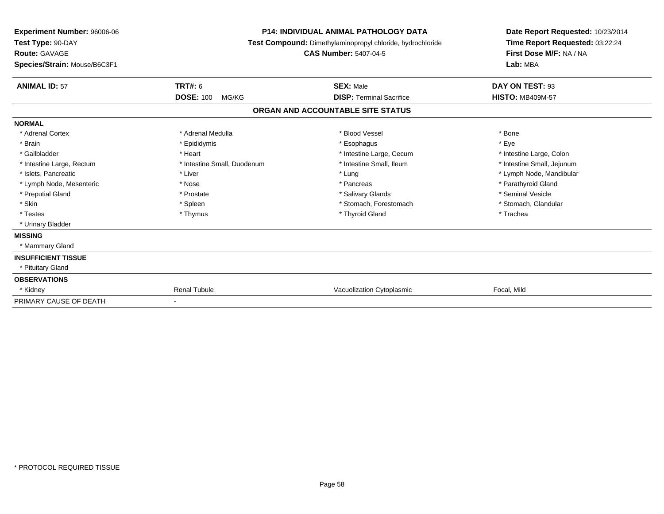| Experiment Number: 96006-06<br>Test Type: 90-DAY<br><b>Route: GAVAGE</b><br>Species/Strain: Mouse/B6C3F1 |                             | <b>P14: INDIVIDUAL ANIMAL PATHOLOGY DATA</b><br>Test Compound: Dimethylaminopropyl chloride, hydrochloride<br><b>CAS Number: 5407-04-5</b> | Date Report Requested: 10/23/2014<br>Time Report Requested: 03:22:24<br>First Dose M/F: NA / NA<br>Lab: MBA |  |
|----------------------------------------------------------------------------------------------------------|-----------------------------|--------------------------------------------------------------------------------------------------------------------------------------------|-------------------------------------------------------------------------------------------------------------|--|
| <b>ANIMAL ID: 57</b>                                                                                     | TRT#: 6                     | <b>SEX: Male</b>                                                                                                                           | DAY ON TEST: 93                                                                                             |  |
|                                                                                                          | <b>DOSE: 100</b><br>MG/KG   | <b>DISP: Terminal Sacrifice</b>                                                                                                            | <b>HISTO: MB409M-57</b>                                                                                     |  |
|                                                                                                          |                             | ORGAN AND ACCOUNTABLE SITE STATUS                                                                                                          |                                                                                                             |  |
| <b>NORMAL</b>                                                                                            |                             |                                                                                                                                            |                                                                                                             |  |
| * Adrenal Cortex                                                                                         | * Adrenal Medulla           | * Blood Vessel                                                                                                                             | * Bone                                                                                                      |  |
| * Brain                                                                                                  | * Epididymis                | * Esophagus                                                                                                                                | * Eye                                                                                                       |  |
| * Gallbladder                                                                                            | * Heart                     | * Intestine Large, Cecum                                                                                                                   | * Intestine Large, Colon                                                                                    |  |
| * Intestine Large, Rectum                                                                                | * Intestine Small, Duodenum | * Intestine Small. Ileum                                                                                                                   | * Intestine Small, Jejunum                                                                                  |  |
| * Islets, Pancreatic                                                                                     | * Liver                     | * Lung                                                                                                                                     | * Lymph Node, Mandibular                                                                                    |  |
| * Lymph Node, Mesenteric                                                                                 | * Nose                      | * Pancreas                                                                                                                                 | * Parathyroid Gland                                                                                         |  |
| * Preputial Gland                                                                                        | * Prostate                  | * Salivary Glands                                                                                                                          | * Seminal Vesicle                                                                                           |  |
| * Skin                                                                                                   | * Spleen                    | * Stomach, Forestomach                                                                                                                     | * Stomach, Glandular                                                                                        |  |
| * Testes                                                                                                 | * Thymus                    | * Thyroid Gland                                                                                                                            | * Trachea                                                                                                   |  |
| * Urinary Bladder                                                                                        |                             |                                                                                                                                            |                                                                                                             |  |
| <b>MISSING</b>                                                                                           |                             |                                                                                                                                            |                                                                                                             |  |
| * Mammary Gland                                                                                          |                             |                                                                                                                                            |                                                                                                             |  |
| <b>INSUFFICIENT TISSUE</b>                                                                               |                             |                                                                                                                                            |                                                                                                             |  |
| * Pituitary Gland                                                                                        |                             |                                                                                                                                            |                                                                                                             |  |
| <b>OBSERVATIONS</b>                                                                                      |                             |                                                                                                                                            |                                                                                                             |  |
| * Kidney                                                                                                 | <b>Renal Tubule</b>         | Vacuolization Cytoplasmic                                                                                                                  | Focal, Mild                                                                                                 |  |
| PRIMARY CAUSE OF DEATH                                                                                   |                             |                                                                                                                                            |                                                                                                             |  |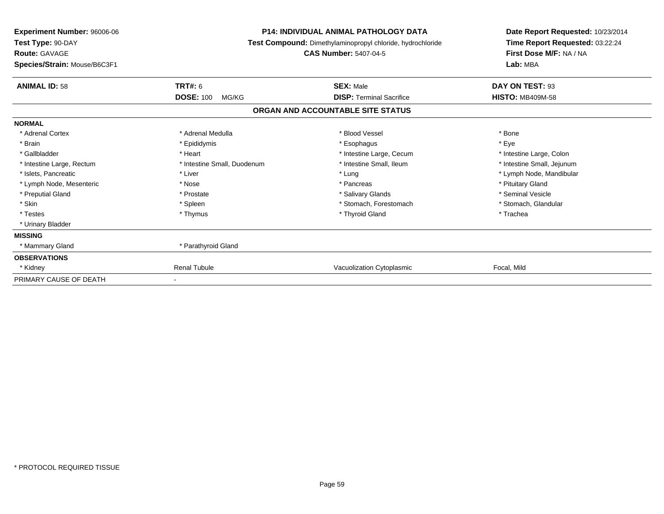| <b>Experiment Number: 96006-06</b><br>Test Type: 90-DAY<br><b>Route: GAVAGE</b><br>Species/Strain: Mouse/B6C3F1 | <b>P14: INDIVIDUAL ANIMAL PATHOLOGY DATA</b><br>Test Compound: Dimethylaminopropyl chloride, hydrochloride<br><b>CAS Number: 5407-04-5</b> |                                   | Date Report Requested: 10/23/2014<br>Time Report Requested: 03:22:24<br>First Dose M/F: NA / NA<br>Lab: MBA |  |
|-----------------------------------------------------------------------------------------------------------------|--------------------------------------------------------------------------------------------------------------------------------------------|-----------------------------------|-------------------------------------------------------------------------------------------------------------|--|
| <b>ANIMAL ID: 58</b>                                                                                            | <b>TRT#: 6</b>                                                                                                                             | <b>SEX: Male</b>                  | DAY ON TEST: 93                                                                                             |  |
|                                                                                                                 | <b>DOSE: 100</b><br>MG/KG                                                                                                                  | <b>DISP: Terminal Sacrifice</b>   | <b>HISTO: MB409M-58</b>                                                                                     |  |
|                                                                                                                 |                                                                                                                                            | ORGAN AND ACCOUNTABLE SITE STATUS |                                                                                                             |  |
| <b>NORMAL</b>                                                                                                   |                                                                                                                                            |                                   |                                                                                                             |  |
| * Adrenal Cortex                                                                                                | * Adrenal Medulla                                                                                                                          | * Blood Vessel                    | * Bone                                                                                                      |  |
| * Brain                                                                                                         | * Epididymis                                                                                                                               | * Esophagus                       | * Eye                                                                                                       |  |
| * Gallbladder                                                                                                   | * Heart                                                                                                                                    | * Intestine Large, Cecum          | * Intestine Large, Colon                                                                                    |  |
| * Intestine Large, Rectum                                                                                       | * Intestine Small, Duodenum                                                                                                                | * Intestine Small, Ileum          | * Intestine Small, Jejunum                                                                                  |  |
| * Islets, Pancreatic                                                                                            | * Liver                                                                                                                                    | * Lung                            | * Lymph Node, Mandibular                                                                                    |  |
| * Lymph Node, Mesenteric                                                                                        | * Nose                                                                                                                                     | * Pancreas                        | * Pituitary Gland                                                                                           |  |
| * Preputial Gland                                                                                               | * Prostate                                                                                                                                 | * Salivary Glands                 | * Seminal Vesicle                                                                                           |  |
| * Skin                                                                                                          | * Spleen                                                                                                                                   | * Stomach, Forestomach            | * Stomach, Glandular                                                                                        |  |
| * Testes                                                                                                        | * Thymus                                                                                                                                   | * Thyroid Gland                   | * Trachea                                                                                                   |  |
| * Urinary Bladder                                                                                               |                                                                                                                                            |                                   |                                                                                                             |  |
| <b>MISSING</b>                                                                                                  |                                                                                                                                            |                                   |                                                                                                             |  |
| * Mammary Gland                                                                                                 | * Parathyroid Gland                                                                                                                        |                                   |                                                                                                             |  |
| <b>OBSERVATIONS</b>                                                                                             |                                                                                                                                            |                                   |                                                                                                             |  |
| * Kidney                                                                                                        | <b>Renal Tubule</b>                                                                                                                        | Vacuolization Cytoplasmic         | Focal, Mild                                                                                                 |  |
| PRIMARY CAUSE OF DEATH                                                                                          |                                                                                                                                            |                                   |                                                                                                             |  |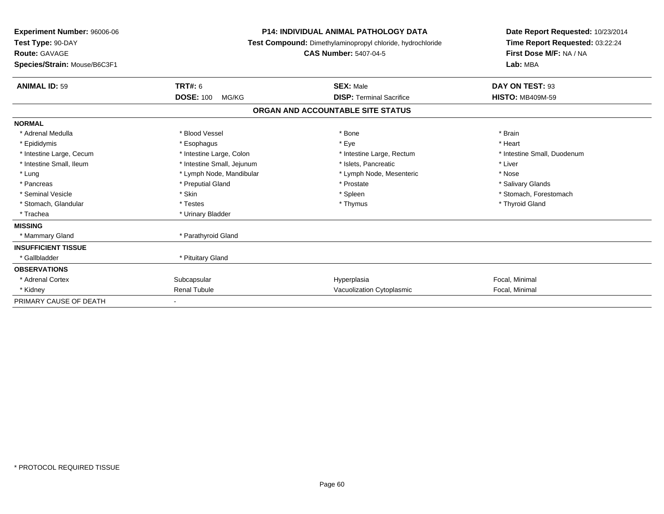| <b>Experiment Number: 96006-06</b><br>Test Type: 90-DAY<br><b>Route: GAVAGE</b><br>Species/Strain: Mouse/B6C3F1 |                            | <b>P14: INDIVIDUAL ANIMAL PATHOLOGY DATA</b><br>Test Compound: Dimethylaminopropyl chloride, hydrochloride<br><b>CAS Number: 5407-04-5</b> | Date Report Requested: 10/23/2014<br>Time Report Requested: 03:22:24<br>First Dose M/F: NA / NA<br>Lab: MBA |  |
|-----------------------------------------------------------------------------------------------------------------|----------------------------|--------------------------------------------------------------------------------------------------------------------------------------------|-------------------------------------------------------------------------------------------------------------|--|
| <b>ANIMAL ID: 59</b>                                                                                            | TRT#: 6                    | <b>SEX: Male</b>                                                                                                                           | DAY ON TEST: 93                                                                                             |  |
|                                                                                                                 | <b>DOSE: 100</b><br>MG/KG  | <b>DISP: Terminal Sacrifice</b>                                                                                                            | <b>HISTO: MB409M-59</b>                                                                                     |  |
|                                                                                                                 |                            | ORGAN AND ACCOUNTABLE SITE STATUS                                                                                                          |                                                                                                             |  |
| <b>NORMAL</b>                                                                                                   |                            |                                                                                                                                            |                                                                                                             |  |
| * Adrenal Medulla                                                                                               | * Blood Vessel             | * Bone                                                                                                                                     | * Brain                                                                                                     |  |
| * Epididymis                                                                                                    | * Esophagus                | * Eye                                                                                                                                      | * Heart                                                                                                     |  |
| * Intestine Large, Cecum                                                                                        | * Intestine Large, Colon   | * Intestine Large, Rectum                                                                                                                  | * Intestine Small, Duodenum                                                                                 |  |
| * Intestine Small, Ileum                                                                                        | * Intestine Small, Jejunum | * Islets, Pancreatic                                                                                                                       | * Liver                                                                                                     |  |
| * Lung                                                                                                          | * Lymph Node, Mandibular   | * Lymph Node, Mesenteric                                                                                                                   | * Nose                                                                                                      |  |
| * Pancreas                                                                                                      | * Preputial Gland          | * Prostate                                                                                                                                 | * Salivary Glands                                                                                           |  |
| * Seminal Vesicle                                                                                               | * Skin                     | * Spleen                                                                                                                                   | * Stomach, Forestomach                                                                                      |  |
| * Stomach, Glandular                                                                                            | * Testes                   | * Thymus                                                                                                                                   | * Thyroid Gland                                                                                             |  |
| * Trachea                                                                                                       | * Urinary Bladder          |                                                                                                                                            |                                                                                                             |  |
| <b>MISSING</b>                                                                                                  |                            |                                                                                                                                            |                                                                                                             |  |
| * Mammary Gland                                                                                                 | * Parathyroid Gland        |                                                                                                                                            |                                                                                                             |  |
| <b>INSUFFICIENT TISSUE</b>                                                                                      |                            |                                                                                                                                            |                                                                                                             |  |
| * Gallbladder                                                                                                   | * Pituitary Gland          |                                                                                                                                            |                                                                                                             |  |
| <b>OBSERVATIONS</b>                                                                                             |                            |                                                                                                                                            |                                                                                                             |  |
| * Adrenal Cortex                                                                                                | Subcapsular                | Hyperplasia                                                                                                                                | Focal, Minimal                                                                                              |  |
| * Kidney                                                                                                        | <b>Renal Tubule</b>        | Vacuolization Cytoplasmic                                                                                                                  | Focal, Minimal                                                                                              |  |
| PRIMARY CAUSE OF DEATH                                                                                          |                            |                                                                                                                                            |                                                                                                             |  |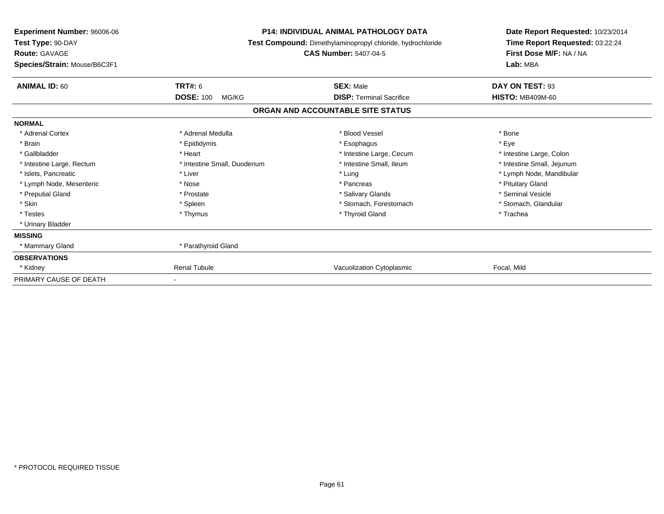| <b>Experiment Number: 96006-06</b><br>Test Type: 90-DAY<br><b>Route: GAVAGE</b><br>Species/Strain: Mouse/B6C3F1 |                             | <b>P14: INDIVIDUAL ANIMAL PATHOLOGY DATA</b><br>Test Compound: Dimethylaminopropyl chloride, hydrochloride<br><b>CAS Number: 5407-04-5</b> | Date Report Requested: 10/23/2014<br>Time Report Requested: 03:22:24<br>First Dose M/F: NA / NA<br>Lab: MBA |
|-----------------------------------------------------------------------------------------------------------------|-----------------------------|--------------------------------------------------------------------------------------------------------------------------------------------|-------------------------------------------------------------------------------------------------------------|
| <b>ANIMAL ID: 60</b>                                                                                            | <b>TRT#: 6</b>              | <b>SEX: Male</b>                                                                                                                           | DAY ON TEST: 93                                                                                             |
|                                                                                                                 | <b>DOSE: 100</b><br>MG/KG   | <b>DISP: Terminal Sacrifice</b>                                                                                                            | <b>HISTO: MB409M-60</b>                                                                                     |
|                                                                                                                 |                             | ORGAN AND ACCOUNTABLE SITE STATUS                                                                                                          |                                                                                                             |
| <b>NORMAL</b>                                                                                                   |                             |                                                                                                                                            |                                                                                                             |
| * Adrenal Cortex                                                                                                | * Adrenal Medulla           | * Blood Vessel                                                                                                                             | * Bone                                                                                                      |
| * Brain                                                                                                         | * Epididymis                | * Esophagus                                                                                                                                | * Eye                                                                                                       |
| * Gallbladder                                                                                                   | * Heart                     | * Intestine Large, Cecum                                                                                                                   | * Intestine Large, Colon                                                                                    |
| * Intestine Large, Rectum                                                                                       | * Intestine Small, Duodenum | * Intestine Small, Ileum                                                                                                                   | * Intestine Small, Jejunum                                                                                  |
| * Islets, Pancreatic                                                                                            | * Liver                     | * Lung                                                                                                                                     | * Lymph Node, Mandibular                                                                                    |
| * Lymph Node, Mesenteric                                                                                        | * Nose                      | * Pancreas                                                                                                                                 | * Pituitary Gland                                                                                           |
| * Preputial Gland                                                                                               | * Prostate                  | * Salivary Glands                                                                                                                          | * Seminal Vesicle                                                                                           |
| * Skin                                                                                                          | * Spleen                    | * Stomach, Forestomach                                                                                                                     | * Stomach, Glandular                                                                                        |
| * Testes                                                                                                        | * Thymus                    | * Thyroid Gland                                                                                                                            | * Trachea                                                                                                   |
| * Urinary Bladder                                                                                               |                             |                                                                                                                                            |                                                                                                             |
| <b>MISSING</b>                                                                                                  |                             |                                                                                                                                            |                                                                                                             |
| * Mammary Gland                                                                                                 | * Parathyroid Gland         |                                                                                                                                            |                                                                                                             |
| <b>OBSERVATIONS</b>                                                                                             |                             |                                                                                                                                            |                                                                                                             |
| * Kidney                                                                                                        | <b>Renal Tubule</b>         | Vacuolization Cytoplasmic                                                                                                                  | Focal, Mild                                                                                                 |
| PRIMARY CAUSE OF DEATH                                                                                          |                             |                                                                                                                                            |                                                                                                             |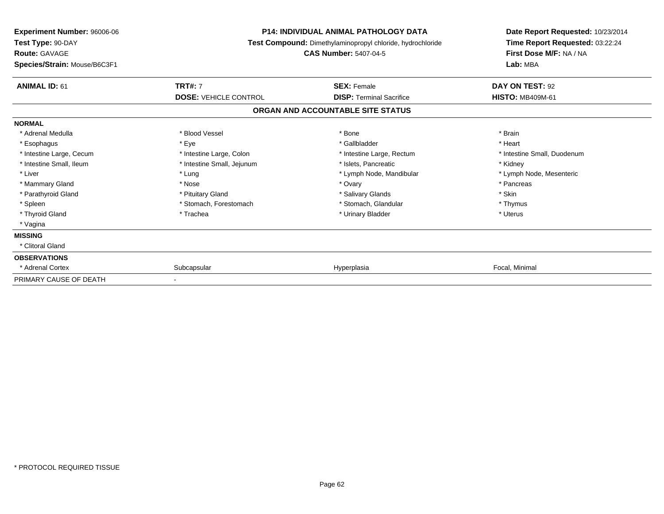| <b>Experiment Number: 96006-06</b><br>Test Type: 90-DAY | <b>P14: INDIVIDUAL ANIMAL PATHOLOGY DATA</b><br>Test Compound: Dimethylaminopropyl chloride, hydrochloride<br><b>CAS Number: 5407-04-5</b> |                                   | Date Report Requested: 10/23/2014<br>Time Report Requested: 03:22:24<br>First Dose M/F: NA / NA<br>Lab: MBA |
|---------------------------------------------------------|--------------------------------------------------------------------------------------------------------------------------------------------|-----------------------------------|-------------------------------------------------------------------------------------------------------------|
| <b>Route: GAVAGE</b><br>Species/Strain: Mouse/B6C3F1    |                                                                                                                                            |                                   |                                                                                                             |
| <b>ANIMAL ID: 61</b>                                    | <b>TRT#: 7</b>                                                                                                                             | <b>SEX: Female</b>                | DAY ON TEST: 92                                                                                             |
|                                                         | <b>DOSE: VEHICLE CONTROL</b>                                                                                                               | <b>DISP: Terminal Sacrifice</b>   | <b>HISTO: MB409M-61</b>                                                                                     |
|                                                         |                                                                                                                                            | ORGAN AND ACCOUNTABLE SITE STATUS |                                                                                                             |
| <b>NORMAL</b>                                           |                                                                                                                                            |                                   |                                                                                                             |
| * Adrenal Medulla                                       | * Blood Vessel                                                                                                                             | * Bone                            | * Brain                                                                                                     |
| * Esophagus                                             | * Eye                                                                                                                                      | * Gallbladder                     | * Heart                                                                                                     |
| * Intestine Large, Cecum                                | * Intestine Large, Colon                                                                                                                   | * Intestine Large, Rectum         | * Intestine Small, Duodenum                                                                                 |
| * Intestine Small, Ileum                                | * Intestine Small, Jejunum                                                                                                                 | * Islets, Pancreatic              | * Kidney                                                                                                    |
| * Liver                                                 | * Lung                                                                                                                                     | * Lymph Node, Mandibular          | * Lymph Node, Mesenteric                                                                                    |
| * Mammary Gland                                         | * Nose                                                                                                                                     | * Ovary                           | * Pancreas                                                                                                  |
| * Parathyroid Gland                                     | * Pituitary Gland                                                                                                                          | * Salivary Glands                 | * Skin                                                                                                      |
| * Spleen                                                | * Stomach, Forestomach                                                                                                                     | * Stomach, Glandular              | * Thymus                                                                                                    |
| * Thyroid Gland                                         | * Trachea                                                                                                                                  | * Urinary Bladder                 | * Uterus                                                                                                    |
| * Vagina                                                |                                                                                                                                            |                                   |                                                                                                             |
| <b>MISSING</b>                                          |                                                                                                                                            |                                   |                                                                                                             |
| * Clitoral Gland                                        |                                                                                                                                            |                                   |                                                                                                             |
| <b>OBSERVATIONS</b>                                     |                                                                                                                                            |                                   |                                                                                                             |
| * Adrenal Cortex                                        | Subcapsular                                                                                                                                | Hyperplasia                       | Focal, Minimal                                                                                              |
| PRIMARY CAUSE OF DEATH                                  |                                                                                                                                            |                                   |                                                                                                             |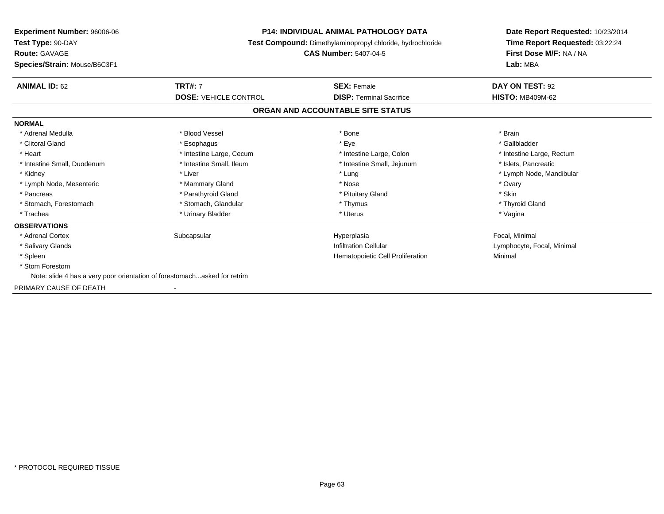| <b>Experiment Number: 96006-06</b>                                        | <b>P14: INDIVIDUAL ANIMAL PATHOLOGY DATA</b><br><b>Test Compound:</b> Dimethylaminopropyl chloride, hydrochloride<br><b>CAS Number: 5407-04-5</b> |                                   | Date Report Requested: 10/23/2014<br>Time Report Requested: 03:22:24<br>First Dose M/F: NA / NA<br>Lab: MBA |
|---------------------------------------------------------------------------|---------------------------------------------------------------------------------------------------------------------------------------------------|-----------------------------------|-------------------------------------------------------------------------------------------------------------|
| Test Type: 90-DAY<br><b>Route: GAVAGE</b><br>Species/Strain: Mouse/B6C3F1 |                                                                                                                                                   |                                   |                                                                                                             |
|                                                                           |                                                                                                                                                   |                                   |                                                                                                             |
| <b>ANIMAL ID: 62</b>                                                      | <b>TRT#: 7</b>                                                                                                                                    | <b>SEX: Female</b>                | DAY ON TEST: 92                                                                                             |
|                                                                           | <b>DOSE: VEHICLE CONTROL</b>                                                                                                                      | <b>DISP: Terminal Sacrifice</b>   | <b>HISTO: MB409M-62</b>                                                                                     |
|                                                                           |                                                                                                                                                   | ORGAN AND ACCOUNTABLE SITE STATUS |                                                                                                             |
| <b>NORMAL</b>                                                             |                                                                                                                                                   |                                   |                                                                                                             |
| * Adrenal Medulla                                                         | * Blood Vessel                                                                                                                                    | * Bone                            | * Brain                                                                                                     |
| * Clitoral Gland                                                          | * Esophagus                                                                                                                                       | * Eye                             | * Gallbladder                                                                                               |
| * Heart                                                                   | * Intestine Large, Cecum                                                                                                                          | * Intestine Large, Colon          | * Intestine Large, Rectum                                                                                   |
| * Intestine Small, Duodenum                                               | * Intestine Small, Ileum                                                                                                                          | * Intestine Small, Jejunum        | * Islets, Pancreatic                                                                                        |
| * Kidney                                                                  | * Liver                                                                                                                                           | * Lung                            | * Lymph Node, Mandibular                                                                                    |
| * Lymph Node, Mesenteric                                                  | * Mammary Gland                                                                                                                                   | * Nose                            | * Ovary                                                                                                     |
| * Pancreas                                                                | * Parathyroid Gland                                                                                                                               | * Pituitary Gland                 | * Skin                                                                                                      |
| * Stomach, Forestomach                                                    | * Stomach, Glandular                                                                                                                              | * Thymus                          | * Thyroid Gland                                                                                             |
| * Trachea                                                                 | * Urinary Bladder                                                                                                                                 | * Uterus                          | * Vagina                                                                                                    |
| <b>OBSERVATIONS</b>                                                       |                                                                                                                                                   |                                   |                                                                                                             |
| * Adrenal Cortex                                                          | Subcapsular                                                                                                                                       | Hyperplasia                       | Focal, Minimal                                                                                              |
| * Salivary Glands                                                         |                                                                                                                                                   | <b>Infiltration Cellular</b>      | Lymphocyte, Focal, Minimal                                                                                  |
| * Spleen                                                                  |                                                                                                                                                   | Hematopoietic Cell Proliferation  | Minimal                                                                                                     |
| * Stom Forestom                                                           |                                                                                                                                                   |                                   |                                                                                                             |
| Note: slide 4 has a very poor orientation of forestomachasked for retrim  |                                                                                                                                                   |                                   |                                                                                                             |
| PRIMARY CAUSE OF DEATH                                                    |                                                                                                                                                   |                                   |                                                                                                             |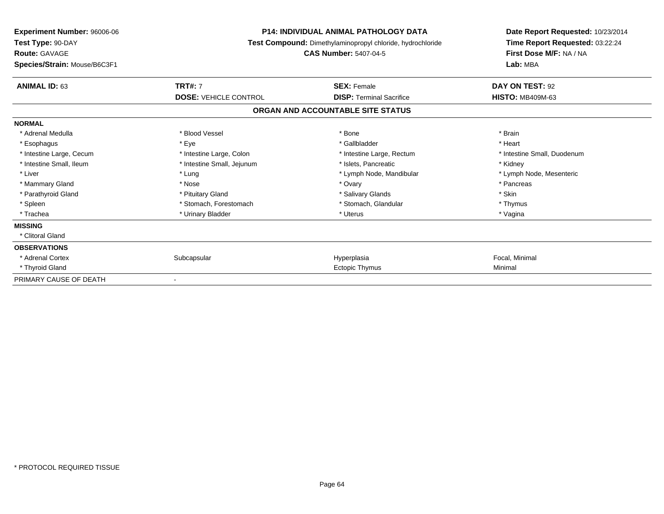| <b>Experiment Number: 96006-06</b><br>Test Type: 90-DAY<br><b>Route: GAVAGE</b><br>Species/Strain: Mouse/B6C3F1 | <b>P14: INDIVIDUAL ANIMAL PATHOLOGY DATA</b><br>Test Compound: Dimethylaminopropyl chloride, hydrochloride<br><b>CAS Number: 5407-04-5</b> |                                   | Date Report Requested: 10/23/2014<br>Time Report Requested: 03:22:24<br>First Dose M/F: NA / NA<br>Lab: MBA |
|-----------------------------------------------------------------------------------------------------------------|--------------------------------------------------------------------------------------------------------------------------------------------|-----------------------------------|-------------------------------------------------------------------------------------------------------------|
| <b>ANIMAL ID: 63</b>                                                                                            | <b>TRT#: 7</b>                                                                                                                             | <b>SEX: Female</b>                | DAY ON TEST: 92                                                                                             |
|                                                                                                                 | <b>DOSE: VEHICLE CONTROL</b>                                                                                                               | <b>DISP: Terminal Sacrifice</b>   | <b>HISTO: MB409M-63</b>                                                                                     |
|                                                                                                                 |                                                                                                                                            | ORGAN AND ACCOUNTABLE SITE STATUS |                                                                                                             |
| <b>NORMAL</b>                                                                                                   |                                                                                                                                            |                                   |                                                                                                             |
| * Adrenal Medulla                                                                                               | * Blood Vessel                                                                                                                             | * Bone                            | * Brain                                                                                                     |
| * Esophagus                                                                                                     | * Eye                                                                                                                                      | * Gallbladder                     | * Heart                                                                                                     |
| * Intestine Large, Cecum                                                                                        | * Intestine Large, Colon                                                                                                                   | * Intestine Large, Rectum         | * Intestine Small. Duodenum                                                                                 |
| * Intestine Small, Ileum                                                                                        | * Intestine Small, Jejunum                                                                                                                 | * Islets. Pancreatic              | * Kidney                                                                                                    |
| * Liver                                                                                                         | * Lung                                                                                                                                     | * Lymph Node, Mandibular          | * Lymph Node, Mesenteric                                                                                    |
| * Mammary Gland                                                                                                 | * Nose                                                                                                                                     | * Ovary                           | * Pancreas                                                                                                  |
| * Parathyroid Gland                                                                                             | * Pituitary Gland                                                                                                                          | * Salivary Glands                 | * Skin                                                                                                      |
| * Spleen                                                                                                        | * Stomach, Forestomach                                                                                                                     | * Stomach, Glandular              | * Thymus                                                                                                    |
| * Trachea                                                                                                       | * Urinary Bladder                                                                                                                          | * Uterus                          | * Vagina                                                                                                    |
| <b>MISSING</b>                                                                                                  |                                                                                                                                            |                                   |                                                                                                             |
| * Clitoral Gland                                                                                                |                                                                                                                                            |                                   |                                                                                                             |
| <b>OBSERVATIONS</b>                                                                                             |                                                                                                                                            |                                   |                                                                                                             |
| * Adrenal Cortex                                                                                                | Subcapsular                                                                                                                                | Hyperplasia                       | Focal, Minimal                                                                                              |
| * Thyroid Gland                                                                                                 |                                                                                                                                            | Ectopic Thymus                    | Minimal                                                                                                     |
| PRIMARY CAUSE OF DEATH                                                                                          |                                                                                                                                            |                                   |                                                                                                             |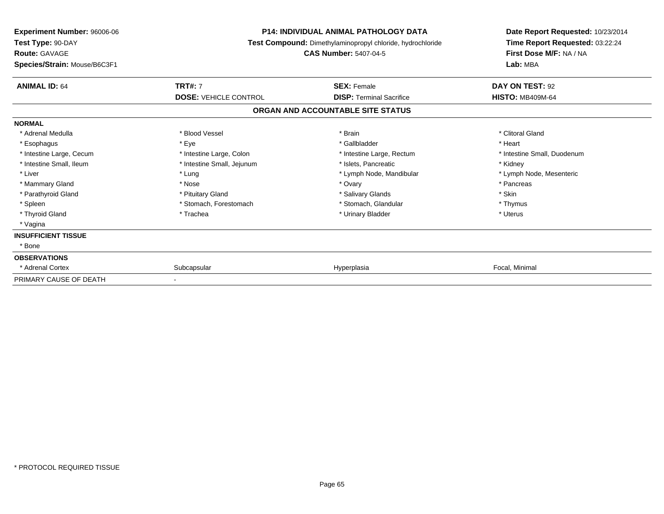| Experiment Number: 96006-06<br>Test Type: 90-DAY<br><b>Route: GAVAGE</b><br>Species/Strain: Mouse/B6C3F1 | <b>P14: INDIVIDUAL ANIMAL PATHOLOGY DATA</b><br>Test Compound: Dimethylaminopropyl chloride, hydrochloride<br><b>CAS Number: 5407-04-5</b> |                                   | Date Report Requested: 10/23/2014<br>Time Report Requested: 03:22:24<br>First Dose M/F: NA / NA<br>Lab: MBA |  |
|----------------------------------------------------------------------------------------------------------|--------------------------------------------------------------------------------------------------------------------------------------------|-----------------------------------|-------------------------------------------------------------------------------------------------------------|--|
|                                                                                                          |                                                                                                                                            |                                   |                                                                                                             |  |
| <b>ANIMAL ID: 64</b>                                                                                     | <b>TRT#: 7</b>                                                                                                                             | <b>SEX: Female</b>                | DAY ON TEST: 92                                                                                             |  |
|                                                                                                          | <b>DOSE: VEHICLE CONTROL</b>                                                                                                               | <b>DISP: Terminal Sacrifice</b>   | <b>HISTO: MB409M-64</b>                                                                                     |  |
|                                                                                                          |                                                                                                                                            | ORGAN AND ACCOUNTABLE SITE STATUS |                                                                                                             |  |
| <b>NORMAL</b>                                                                                            |                                                                                                                                            |                                   |                                                                                                             |  |
| * Adrenal Medulla                                                                                        | * Blood Vessel                                                                                                                             | * Brain                           | * Clitoral Gland                                                                                            |  |
| * Esophagus                                                                                              | * Eye                                                                                                                                      | * Gallbladder                     | * Heart                                                                                                     |  |
| * Intestine Large, Cecum                                                                                 | * Intestine Large, Colon                                                                                                                   | * Intestine Large, Rectum         | * Intestine Small, Duodenum                                                                                 |  |
| * Intestine Small, Ileum                                                                                 | * Intestine Small, Jejunum                                                                                                                 | * Islets, Pancreatic              | * Kidney                                                                                                    |  |
| * Liver                                                                                                  | * Lung                                                                                                                                     | * Lymph Node, Mandibular          | * Lymph Node, Mesenteric                                                                                    |  |
| * Mammary Gland                                                                                          | * Nose                                                                                                                                     | * Ovary                           | * Pancreas                                                                                                  |  |
| * Parathyroid Gland                                                                                      | * Pituitary Gland                                                                                                                          | * Salivary Glands                 | * Skin                                                                                                      |  |
| * Spleen                                                                                                 | * Stomach, Forestomach                                                                                                                     | * Stomach, Glandular              | * Thymus                                                                                                    |  |
| * Thyroid Gland                                                                                          | * Trachea                                                                                                                                  | * Urinary Bladder                 | * Uterus                                                                                                    |  |
| * Vagina                                                                                                 |                                                                                                                                            |                                   |                                                                                                             |  |
| <b>INSUFFICIENT TISSUE</b>                                                                               |                                                                                                                                            |                                   |                                                                                                             |  |
| * Bone                                                                                                   |                                                                                                                                            |                                   |                                                                                                             |  |
| <b>OBSERVATIONS</b>                                                                                      |                                                                                                                                            |                                   |                                                                                                             |  |
| * Adrenal Cortex                                                                                         | Subcapsular                                                                                                                                | Hyperplasia                       | Focal, Minimal                                                                                              |  |
| PRIMARY CAUSE OF DEATH                                                                                   |                                                                                                                                            |                                   |                                                                                                             |  |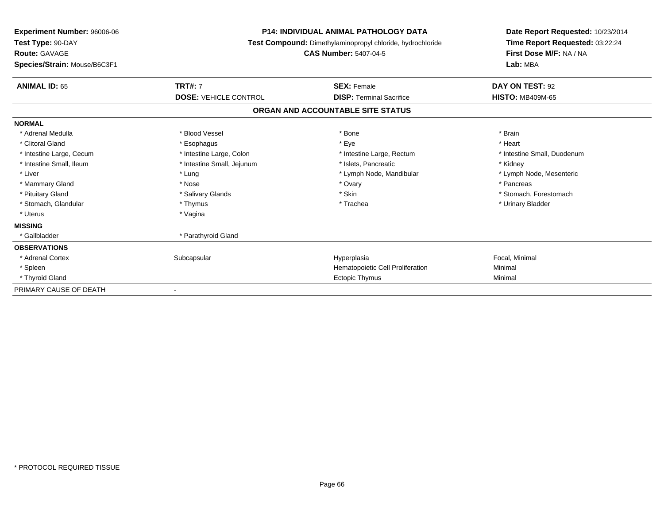| Experiment Number: 96006-06<br>Test Type: 90-DAY<br><b>Route: GAVAGE</b><br>Species/Strain: Mouse/B6C3F1 | <b>P14: INDIVIDUAL ANIMAL PATHOLOGY DATA</b><br><b>Test Compound:</b> Dimethylaminopropyl chloride, hydrochloride<br><b>CAS Number: 5407-04-5</b> |                                   | Date Report Requested: 10/23/2014<br>Time Report Requested: 03:22:24<br>First Dose M/F: NA / NA<br>Lab: MBA |
|----------------------------------------------------------------------------------------------------------|---------------------------------------------------------------------------------------------------------------------------------------------------|-----------------------------------|-------------------------------------------------------------------------------------------------------------|
| <b>ANIMAL ID: 65</b>                                                                                     | <b>TRT#: 7</b>                                                                                                                                    | <b>SEX: Female</b>                | DAY ON TEST: 92                                                                                             |
|                                                                                                          | <b>DOSE: VEHICLE CONTROL</b>                                                                                                                      | <b>DISP: Terminal Sacrifice</b>   | <b>HISTO: MB409M-65</b>                                                                                     |
|                                                                                                          |                                                                                                                                                   | ORGAN AND ACCOUNTABLE SITE STATUS |                                                                                                             |
| <b>NORMAL</b>                                                                                            |                                                                                                                                                   |                                   |                                                                                                             |
| * Adrenal Medulla                                                                                        | * Blood Vessel                                                                                                                                    | * Bone                            | * Brain                                                                                                     |
| * Clitoral Gland                                                                                         | * Esophagus                                                                                                                                       | * Eye                             | * Heart                                                                                                     |
| * Intestine Large, Cecum                                                                                 | * Intestine Large, Colon                                                                                                                          | * Intestine Large, Rectum         | * Intestine Small, Duodenum                                                                                 |
| * Intestine Small, Ileum                                                                                 | * Intestine Small, Jejunum                                                                                                                        | * Islets, Pancreatic              | * Kidney                                                                                                    |
| * Liver                                                                                                  | * Lung                                                                                                                                            | * Lymph Node, Mandibular          | * Lymph Node, Mesenteric                                                                                    |
| * Mammary Gland                                                                                          | * Nose                                                                                                                                            | * Ovary                           | * Pancreas                                                                                                  |
| * Pituitary Gland                                                                                        | * Salivary Glands                                                                                                                                 | * Skin                            | * Stomach, Forestomach                                                                                      |
| * Stomach, Glandular                                                                                     | * Thymus                                                                                                                                          | * Trachea                         | * Urinary Bladder                                                                                           |
| * Uterus                                                                                                 | * Vagina                                                                                                                                          |                                   |                                                                                                             |
| <b>MISSING</b>                                                                                           |                                                                                                                                                   |                                   |                                                                                                             |
| * Gallbladder                                                                                            | * Parathyroid Gland                                                                                                                               |                                   |                                                                                                             |
| <b>OBSERVATIONS</b>                                                                                      |                                                                                                                                                   |                                   |                                                                                                             |
| * Adrenal Cortex                                                                                         | Subcapsular                                                                                                                                       | Hyperplasia                       | Focal, Minimal                                                                                              |
| * Spleen                                                                                                 |                                                                                                                                                   | Hematopoietic Cell Proliferation  | Minimal                                                                                                     |
| * Thyroid Gland                                                                                          |                                                                                                                                                   | <b>Ectopic Thymus</b>             | Minimal                                                                                                     |
| PRIMARY CAUSE OF DEATH                                                                                   |                                                                                                                                                   |                                   |                                                                                                             |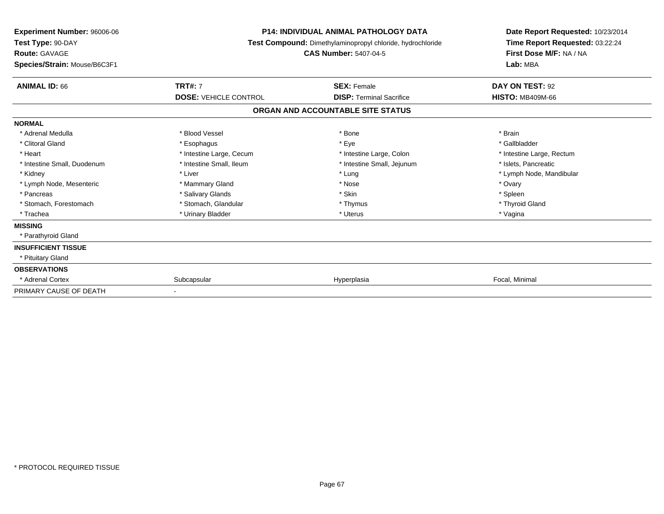| <b>Experiment Number: 96006-06</b><br>Test Type: 90-DAY<br><b>Route: GAVAGE</b><br>Species/Strain: Mouse/B6C3F1 | <b>P14: INDIVIDUAL ANIMAL PATHOLOGY DATA</b><br>Test Compound: Dimethylaminopropyl chloride, hydrochloride<br><b>CAS Number: 5407-04-5</b> |                                   | Date Report Requested: 10/23/2014<br>Time Report Requested: 03:22:24<br>First Dose M/F: NA / NA<br>Lab: MBA |
|-----------------------------------------------------------------------------------------------------------------|--------------------------------------------------------------------------------------------------------------------------------------------|-----------------------------------|-------------------------------------------------------------------------------------------------------------|
| <b>ANIMAL ID: 66</b>                                                                                            | <b>TRT#: 7</b>                                                                                                                             | <b>SEX: Female</b>                | DAY ON TEST: 92                                                                                             |
|                                                                                                                 | <b>DOSE: VEHICLE CONTROL</b>                                                                                                               | <b>DISP: Terminal Sacrifice</b>   | <b>HISTO: MB409M-66</b>                                                                                     |
|                                                                                                                 |                                                                                                                                            | ORGAN AND ACCOUNTABLE SITE STATUS |                                                                                                             |
| <b>NORMAL</b>                                                                                                   |                                                                                                                                            |                                   |                                                                                                             |
| * Adrenal Medulla                                                                                               | * Blood Vessel                                                                                                                             | * Bone                            | * Brain                                                                                                     |
| * Clitoral Gland                                                                                                | * Esophagus                                                                                                                                | * Eye                             | * Gallbladder                                                                                               |
| * Heart                                                                                                         | * Intestine Large, Cecum                                                                                                                   | * Intestine Large, Colon          | * Intestine Large, Rectum                                                                                   |
| * Intestine Small, Duodenum                                                                                     | * Intestine Small, Ileum                                                                                                                   | * Intestine Small, Jejunum        | * Islets, Pancreatic                                                                                        |
| * Kidney                                                                                                        | * Liver                                                                                                                                    | * Lung                            | * Lymph Node, Mandibular                                                                                    |
| * Lymph Node, Mesenteric                                                                                        | * Mammary Gland                                                                                                                            | * Nose                            | * Ovary                                                                                                     |
| * Pancreas                                                                                                      | * Salivary Glands                                                                                                                          | * Skin                            | * Spleen                                                                                                    |
| * Stomach, Forestomach                                                                                          | * Stomach, Glandular                                                                                                                       | * Thymus                          | * Thyroid Gland                                                                                             |
| * Trachea                                                                                                       | * Urinary Bladder                                                                                                                          | * Uterus                          | * Vagina                                                                                                    |
| <b>MISSING</b>                                                                                                  |                                                                                                                                            |                                   |                                                                                                             |
| * Parathyroid Gland                                                                                             |                                                                                                                                            |                                   |                                                                                                             |
| <b>INSUFFICIENT TISSUE</b>                                                                                      |                                                                                                                                            |                                   |                                                                                                             |
| * Pituitary Gland                                                                                               |                                                                                                                                            |                                   |                                                                                                             |
| <b>OBSERVATIONS</b>                                                                                             |                                                                                                                                            |                                   |                                                                                                             |
| * Adrenal Cortex                                                                                                | Subcapsular                                                                                                                                | Hyperplasia                       | Focal, Minimal                                                                                              |
| PRIMARY CAUSE OF DEATH                                                                                          |                                                                                                                                            |                                   |                                                                                                             |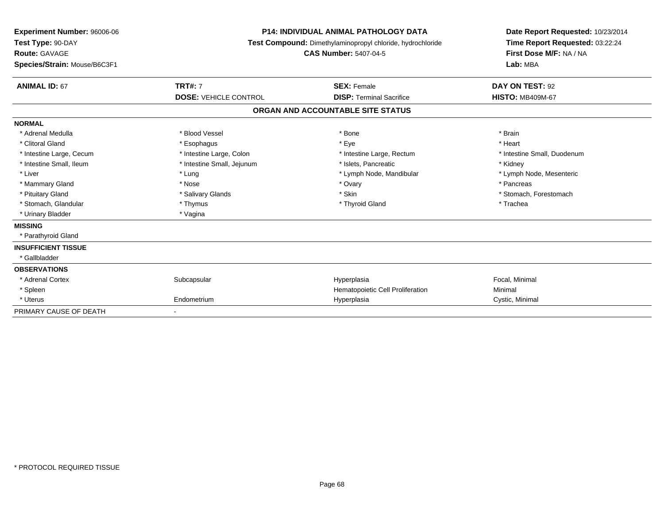| Experiment Number: 96006-06<br>Test Type: 90-DAY<br>Route: GAVAGE<br>Species/Strain: Mouse/B6C3F1 |                              | <b>P14: INDIVIDUAL ANIMAL PATHOLOGY DATA</b><br>Test Compound: Dimethylaminopropyl chloride, hydrochloride<br><b>CAS Number: 5407-04-5</b> | Date Report Requested: 10/23/2014<br>Time Report Requested: 03:22:24<br>First Dose M/F: NA / NA<br>Lab: MBA |  |
|---------------------------------------------------------------------------------------------------|------------------------------|--------------------------------------------------------------------------------------------------------------------------------------------|-------------------------------------------------------------------------------------------------------------|--|
| <b>ANIMAL ID: 67</b>                                                                              | <b>TRT#: 7</b>               | <b>SEX: Female</b>                                                                                                                         | DAY ON TEST: 92                                                                                             |  |
|                                                                                                   | <b>DOSE: VEHICLE CONTROL</b> | <b>DISP: Terminal Sacrifice</b>                                                                                                            | <b>HISTO: MB409M-67</b>                                                                                     |  |
|                                                                                                   |                              | ORGAN AND ACCOUNTABLE SITE STATUS                                                                                                          |                                                                                                             |  |
| <b>NORMAL</b>                                                                                     |                              |                                                                                                                                            |                                                                                                             |  |
| * Adrenal Medulla                                                                                 | * Blood Vessel               | * Bone                                                                                                                                     | * Brain                                                                                                     |  |
| * Clitoral Gland                                                                                  | * Esophagus                  | * Eye                                                                                                                                      | * Heart                                                                                                     |  |
| * Intestine Large, Cecum                                                                          | * Intestine Large, Colon     | * Intestine Large, Rectum                                                                                                                  | * Intestine Small, Duodenum                                                                                 |  |
| * Intestine Small, Ileum                                                                          | * Intestine Small, Jejunum   | * Islets, Pancreatic                                                                                                                       | * Kidney                                                                                                    |  |
| * Liver                                                                                           | * Lung                       | * Lymph Node, Mandibular                                                                                                                   | * Lymph Node, Mesenteric                                                                                    |  |
| * Mammary Gland                                                                                   | * Nose                       | * Ovary                                                                                                                                    | * Pancreas                                                                                                  |  |
| * Pituitary Gland                                                                                 | * Salivary Glands            | * Skin                                                                                                                                     | * Stomach, Forestomach                                                                                      |  |
| * Stomach, Glandular                                                                              | * Thymus                     | * Thyroid Gland                                                                                                                            | * Trachea                                                                                                   |  |
| * Urinary Bladder                                                                                 | * Vagina                     |                                                                                                                                            |                                                                                                             |  |
| <b>MISSING</b>                                                                                    |                              |                                                                                                                                            |                                                                                                             |  |
| * Parathyroid Gland                                                                               |                              |                                                                                                                                            |                                                                                                             |  |
| <b>INSUFFICIENT TISSUE</b>                                                                        |                              |                                                                                                                                            |                                                                                                             |  |
| * Gallbladder                                                                                     |                              |                                                                                                                                            |                                                                                                             |  |
| <b>OBSERVATIONS</b>                                                                               |                              |                                                                                                                                            |                                                                                                             |  |
| * Adrenal Cortex                                                                                  | Subcapsular                  | Hyperplasia                                                                                                                                | Focal, Minimal                                                                                              |  |
| * Spleen                                                                                          |                              | Hematopoietic Cell Proliferation                                                                                                           | Minimal                                                                                                     |  |
| * Uterus                                                                                          | Endometrium                  | Hyperplasia                                                                                                                                | Cystic, Minimal                                                                                             |  |
| PRIMARY CAUSE OF DEATH                                                                            |                              |                                                                                                                                            |                                                                                                             |  |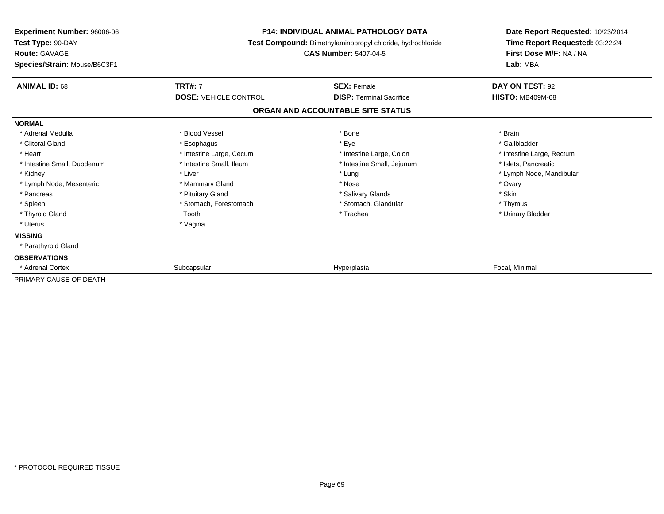| <b>Experiment Number: 96006-06</b><br>Test Type: 90-DAY<br><b>Route: GAVAGE</b> | <b>P14: INDIVIDUAL ANIMAL PATHOLOGY DATA</b><br>Test Compound: Dimethylaminopropyl chloride, hydrochloride<br><b>CAS Number: 5407-04-5</b> |                                   | Date Report Requested: 10/23/2014<br>Time Report Requested: 03:22:24<br>First Dose M/F: NA / NA |  |
|---------------------------------------------------------------------------------|--------------------------------------------------------------------------------------------------------------------------------------------|-----------------------------------|-------------------------------------------------------------------------------------------------|--|
| Species/Strain: Mouse/B6C3F1                                                    |                                                                                                                                            |                                   | Lab: MBA                                                                                        |  |
| <b>ANIMAL ID: 68</b>                                                            | <b>TRT#: 7</b>                                                                                                                             | <b>SEX: Female</b>                | DAY ON TEST: 92                                                                                 |  |
|                                                                                 | <b>DOSE: VEHICLE CONTROL</b>                                                                                                               | <b>DISP: Terminal Sacrifice</b>   | <b>HISTO: MB409M-68</b>                                                                         |  |
|                                                                                 |                                                                                                                                            | ORGAN AND ACCOUNTABLE SITE STATUS |                                                                                                 |  |
| <b>NORMAL</b>                                                                   |                                                                                                                                            |                                   |                                                                                                 |  |
| * Adrenal Medulla                                                               | * Blood Vessel                                                                                                                             | * Bone                            | * Brain                                                                                         |  |
| * Clitoral Gland                                                                | * Esophagus                                                                                                                                | * Eye                             | * Gallbladder                                                                                   |  |
| * Heart                                                                         | * Intestine Large, Cecum                                                                                                                   | * Intestine Large, Colon          | * Intestine Large, Rectum                                                                       |  |
| * Intestine Small, Duodenum                                                     | * Intestine Small, Ileum                                                                                                                   | * Intestine Small, Jejunum        | * Islets, Pancreatic                                                                            |  |
| * Kidney                                                                        | * Liver                                                                                                                                    | * Lung                            | * Lymph Node, Mandibular                                                                        |  |
| * Lymph Node, Mesenteric                                                        | * Mammary Gland                                                                                                                            | * Nose                            | * Ovary                                                                                         |  |
| * Pancreas                                                                      | * Pituitary Gland                                                                                                                          | * Salivary Glands                 | * Skin                                                                                          |  |
| * Spleen                                                                        | * Stomach, Forestomach                                                                                                                     | * Stomach, Glandular              | * Thymus                                                                                        |  |
| * Thyroid Gland                                                                 | Tooth                                                                                                                                      | * Trachea                         | * Urinary Bladder                                                                               |  |
| * Uterus                                                                        | * Vagina                                                                                                                                   |                                   |                                                                                                 |  |
| <b>MISSING</b>                                                                  |                                                                                                                                            |                                   |                                                                                                 |  |
| * Parathyroid Gland                                                             |                                                                                                                                            |                                   |                                                                                                 |  |
| <b>OBSERVATIONS</b>                                                             |                                                                                                                                            |                                   |                                                                                                 |  |
| * Adrenal Cortex                                                                | Subcapsular                                                                                                                                | Hyperplasia                       | Focal, Minimal                                                                                  |  |
| PRIMARY CAUSE OF DEATH                                                          |                                                                                                                                            |                                   |                                                                                                 |  |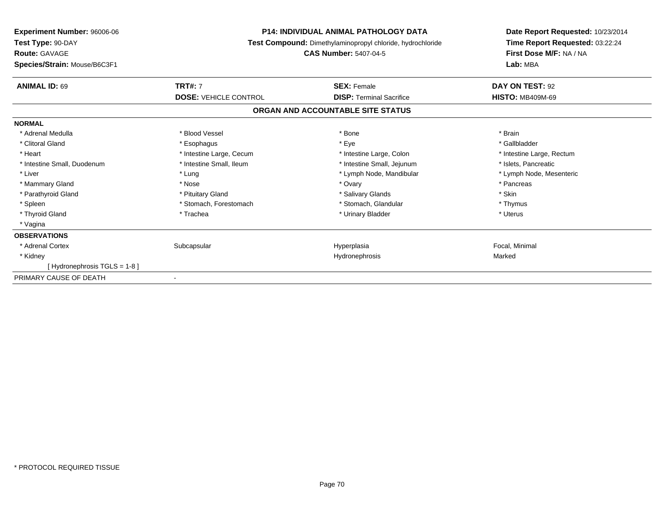| <b>P14: INDIVIDUAL ANIMAL PATHOLOGY DATA</b><br><b>Experiment Number: 96006-06</b><br>Test Type: 90-DAY<br>Test Compound: Dimethylaminopropyl chloride, hydrochloride |                              |                                   | Date Report Requested: 10/23/2014<br>Time Report Requested: 03:22:24<br>First Dose M/F: NA / NA |
|-----------------------------------------------------------------------------------------------------------------------------------------------------------------------|------------------------------|-----------------------------------|-------------------------------------------------------------------------------------------------|
| <b>Route: GAVAGE</b>                                                                                                                                                  | <b>CAS Number: 5407-04-5</b> |                                   |                                                                                                 |
| Species/Strain: Mouse/B6C3F1                                                                                                                                          |                              |                                   | Lab: MBA                                                                                        |
| <b>ANIMAL ID: 69</b>                                                                                                                                                  | <b>TRT#: 7</b>               | <b>SEX: Female</b>                | DAY ON TEST: 92                                                                                 |
|                                                                                                                                                                       | <b>DOSE: VEHICLE CONTROL</b> | <b>DISP: Terminal Sacrifice</b>   | <b>HISTO: MB409M-69</b>                                                                         |
|                                                                                                                                                                       |                              | ORGAN AND ACCOUNTABLE SITE STATUS |                                                                                                 |
| <b>NORMAL</b>                                                                                                                                                         |                              |                                   |                                                                                                 |
| * Adrenal Medulla                                                                                                                                                     | * Blood Vessel               | * Bone                            | * Brain                                                                                         |
| * Clitoral Gland                                                                                                                                                      | * Esophagus                  | * Eye                             | * Gallbladder                                                                                   |
| * Heart                                                                                                                                                               | * Intestine Large, Cecum     | * Intestine Large, Colon          | * Intestine Large, Rectum                                                                       |
| * Intestine Small, Duodenum                                                                                                                                           | * Intestine Small, Ileum     | * Intestine Small, Jejunum        | * Islets, Pancreatic                                                                            |
| * Liver                                                                                                                                                               | * Lung                       | * Lymph Node, Mandibular          | * Lymph Node, Mesenteric                                                                        |
| * Mammary Gland                                                                                                                                                       | * Nose                       | * Ovary                           | * Pancreas                                                                                      |
| * Parathyroid Gland                                                                                                                                                   | * Pituitary Gland            | * Salivary Glands                 | * Skin                                                                                          |
| * Spleen                                                                                                                                                              | * Stomach, Forestomach       | * Stomach, Glandular              | * Thymus                                                                                        |
| * Thyroid Gland                                                                                                                                                       | * Trachea                    | * Urinary Bladder                 | * Uterus                                                                                        |
| * Vagina                                                                                                                                                              |                              |                                   |                                                                                                 |
| <b>OBSERVATIONS</b>                                                                                                                                                   |                              |                                   |                                                                                                 |
| * Adrenal Cortex                                                                                                                                                      | Subcapsular                  | Hyperplasia                       | Focal, Minimal                                                                                  |
| * Kidney                                                                                                                                                              |                              | Hydronephrosis                    | Marked                                                                                          |
| [Hydronephrosis TGLS = 1-8]                                                                                                                                           |                              |                                   |                                                                                                 |
| PRIMARY CAUSE OF DEATH                                                                                                                                                |                              |                                   |                                                                                                 |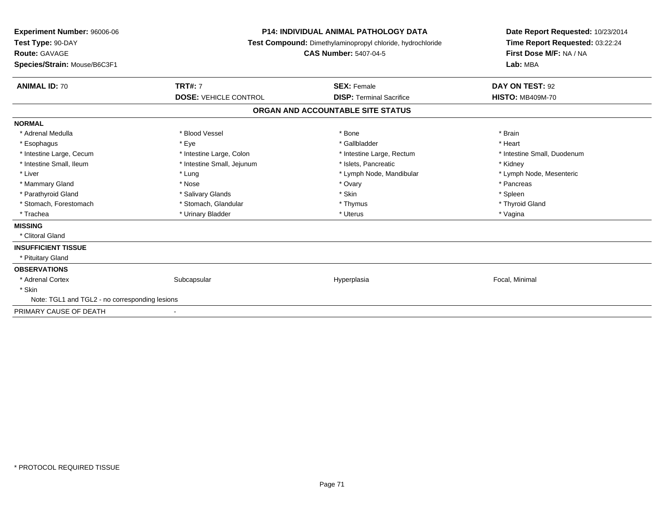| Experiment Number: 96006-06<br>Test Type: 90-DAY<br>Route: GAVAGE<br>Species/Strain: Mouse/B6C3F1 |                              | <b>P14: INDIVIDUAL ANIMAL PATHOLOGY DATA</b><br><b>Test Compound:</b> Dimethylaminopropyl chloride, hydrochloride<br><b>CAS Number: 5407-04-5</b> | Date Report Requested: 10/23/2014<br>Time Report Requested: 03:22:24<br>First Dose M/F: NA / NA<br>Lab: MBA |
|---------------------------------------------------------------------------------------------------|------------------------------|---------------------------------------------------------------------------------------------------------------------------------------------------|-------------------------------------------------------------------------------------------------------------|
| <b>ANIMAL ID: 70</b>                                                                              | <b>TRT#: 7</b>               | <b>SEX: Female</b>                                                                                                                                | DAY ON TEST: 92                                                                                             |
|                                                                                                   | <b>DOSE: VEHICLE CONTROL</b> | <b>DISP: Terminal Sacrifice</b>                                                                                                                   | <b>HISTO: MB409M-70</b>                                                                                     |
|                                                                                                   |                              | ORGAN AND ACCOUNTABLE SITE STATUS                                                                                                                 |                                                                                                             |
| <b>NORMAL</b>                                                                                     |                              |                                                                                                                                                   |                                                                                                             |
| * Adrenal Medulla                                                                                 | * Blood Vessel               | * Bone                                                                                                                                            | * Brain                                                                                                     |
| * Esophagus                                                                                       | * Eye                        | * Gallbladder                                                                                                                                     | * Heart                                                                                                     |
| * Intestine Large, Cecum                                                                          | * Intestine Large, Colon     | * Intestine Large, Rectum                                                                                                                         | * Intestine Small, Duodenum                                                                                 |
| * Intestine Small, Ileum                                                                          | * Intestine Small, Jejunum   | * Islets. Pancreatic                                                                                                                              | * Kidney                                                                                                    |
| * Liver                                                                                           | * Lung                       | * Lymph Node, Mandibular                                                                                                                          | * Lymph Node, Mesenteric                                                                                    |
| * Mammary Gland                                                                                   | * Nose                       | * Ovary                                                                                                                                           | * Pancreas                                                                                                  |
| * Parathyroid Gland                                                                               | * Salivary Glands            | * Skin                                                                                                                                            | * Spleen                                                                                                    |
| * Stomach, Forestomach                                                                            | * Stomach, Glandular         | * Thymus                                                                                                                                          | * Thyroid Gland                                                                                             |
| * Trachea                                                                                         | * Urinary Bladder            | * Uterus                                                                                                                                          | * Vagina                                                                                                    |
| <b>MISSING</b>                                                                                    |                              |                                                                                                                                                   |                                                                                                             |
| * Clitoral Gland                                                                                  |                              |                                                                                                                                                   |                                                                                                             |
| <b>INSUFFICIENT TISSUE</b>                                                                        |                              |                                                                                                                                                   |                                                                                                             |
| * Pituitary Gland                                                                                 |                              |                                                                                                                                                   |                                                                                                             |
| <b>OBSERVATIONS</b>                                                                               |                              |                                                                                                                                                   |                                                                                                             |
| * Adrenal Cortex                                                                                  | Subcapsular                  | Hyperplasia                                                                                                                                       | Focal, Minimal                                                                                              |
| * Skin                                                                                            |                              |                                                                                                                                                   |                                                                                                             |
| Note: TGL1 and TGL2 - no corresponding lesions                                                    |                              |                                                                                                                                                   |                                                                                                             |
| PRIMARY CAUSE OF DEATH                                                                            | $\blacksquare$               |                                                                                                                                                   |                                                                                                             |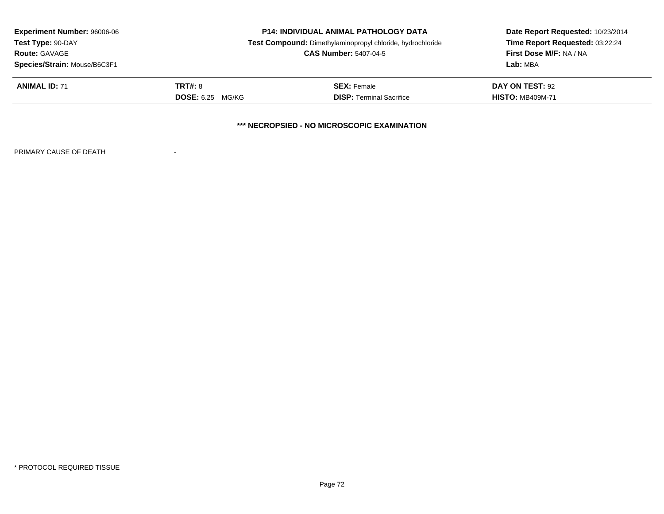| <b>Experiment Number: 96006-06</b>                                              | <b>P14: INDIVIDUAL ANIMAL PATHOLOGY DATA</b> |                                 | Date Report Requested: 10/23/2014 |  |  |
|---------------------------------------------------------------------------------|----------------------------------------------|---------------------------------|-----------------------------------|--|--|
| Test Type: 90-DAY<br>Test Compound: Dimethylaminopropyl chloride, hydrochloride |                                              | Time Report Requested: 03:22:24 |                                   |  |  |
| <b>Route: GAVAGE</b>                                                            | <b>CAS Number: 5407-04-5</b>                 |                                 | <b>First Dose M/F: NA / NA</b>    |  |  |
| Species/Strain: Mouse/B6C3F1                                                    |                                              |                                 | Lab: MBA                          |  |  |
| <b>ANIMAL ID: 71</b>                                                            | <b>TRT#: 8</b>                               | <b>SEX: Female</b>              | DAY ON TEST: 92                   |  |  |
|                                                                                 | <b>DOSE:</b> 6.25 MG/KG                      | <b>DISP: Terminal Sacrifice</b> | <b>HISTO: MB409M-71</b>           |  |  |
| *** NECROPSIED - NO MICROSCOPIC EXAMINATION                                     |                                              |                                 |                                   |  |  |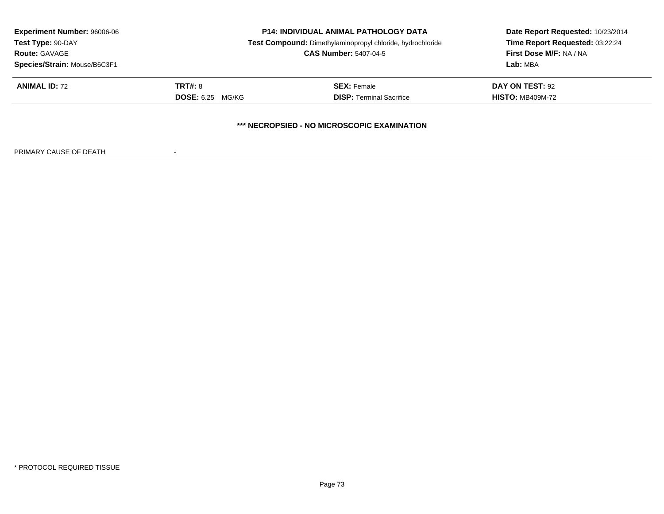| <b>Experiment Number: 96006-06</b><br>Test Type: 90-DAY<br><b>Route: GAVAGE</b><br>Species/Strain: Mouse/B6C3F1 | <b>P14: INDIVIDUAL ANIMAL PATHOLOGY DATA</b><br>Test Compound: Dimethylaminopropyl chloride, hydrochloride<br><b>CAS Number: 5407-04-5</b> |                                                       | Date Report Requested: 10/23/2014<br>Time Report Requested: 03:22:24<br>First Dose M/F: NA / NA<br>Lab: MBA |  |
|-----------------------------------------------------------------------------------------------------------------|--------------------------------------------------------------------------------------------------------------------------------------------|-------------------------------------------------------|-------------------------------------------------------------------------------------------------------------|--|
| <b>ANIMAL ID: 72</b>                                                                                            | TRT#: 8<br><b>DOSE:</b> 6.25 MG/KG                                                                                                         | <b>SEX: Female</b><br><b>DISP:</b> Terminal Sacrifice | DAY ON TEST: 92<br><b>HISTO: MB409M-72</b>                                                                  |  |
|                                                                                                                 |                                                                                                                                            | *** NECROPSIED - NO MICROSCOPIC EXAMINATION           |                                                                                                             |  |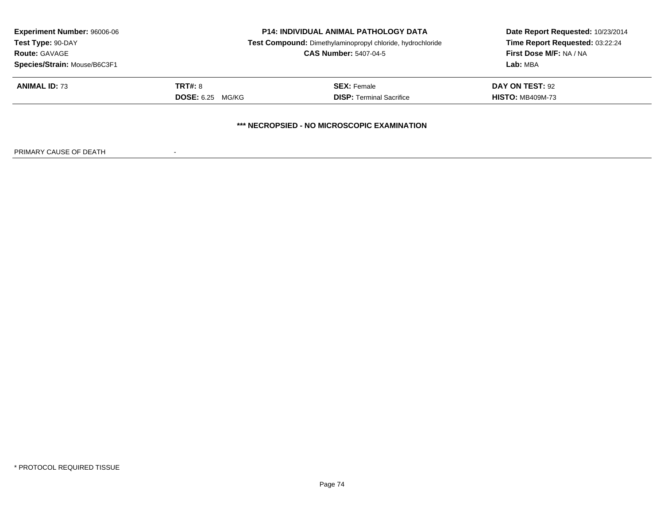| <b>Experiment Number: 96006-06</b><br>Test Type: 90-DAY<br><b>Route: GAVAGE</b><br>Species/Strain: Mouse/B6C3F1 | <b>P14: INDIVIDUAL ANIMAL PATHOLOGY DATA</b><br>Test Compound: Dimethylaminopropyl chloride, hydrochloride<br><b>CAS Number: 5407-04-5</b> |                                                       | Date Report Requested: 10/23/2014<br>Time Report Requested: 03:22:24<br>First Dose M/F: NA / NA<br>Lab: MBA |  |
|-----------------------------------------------------------------------------------------------------------------|--------------------------------------------------------------------------------------------------------------------------------------------|-------------------------------------------------------|-------------------------------------------------------------------------------------------------------------|--|
| <b>ANIMAL ID: 73</b>                                                                                            | TRT#: 8<br><b>DOSE:</b> 6.25 MG/KG                                                                                                         | <b>SEX: Female</b><br><b>DISP:</b> Terminal Sacrifice | DAY ON TEST: 92<br><b>HISTO: MB409M-73</b>                                                                  |  |
|                                                                                                                 |                                                                                                                                            | *** NECROPSIED - NO MICROSCOPIC EXAMINATION           |                                                                                                             |  |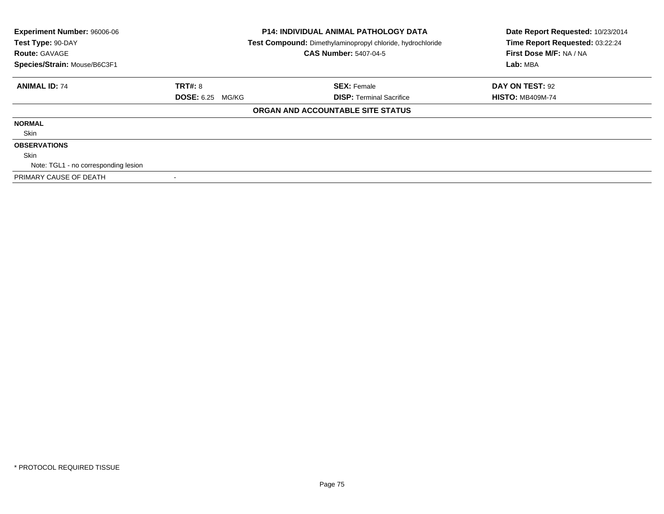| Experiment Number: 96006-06<br><b>P14: INDIVIDUAL ANIMAL PATHOLOGY DATA</b><br>Test Type: 90-DAY<br>Test Compound: Dimethylaminopropyl chloride, hydrochloride |                         |                                   | Date Report Requested: 10/23/2014 |
|----------------------------------------------------------------------------------------------------------------------------------------------------------------|-------------------------|-----------------------------------|-----------------------------------|
|                                                                                                                                                                |                         | Time Report Requested: 03:22:24   |                                   |
| <b>Route: GAVAGE</b>                                                                                                                                           |                         | <b>CAS Number: 5407-04-5</b>      | First Dose M/F: NA / NA           |
| Species/Strain: Mouse/B6C3F1                                                                                                                                   |                         |                                   | Lab: MBA                          |
| <b>ANIMAL ID: 74</b>                                                                                                                                           | <b>TRT#: 8</b>          | <b>SEX: Female</b>                | DAY ON TEST: 92                   |
|                                                                                                                                                                | <b>DOSE: 6.25 MG/KG</b> | <b>DISP:</b> Terminal Sacrifice   | <b>HISTO: MB409M-74</b>           |
|                                                                                                                                                                |                         | ORGAN AND ACCOUNTABLE SITE STATUS |                                   |
| <b>NORMAL</b>                                                                                                                                                  |                         |                                   |                                   |
| Skin                                                                                                                                                           |                         |                                   |                                   |
| <b>OBSERVATIONS</b>                                                                                                                                            |                         |                                   |                                   |
| Skin                                                                                                                                                           |                         |                                   |                                   |
| Note: TGL1 - no corresponding lesion                                                                                                                           |                         |                                   |                                   |
| PRIMARY CAUSE OF DEATH                                                                                                                                         |                         |                                   |                                   |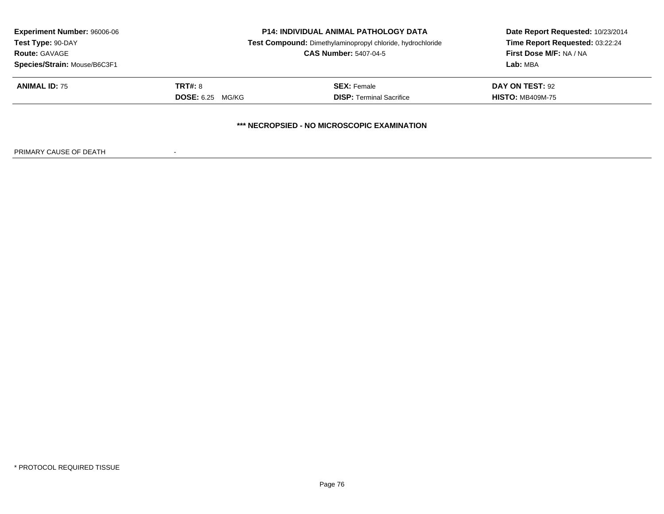| <b>Experiment Number: 96006-06</b><br>Test Type: 90-DAY<br><b>Route: GAVAGE</b> | <b>P14: INDIVIDUAL ANIMAL PATHOLOGY DATA</b><br>Test Compound: Dimethylaminopropyl chloride, hydrochloride<br><b>CAS Number: 5407-04-5</b> |                                 | Date Report Requested: 10/23/2014<br>Time Report Requested: 03:22:24<br><b>First Dose M/F: NA / NA</b> |  |  |
|---------------------------------------------------------------------------------|--------------------------------------------------------------------------------------------------------------------------------------------|---------------------------------|--------------------------------------------------------------------------------------------------------|--|--|
| Species/Strain: Mouse/B6C3F1                                                    |                                                                                                                                            |                                 | Lab: MBA                                                                                               |  |  |
| <b>ANIMAL ID: 75</b>                                                            | TRT#: 8                                                                                                                                    | <b>SEX: Female</b>              | DAY ON TEST: 92                                                                                        |  |  |
|                                                                                 | <b>DOSE:</b> 6.25 MG/KG                                                                                                                    | <b>DISP: Terminal Sacrifice</b> | <b>HISTO: MB409M-75</b>                                                                                |  |  |
| *** NECROPSIED - NO MICROSCOPIC EXAMINATION                                     |                                                                                                                                            |                                 |                                                                                                        |  |  |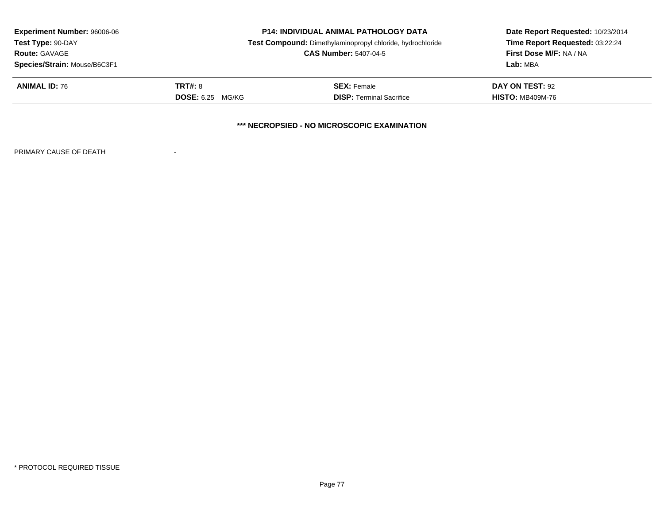| <b>Experiment Number: 96006-06</b><br>Test Type: 90-DAY<br><b>Route: GAVAGE</b> | <b>P14: INDIVIDUAL ANIMAL PATHOLOGY DATA</b><br>Test Compound: Dimethylaminopropyl chloride, hydrochloride<br><b>CAS Number: 5407-04-5</b> |                                 | Date Report Requested: 10/23/2014<br>Time Report Requested: 03:22:24<br><b>First Dose M/F: NA / NA</b> |  |  |
|---------------------------------------------------------------------------------|--------------------------------------------------------------------------------------------------------------------------------------------|---------------------------------|--------------------------------------------------------------------------------------------------------|--|--|
| Species/Strain: Mouse/B6C3F1                                                    |                                                                                                                                            |                                 | Lab: MBA                                                                                               |  |  |
| <b>ANIMAL ID: 76</b>                                                            | TRT#: 8                                                                                                                                    | <b>SEX: Female</b>              | DAY ON TEST: 92                                                                                        |  |  |
|                                                                                 | <b>DOSE:</b> 6.25 MG/KG                                                                                                                    | <b>DISP: Terminal Sacrifice</b> | <b>HISTO: MB409M-76</b>                                                                                |  |  |
| *** NECROPSIED - NO MICROSCOPIC EXAMINATION                                     |                                                                                                                                            |                                 |                                                                                                        |  |  |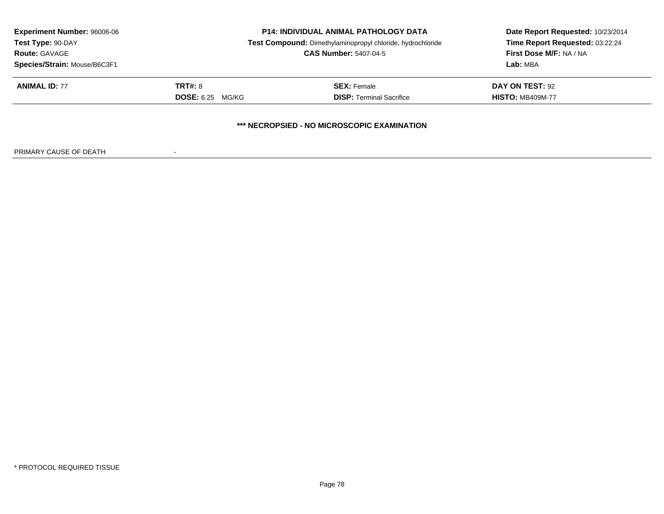| <b>Experiment Number: 96006-06</b><br>Test Type: 90-DAY<br><b>Route: GAVAGE</b><br>Species/Strain: Mouse/B6C3F1 | <b>P14: INDIVIDUAL ANIMAL PATHOLOGY DATA</b><br>Test Compound: Dimethylaminopropyl chloride, hydrochloride<br><b>CAS Number: 5407-04-5</b> |                                 | Date Report Requested: 10/23/2014<br>Time Report Requested: 03:22:24<br><b>First Dose M/F: NA / NA</b><br>Lab: MBA |  |  |
|-----------------------------------------------------------------------------------------------------------------|--------------------------------------------------------------------------------------------------------------------------------------------|---------------------------------|--------------------------------------------------------------------------------------------------------------------|--|--|
| <b>ANIMAL ID: 77</b>                                                                                            | <b>TRT#:</b> 8                                                                                                                             | <b>SEX: Female</b>              | DAY ON TEST: 92                                                                                                    |  |  |
|                                                                                                                 | <b>DOSE: 6.25 MG/KG</b>                                                                                                                    | <b>DISP:</b> Terminal Sacrifice | <b>HISTO: MB409M-77</b>                                                                                            |  |  |
| <b>*** NECROPSIED - NO MICROSCOPIC EXAMINATION</b>                                                              |                                                                                                                                            |                                 |                                                                                                                    |  |  |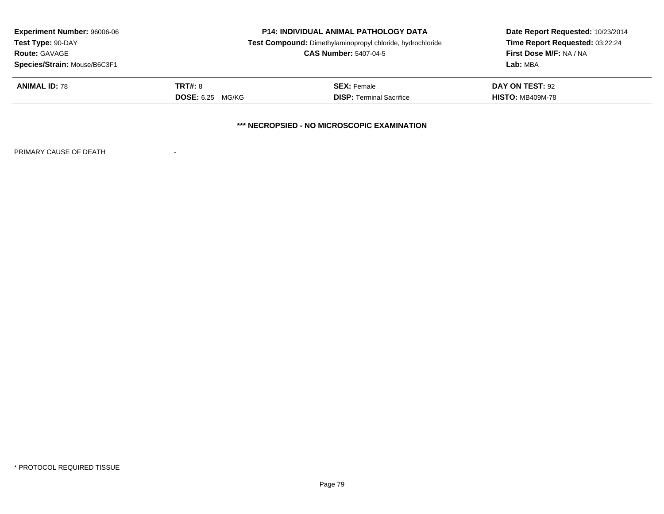| <b>Experiment Number: 96006-06</b><br>Test Type: 90-DAY<br><b>Route: GAVAGE</b><br>Species/Strain: Mouse/B6C3F1 | <b>P14: INDIVIDUAL ANIMAL PATHOLOGY DATA</b><br>Test Compound: Dimethylaminopropyl chloride, hydrochloride<br><b>CAS Number: 5407-04-5</b> |                                             | Date Report Requested: 10/23/2014<br>Time Report Requested: 03:22:24<br><b>First Dose M/F: NA / NA</b><br>Lab: MBA |
|-----------------------------------------------------------------------------------------------------------------|--------------------------------------------------------------------------------------------------------------------------------------------|---------------------------------------------|--------------------------------------------------------------------------------------------------------------------|
| <b>ANIMAL ID: 78</b>                                                                                            | <b>TRT#: 8</b>                                                                                                                             | <b>SEX: Female</b>                          | DAY ON TEST: 92                                                                                                    |
|                                                                                                                 | <b>DOSE:</b> 6.25 MG/KG                                                                                                                    | <b>DISP: Terminal Sacrifice</b>             | <b>HISTO: MB409M-78</b>                                                                                            |
|                                                                                                                 |                                                                                                                                            | *** NECROPSIED - NO MICROSCOPIC EXAMINATION |                                                                                                                    |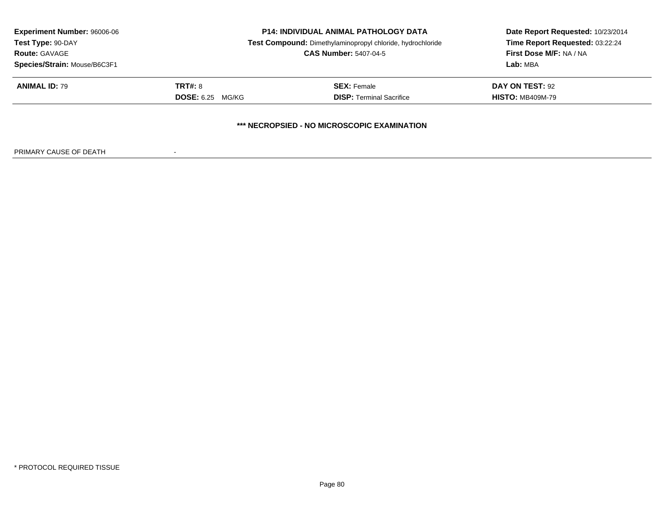| <b>Experiment Number: 96006-06</b><br>Test Type: 90-DAY<br><b>Route: GAVAGE</b> | <b>P14: INDIVIDUAL ANIMAL PATHOLOGY DATA</b><br>Test Compound: Dimethylaminopropyl chloride, hydrochloride<br><b>CAS Number: 5407-04-5</b> |                                 | Date Report Requested: 10/23/2014<br>Time Report Requested: 03:22:24<br><b>First Dose M/F: NA / NA</b> |  |  |
|---------------------------------------------------------------------------------|--------------------------------------------------------------------------------------------------------------------------------------------|---------------------------------|--------------------------------------------------------------------------------------------------------|--|--|
| Species/Strain: Mouse/B6C3F1                                                    |                                                                                                                                            |                                 | Lab: MBA                                                                                               |  |  |
| <b>ANIMAL ID: 79</b>                                                            | TRT#: 8                                                                                                                                    | <b>SEX: Female</b>              | DAY ON TEST: 92                                                                                        |  |  |
|                                                                                 | <b>DOSE:</b> 6.25 MG/KG                                                                                                                    | <b>DISP: Terminal Sacrifice</b> | <b>HISTO: MB409M-79</b>                                                                                |  |  |
| *** NECROPSIED - NO MICROSCOPIC EXAMINATION                                     |                                                                                                                                            |                                 |                                                                                                        |  |  |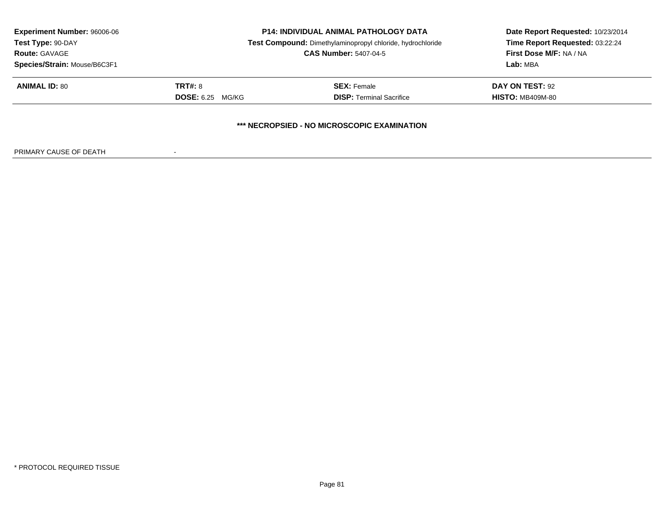| <b>Experiment Number: 96006-06</b>          | <b>P14: INDIVIDUAL ANIMAL PATHOLOGY DATA</b> |                                                            | Date Report Requested: 10/23/2014 |  |  |
|---------------------------------------------|----------------------------------------------|------------------------------------------------------------|-----------------------------------|--|--|
| Test Type: 90-DAY                           |                                              | Test Compound: Dimethylaminopropyl chloride, hydrochloride | Time Report Requested: 03:22:24   |  |  |
| <b>Route: GAVAGE</b>                        | <b>CAS Number: 5407-04-5</b>                 |                                                            | <b>First Dose M/F: NA / NA</b>    |  |  |
| Species/Strain: Mouse/B6C3F1                |                                              |                                                            | Lab: MBA                          |  |  |
| <b>ANIMAL ID: 80</b>                        | TRT#: 8                                      | <b>SEX:</b> Female                                         | <b>DAY ON TEST: 92</b>            |  |  |
|                                             | <b>DOSE:</b> 6.25 MG/KG                      | <b>DISP: Terminal Sacrifice</b>                            | <b>HISTO: MB409M-80</b>           |  |  |
| *** NECROPSIED - NO MICROSCOPIC EXAMINATION |                                              |                                                            |                                   |  |  |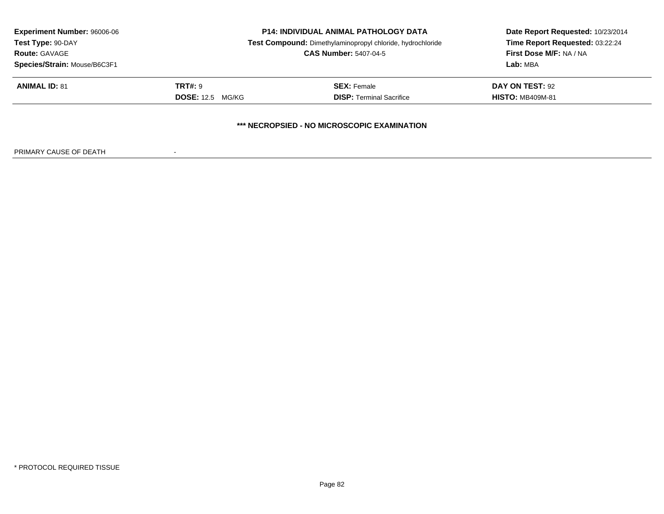| <b>Experiment Number: 96006-06</b><br>Test Type: 90-DAY | <b>P14: INDIVIDUAL ANIMAL PATHOLOGY DATA</b><br>Test Compound: Dimethylaminopropyl chloride, hydrochloride |                                 | Date Report Requested: 10/23/2014<br>Time Report Requested: 03:22:24 |  |  |
|---------------------------------------------------------|------------------------------------------------------------------------------------------------------------|---------------------------------|----------------------------------------------------------------------|--|--|
| <b>Route: GAVAGE</b>                                    | <b>CAS Number: 5407-04-5</b>                                                                               |                                 | <b>First Dose M/F: NA / NA</b>                                       |  |  |
| Species/Strain: Mouse/B6C3F1                            |                                                                                                            |                                 | Lab: MBA                                                             |  |  |
| <b>ANIMAL ID: 81</b>                                    | <b>TRT#: 9</b>                                                                                             | <b>SEX: Female</b>              | DAY ON TEST: 92                                                      |  |  |
|                                                         | <b>DOSE:</b> 12.5 MG/KG                                                                                    | <b>DISP:</b> Terminal Sacrifice | <b>HISTO: MB409M-81</b>                                              |  |  |
| *** NECROPSIED - NO MICROSCOPIC EXAMINATION             |                                                                                                            |                                 |                                                                      |  |  |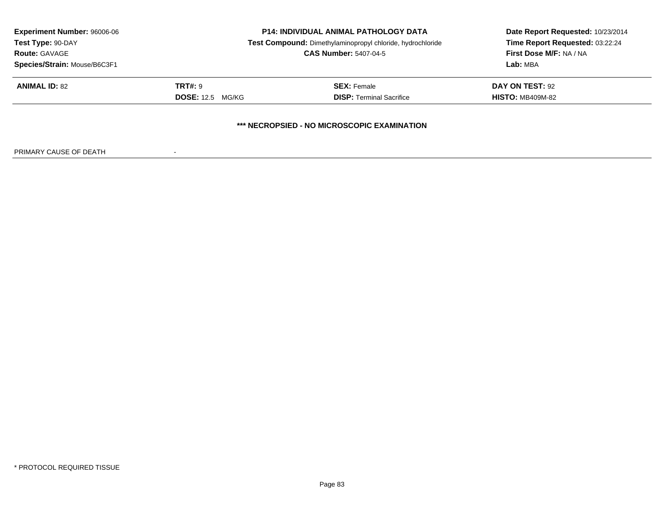| <b>Experiment Number: 96006-06</b><br>Test Type: 90-DAY<br><b>Route: GAVAGE</b><br>Species/Strain: Mouse/B6C3F1 | <b>P14: INDIVIDUAL ANIMAL PATHOLOGY DATA</b><br>Test Compound: Dimethylaminopropyl chloride, hydrochloride<br><b>CAS Number: 5407-04-5</b> |                                                       | Date Report Requested: 10/23/2014<br>Time Report Requested: 03:22:24<br>First Dose M/F: NA / NA<br>Lab: MBA |  |
|-----------------------------------------------------------------------------------------------------------------|--------------------------------------------------------------------------------------------------------------------------------------------|-------------------------------------------------------|-------------------------------------------------------------------------------------------------------------|--|
| <b>ANIMAL ID: 82</b>                                                                                            | <b>TRT#: 9</b><br><b>DOSE:</b> 12.5 MG/KG                                                                                                  | <b>SEX: Female</b><br><b>DISP:</b> Terminal Sacrifice | DAY ON TEST: 92<br><b>HISTO: MB409M-82</b>                                                                  |  |
|                                                                                                                 |                                                                                                                                            | *** NECROPSIED - NO MICROSCOPIC EXAMINATION           |                                                                                                             |  |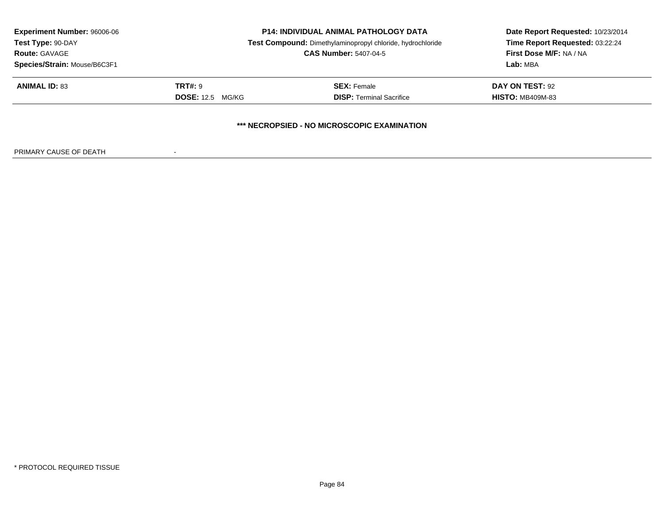| <b>Experiment Number: 96006-06</b><br>Test Type: 90-DAY<br><b>Route: GAVAGE</b><br>Species/Strain: Mouse/B6C3F1 | <b>P14: INDIVIDUAL ANIMAL PATHOLOGY DATA</b><br>Test Compound: Dimethylaminopropyl chloride, hydrochloride<br><b>CAS Number: 5407-04-5</b> |                                                                                                     | Date Report Requested: 10/23/2014<br>Time Report Requested: 03:22:24<br>First Dose M/F: NA / NA<br>Lab: MBA |  |
|-----------------------------------------------------------------------------------------------------------------|--------------------------------------------------------------------------------------------------------------------------------------------|-----------------------------------------------------------------------------------------------------|-------------------------------------------------------------------------------------------------------------|--|
| <b>ANIMAL ID: 83</b>                                                                                            | <b>TRT#: 9</b><br><b>DOSE:</b> 12.5 MG/KG                                                                                                  | <b>SEX: Female</b><br>DAY ON TEST: 92<br><b>DISP:</b> Terminal Sacrifice<br><b>HISTO: MB409M-83</b> |                                                                                                             |  |
|                                                                                                                 |                                                                                                                                            | *** NECROPSIED - NO MICROSCOPIC EXAMINATION                                                         |                                                                                                             |  |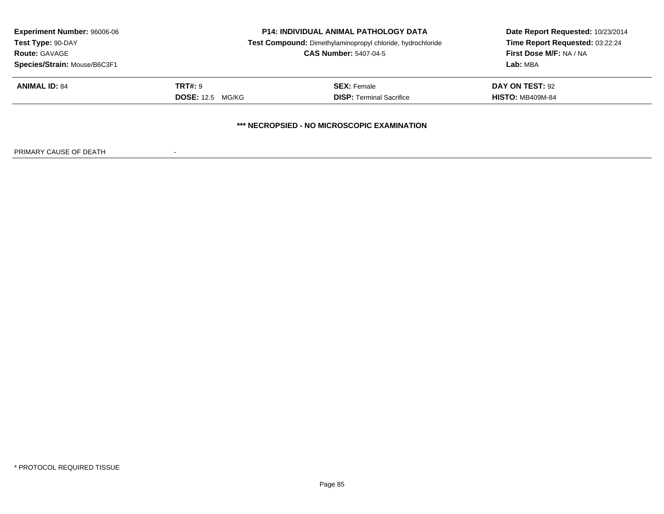| <b>Experiment Number: 96006-06</b>          | <b>P14: INDIVIDUAL ANIMAL PATHOLOGY DATA</b> |                                                                                            | Date Report Requested: 10/23/2014 |  |  |
|---------------------------------------------|----------------------------------------------|--------------------------------------------------------------------------------------------|-----------------------------------|--|--|
| Test Type: 90-DAY                           |                                              | Test Compound: Dimethylaminopropyl chloride, hydrochloride<br><b>CAS Number: 5407-04-5</b> |                                   |  |  |
| <b>Route: GAVAGE</b>                        |                                              |                                                                                            |                                   |  |  |
| Species/Strain: Mouse/B6C3F1                |                                              |                                                                                            | Lab: MBA                          |  |  |
| <b>ANIMAL ID: 84</b>                        | <b>TRT#: 9</b>                               | <b>SEX:</b> Female                                                                         | <b>DAY ON TEST: 92</b>            |  |  |
|                                             | <b>DOSE:</b> 12.5 MG/KG                      | <b>DISP: Terminal Sacrifice</b>                                                            | <b>HISTO: MB409M-84</b>           |  |  |
| *** NECROPSIED - NO MICROSCOPIC EXAMINATION |                                              |                                                                                            |                                   |  |  |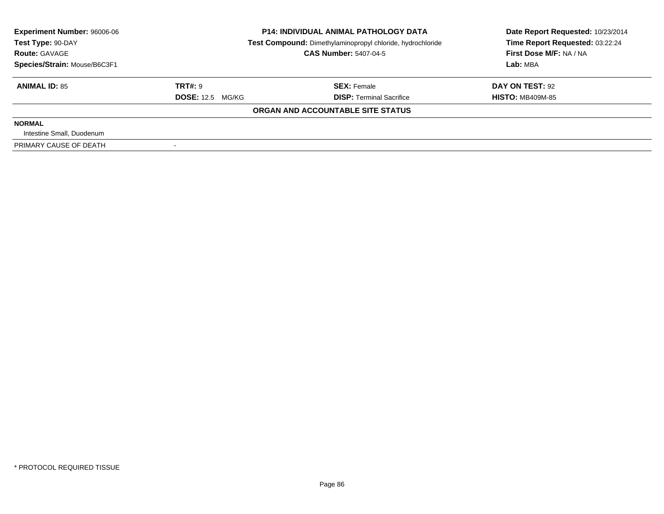| Experiment Number: 96006-06<br>Test Type: 90-DAY | <b>P14: INDIVIDUAL ANIMAL PATHOLOGY DATA</b><br>Test Compound: Dimethylaminopropyl chloride, hydrochloride |                                   | Date Report Requested: 10/23/2014<br>Time Report Requested: 03:22:24 |
|--------------------------------------------------|------------------------------------------------------------------------------------------------------------|-----------------------------------|----------------------------------------------------------------------|
| <b>Route: GAVAGE</b>                             |                                                                                                            | <b>CAS Number: 5407-04-5</b>      |                                                                      |
| Species/Strain: Mouse/B6C3F1                     |                                                                                                            |                                   | Lab: MBA                                                             |
| <b>ANIMAL ID: 85</b>                             | TRT#: 9                                                                                                    | <b>SEX: Female</b>                | DAY ON TEST: 92                                                      |
|                                                  | <b>DOSE: 12.5 MG/KG</b>                                                                                    | <b>DISP: Terminal Sacrifice</b>   | <b>HISTO: MB409M-85</b>                                              |
|                                                  |                                                                                                            | ORGAN AND ACCOUNTABLE SITE STATUS |                                                                      |
| <b>NORMAL</b>                                    |                                                                                                            |                                   |                                                                      |
| Intestine Small, Duodenum                        |                                                                                                            |                                   |                                                                      |
| PRIMARY CAUSE OF DEATH                           |                                                                                                            |                                   |                                                                      |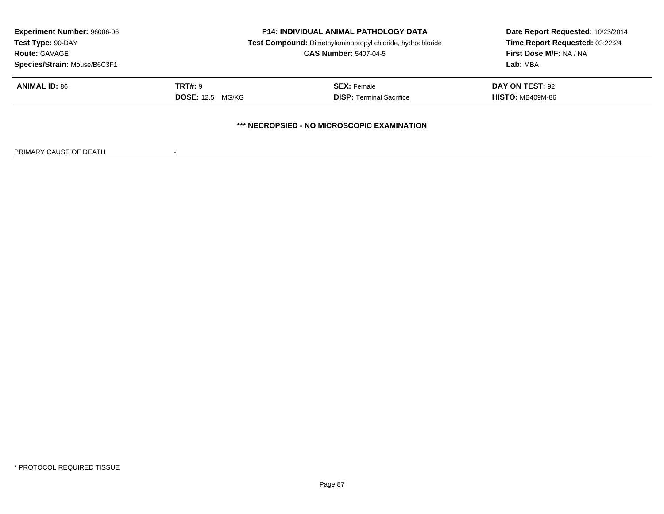| <b>Experiment Number: 96006-06</b><br>Test Type: 90-DAY | <b>P14: INDIVIDUAL ANIMAL PATHOLOGY DATA</b><br>Test Compound: Dimethylaminopropyl chloride, hydrochloride |                                 | Date Report Requested: 10/23/2014<br>Time Report Requested: 03:22:24 |  |  |
|---------------------------------------------------------|------------------------------------------------------------------------------------------------------------|---------------------------------|----------------------------------------------------------------------|--|--|
| <b>Route: GAVAGE</b>                                    | <b>CAS Number: 5407-04-5</b>                                                                               |                                 | <b>First Dose M/F: NA / NA</b>                                       |  |  |
| Species/Strain: Mouse/B6C3F1                            |                                                                                                            |                                 | Lab: MBA                                                             |  |  |
| <b>ANIMAL ID: 86</b>                                    | <b>TRT#: 9</b>                                                                                             | <b>SEX:</b> Female              | <b>DAY ON TEST: 92</b>                                               |  |  |
|                                                         | <b>DOSE:</b> 12.5 MG/KG                                                                                    | <b>DISP: Terminal Sacrifice</b> | <b>HISTO: MB409M-86</b>                                              |  |  |
| *** NECROPSIED - NO MICROSCOPIC EXAMINATION             |                                                                                                            |                                 |                                                                      |  |  |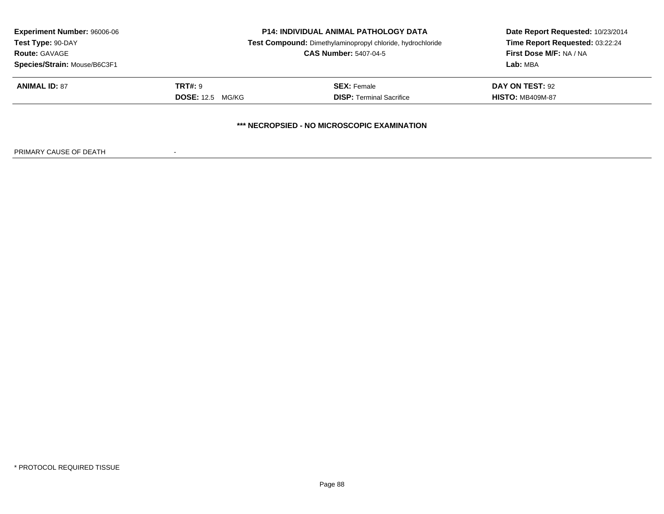| <b>Experiment Number: 96006-06</b><br>Test Type: 90-DAY<br><b>Route: GAVAGE</b> | <b>P14: INDIVIDUAL ANIMAL PATHOLOGY DATA</b><br>Test Compound: Dimethylaminopropyl chloride, hydrochloride<br><b>CAS Number: 5407-04-5</b> |                                 | Date Report Requested: 10/23/2014<br>Time Report Requested: 03:22:24<br><b>First Dose M/F: NA / NA</b> |  |  |
|---------------------------------------------------------------------------------|--------------------------------------------------------------------------------------------------------------------------------------------|---------------------------------|--------------------------------------------------------------------------------------------------------|--|--|
| Species/Strain: Mouse/B6C3F1                                                    |                                                                                                                                            |                                 | Lab: MBA                                                                                               |  |  |
| <b>ANIMAL ID: 87</b>                                                            | TRT#: 9                                                                                                                                    | <b>SEX: Female</b>              | DAY ON TEST: 92                                                                                        |  |  |
|                                                                                 | <b>DOSE:</b> 12.5 MG/KG                                                                                                                    | <b>DISP: Terminal Sacrifice</b> | <b>HISTO: MB409M-87</b>                                                                                |  |  |
| *** NECROPSIED - NO MICROSCOPIC EXAMINATION                                     |                                                                                                                                            |                                 |                                                                                                        |  |  |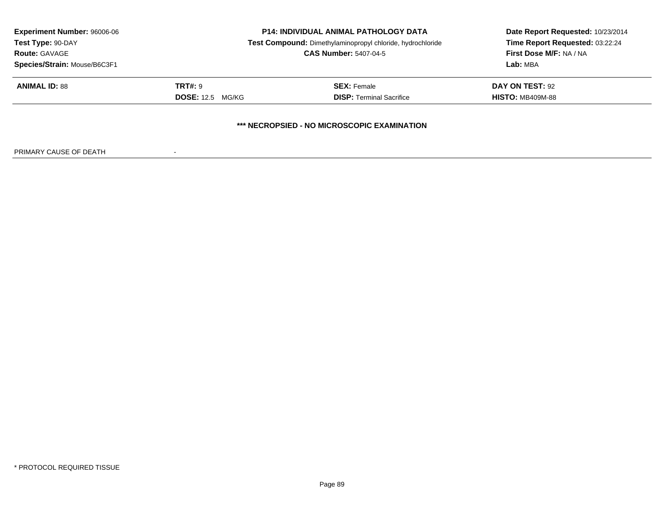| <b>Experiment Number: 96006-06</b><br>Test Type: 90-DAY | <b>P14: INDIVIDUAL ANIMAL PATHOLOGY DATA</b><br>Test Compound: Dimethylaminopropyl chloride, hydrochloride |                                 | Date Report Requested: 10/23/2014<br>Time Report Requested: 03:22:24 |  |  |
|---------------------------------------------------------|------------------------------------------------------------------------------------------------------------|---------------------------------|----------------------------------------------------------------------|--|--|
| <b>Route: GAVAGE</b>                                    |                                                                                                            | <b>CAS Number: 5407-04-5</b>    |                                                                      |  |  |
| Species/Strain: Mouse/B6C3F1                            |                                                                                                            |                                 | Lab: MBA                                                             |  |  |
| <b>ANIMAL ID: 88</b>                                    | <b>TRT#: 9</b>                                                                                             | <b>SEX:</b> Female              | <b>DAY ON TEST: 92</b>                                               |  |  |
|                                                         | <b>DOSE:</b> 12.5 MG/KG                                                                                    | <b>DISP: Terminal Sacrifice</b> | <b>HISTO: MB409M-88</b>                                              |  |  |
| *** NECROPSIED - NO MICROSCOPIC EXAMINATION             |                                                                                                            |                                 |                                                                      |  |  |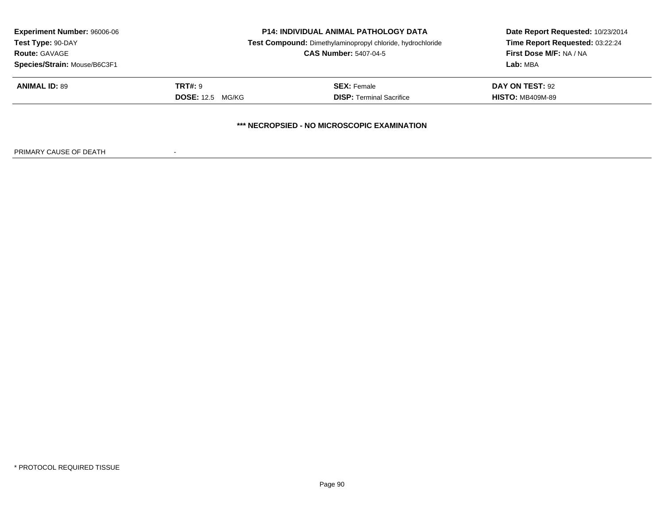| <b>Experiment Number: 96006-06</b>                   | <b>P14: INDIVIDUAL ANIMAL PATHOLOGY DATA</b> |                                                            | Date Report Requested: 10/23/2014<br>Time Report Requested: 03:22:24 |  |  |
|------------------------------------------------------|----------------------------------------------|------------------------------------------------------------|----------------------------------------------------------------------|--|--|
| Test Type: 90-DAY                                    |                                              | Test Compound: Dimethylaminopropyl chloride, hydrochloride |                                                                      |  |  |
| <b>Route: GAVAGE</b><br>Species/Strain: Mouse/B6C3F1 | <b>CAS Number: 5407-04-5</b>                 |                                                            | First Dose M/F: NA / NA<br>Lab: MBA                                  |  |  |
| <b>ANIMAL ID: 89</b>                                 | <b>TRT#: 9</b>                               | <b>SEX:</b> Female                                         | <b>DAY ON TEST: 92</b>                                               |  |  |
|                                                      | <b>DOSE:</b> 12.5 MG/KG                      | <b>DISP: Terminal Sacrifice</b>                            | <b>HISTO: MB409M-89</b>                                              |  |  |
| *** NECROPSIED - NO MICROSCOPIC EXAMINATION          |                                              |                                                            |                                                                      |  |  |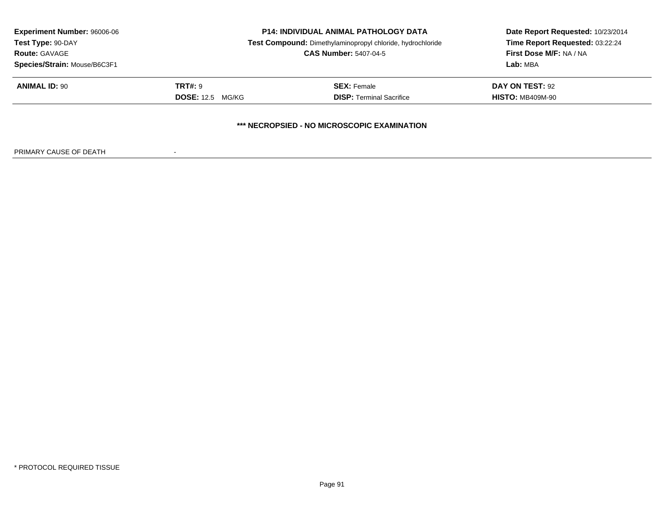| <b>Experiment Number: 96006-06</b>          | <b>P14: INDIVIDUAL ANIMAL PATHOLOGY DATA</b> |                                                            | Date Report Requested: 10/23/2014 |  |  |
|---------------------------------------------|----------------------------------------------|------------------------------------------------------------|-----------------------------------|--|--|
| Test Type: 90-DAY                           |                                              | Test Compound: Dimethylaminopropyl chloride, hydrochloride |                                   |  |  |
| <b>Route: GAVAGE</b>                        |                                              | <b>CAS Number: 5407-04-5</b>                               |                                   |  |  |
| Species/Strain: Mouse/B6C3F1                |                                              |                                                            | Lab: MBA                          |  |  |
| <b>ANIMAL ID: 90</b>                        | <b>TRT#: 9</b>                               | <b>SEX: Female</b>                                         | DAY ON TEST: 92                   |  |  |
|                                             | <b>DOSE:</b> 12.5 MG/KG                      | <b>DISP: Terminal Sacrifice</b>                            | <b>HISTO: MB409M-90</b>           |  |  |
| *** NECROPSIED - NO MICROSCOPIC EXAMINATION |                                              |                                                            |                                   |  |  |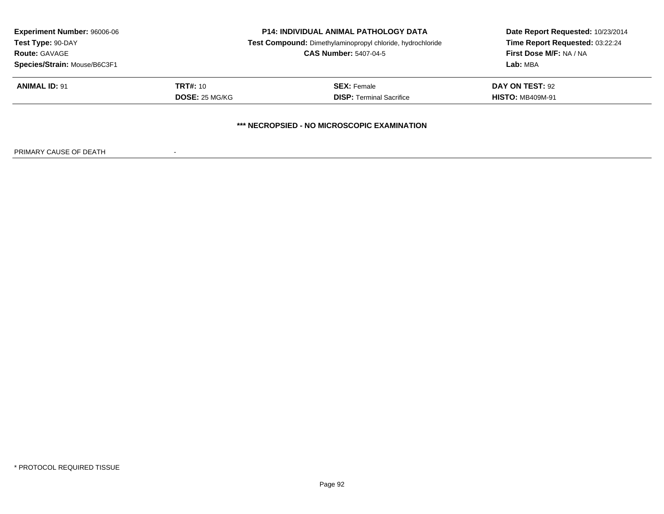| <b>Experiment Number: 96006-06</b><br>Test Type: 90-DAY<br><b>Route: GAVAGE</b><br>Species/Strain: Mouse/B6C3F1 |                 | <b>P14: INDIVIDUAL ANIMAL PATHOLOGY DATA</b>               | Date Report Requested: 10/23/2014   |
|-----------------------------------------------------------------------------------------------------------------|-----------------|------------------------------------------------------------|-------------------------------------|
|                                                                                                                 |                 | Test Compound: Dimethylaminopropyl chloride, hydrochloride | Time Report Requested: 03:22:24     |
|                                                                                                                 |                 | <b>CAS Number: 5407-04-5</b>                               | First Dose M/F: NA / NA<br>Lab: MBA |
|                                                                                                                 |                 |                                                            |                                     |
| <b>ANIMAL ID: 91</b>                                                                                            | <b>TRT#: 10</b> | <b>SEX: Female</b>                                         | DAY ON TEST: 92                     |
|                                                                                                                 | DOSE: 25 MG/KG  | <b>DISP:</b> Terminal Sacrifice                            | <b>HISTO: MB409M-91</b>             |
|                                                                                                                 |                 | *** NECROPSIED - NO MICROSCOPIC EXAMINATION                |                                     |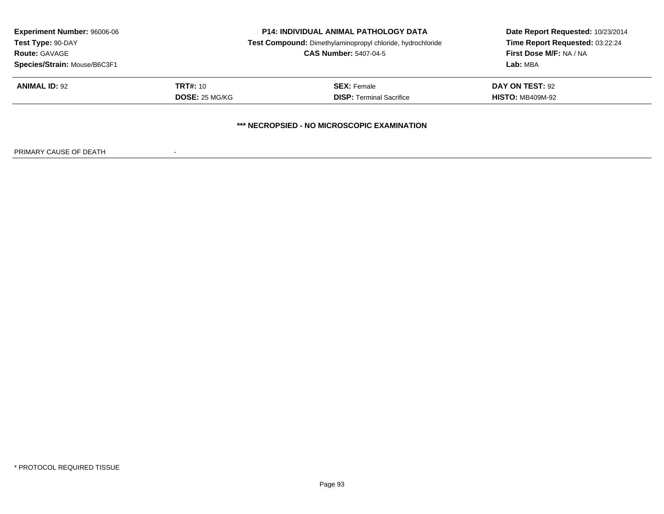| <b>Experiment Number: 96006-06</b>                                        |                 | <b>P14: INDIVIDUAL ANIMAL PATHOLOGY DATA</b>               | Date Report Requested: 10/23/2014 |  |  |
|---------------------------------------------------------------------------|-----------------|------------------------------------------------------------|-----------------------------------|--|--|
| Test Type: 90-DAY<br><b>Route: GAVAGE</b><br>Species/Strain: Mouse/B6C3F1 |                 | Test Compound: Dimethylaminopropyl chloride, hydrochloride | Time Report Requested: 03:22:24   |  |  |
|                                                                           |                 | <b>CAS Number: 5407-04-5</b>                               | First Dose M/F: NA / NA           |  |  |
|                                                                           |                 |                                                            | Lab: MBA                          |  |  |
| <b>ANIMAL ID: 92</b>                                                      | <b>TRT#:</b> 10 | <b>SEX: Female</b>                                         | DAY ON TEST: 92                   |  |  |
|                                                                           | DOSE: 25 MG/KG  | <b>DISP: Terminal Sacrifice</b>                            | <b>HISTO: MB409M-92</b>           |  |  |
| *** NECROPSIED - NO MICROSCOPIC EXAMINATION                               |                 |                                                            |                                   |  |  |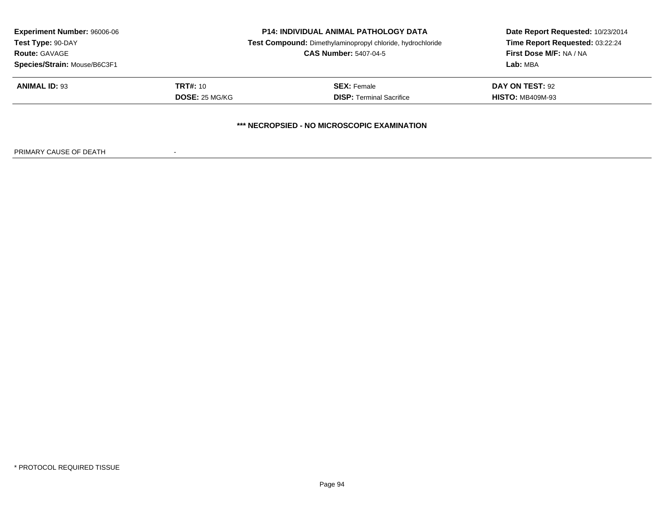| <b>Experiment Number: 96006-06</b><br>Test Type: 90-DAY<br><b>Route: GAVAGE</b> | <b>P14: INDIVIDUAL ANIMAL PATHOLOGY DATA</b><br>Test Compound: Dimethylaminopropyl chloride, hydrochloride<br><b>CAS Number: 5407-04-5</b> |                                             | Date Report Requested: 10/23/2014<br>Time Report Requested: 03:22:24<br>First Dose M/F: NA / NA |
|---------------------------------------------------------------------------------|--------------------------------------------------------------------------------------------------------------------------------------------|---------------------------------------------|-------------------------------------------------------------------------------------------------|
| Species/Strain: Mouse/B6C3F1                                                    |                                                                                                                                            |                                             | Lab: MBA                                                                                        |
| <b>ANIMAL ID: 93</b>                                                            | <b>TRT#:</b> 10                                                                                                                            | <b>SEX: Female</b>                          | DAY ON TEST: 92                                                                                 |
|                                                                                 | DOSE: 25 MG/KG                                                                                                                             | <b>DISP:</b> Terminal Sacrifice             | <b>HISTO: MB409M-93</b>                                                                         |
|                                                                                 |                                                                                                                                            | *** NECROPSIED - NO MICROSCOPIC EXAMINATION |                                                                                                 |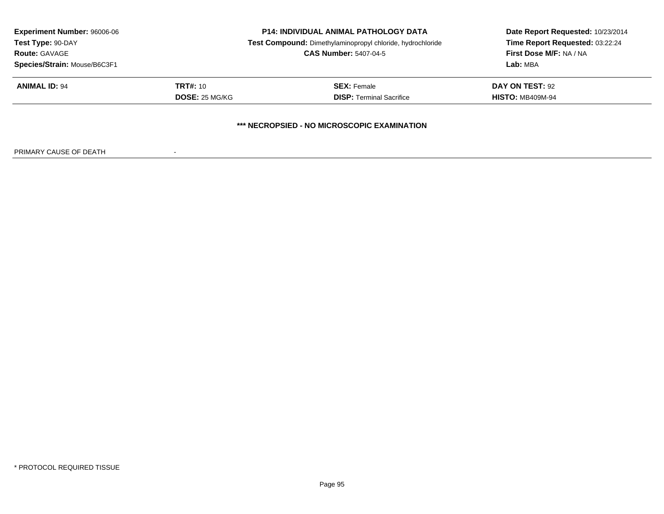| <b>Experiment Number: 96006-06</b><br>Test Type: 90-DAY<br><b>Route: GAVAGE</b> |                 | <b>P14: INDIVIDUAL ANIMAL PATHOLOGY DATA</b>               | Date Report Requested: 10/23/2014<br>Time Report Requested: 03:22:24<br>First Dose M/F: NA / NA |
|---------------------------------------------------------------------------------|-----------------|------------------------------------------------------------|-------------------------------------------------------------------------------------------------|
|                                                                                 |                 | Test Compound: Dimethylaminopropyl chloride, hydrochloride |                                                                                                 |
|                                                                                 |                 | <b>CAS Number: 5407-04-5</b>                               |                                                                                                 |
| Species/Strain: Mouse/B6C3F1                                                    |                 |                                                            | Lab: MBA                                                                                        |
| <b>ANIMAL ID: 94</b>                                                            | <b>TRT#:</b> 10 | <b>SEX: Female</b>                                         | DAY ON TEST: 92                                                                                 |
|                                                                                 | DOSE: 25 MG/KG  | <b>DISP: Terminal Sacrifice</b>                            | <b>HISTO: MB409M-94</b>                                                                         |
|                                                                                 |                 | <b>*** NECROPSIED - NO MICROSCOPIC EXAMINATION</b>         |                                                                                                 |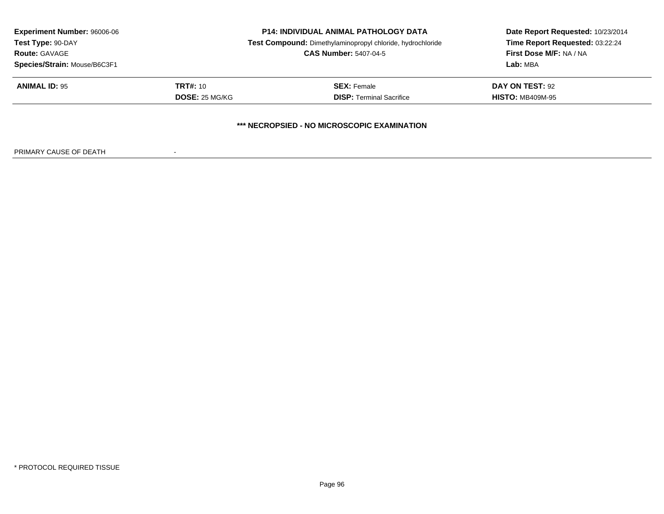| <b>Experiment Number: 96006-06</b><br>Test Type: 90-DAY<br><b>Route: GAVAGE</b> | <b>P14: INDIVIDUAL ANIMAL PATHOLOGY DATA</b><br>Test Compound: Dimethylaminopropyl chloride, hydrochloride<br><b>CAS Number: 5407-04-5</b> |                                 | Date Report Requested: 10/23/2014<br>Time Report Requested: 03:22:24<br>First Dose M/F: NA / NA |  |  |
|---------------------------------------------------------------------------------|--------------------------------------------------------------------------------------------------------------------------------------------|---------------------------------|-------------------------------------------------------------------------------------------------|--|--|
| Species/Strain: Mouse/B6C3F1                                                    |                                                                                                                                            |                                 | Lab: MBA                                                                                        |  |  |
| <b>ANIMAL ID: 95</b>                                                            | <b>TRT#:</b> 10                                                                                                                            | <b>SEX: Female</b>              | DAY ON TEST: 92                                                                                 |  |  |
|                                                                                 | DOSE: 25 MG/KG                                                                                                                             | <b>DISP:</b> Terminal Sacrifice | <b>HISTO: MB409M-95</b>                                                                         |  |  |
| *** NECROPSIED - NO MICROSCOPIC EXAMINATION                                     |                                                                                                                                            |                                 |                                                                                                 |  |  |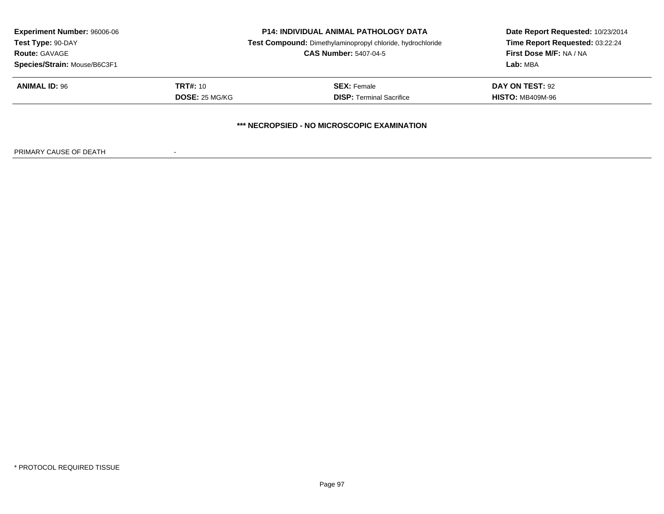| <b>Experiment Number: 96006-06</b>                                        |                       | <b>P14: INDIVIDUAL ANIMAL PATHOLOGY DATA</b>               | Date Report Requested: 10/23/2014                                      |
|---------------------------------------------------------------------------|-----------------------|------------------------------------------------------------|------------------------------------------------------------------------|
| Test Type: 90-DAY<br><b>Route: GAVAGE</b><br>Species/Strain: Mouse/B6C3F1 |                       | Test Compound: Dimethylaminopropyl chloride, hydrochloride | Time Report Requested: 03:22:24<br>First Dose M/F: NA / NA<br>Lab: MBA |
|                                                                           |                       | <b>CAS Number: 5407-04-5</b>                               |                                                                        |
|                                                                           |                       |                                                            |                                                                        |
| <b>ANIMAL ID: 96</b>                                                      | <b>TRT#:</b> 10       | <b>SEX: Female</b>                                         | DAY ON TEST: 92                                                        |
|                                                                           | <b>DOSE: 25 MG/KG</b> | <b>DISP: Terminal Sacrifice</b>                            | <b>HISTO: MB409M-96</b>                                                |
|                                                                           |                       | *** NECROPSIED - NO MICROSCOPIC EXAMINATION                |                                                                        |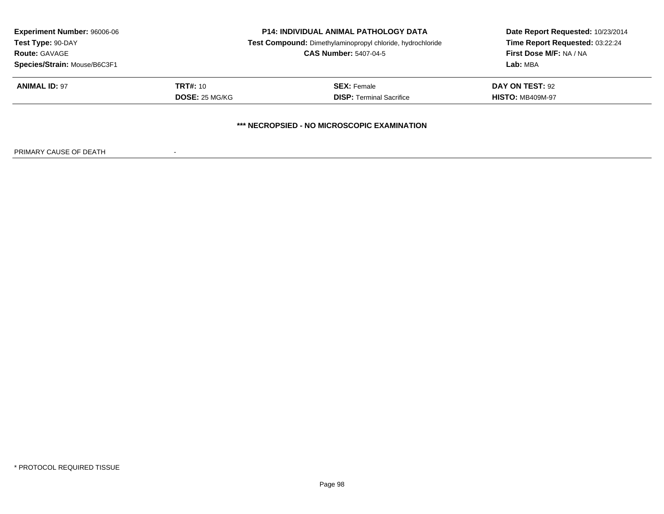| <b>Experiment Number: 96006-06</b><br>Test Type: 90-DAY<br><b>Route: GAVAGE</b> |                 | <b>P14: INDIVIDUAL ANIMAL PATHOLOGY DATA</b><br>Test Compound: Dimethylaminopropyl chloride, hydrochloride | Date Report Requested: 10/23/2014<br>Time Report Requested: 03:22:24 |
|---------------------------------------------------------------------------------|-----------------|------------------------------------------------------------------------------------------------------------|----------------------------------------------------------------------|
|                                                                                 |                 | <b>CAS Number: 5407-04-5</b>                                                                               | First Dose M/F: NA / NA                                              |
| Species/Strain: Mouse/B6C3F1                                                    |                 |                                                                                                            | Lab: MBA                                                             |
| <b>ANIMAL ID: 97</b>                                                            | <b>TRT#:</b> 10 | <b>SEX: Female</b>                                                                                         | DAY ON TEST: 92                                                      |
|                                                                                 | DOSE: 25 MG/KG  | <b>DISP:</b> Terminal Sacrifice                                                                            | <b>HISTO: MB409M-97</b>                                              |
|                                                                                 |                 | *** NECROPSIED - NO MICROSCOPIC EXAMINATION                                                                |                                                                      |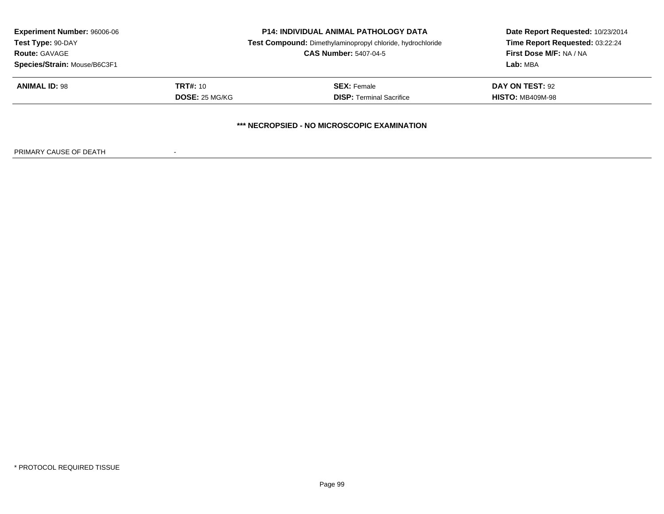| <b>Experiment Number: 96006-06</b><br>Test Type: 90-DAY<br><b>Route: GAVAGE</b> |                       | <b>P14: INDIVIDUAL ANIMAL PATHOLOGY DATA</b>               | Date Report Requested: 10/23/2014 |
|---------------------------------------------------------------------------------|-----------------------|------------------------------------------------------------|-----------------------------------|
|                                                                                 |                       | Test Compound: Dimethylaminopropyl chloride, hydrochloride | Time Report Requested: 03:22:24   |
|                                                                                 |                       | <b>CAS Number: 5407-04-5</b>                               | First Dose M/F: NA / NA           |
| Species/Strain: Mouse/B6C3F1                                                    |                       |                                                            | Lab: MBA                          |
| <b>ANIMAL ID: 98</b>                                                            | <b>TRT#:</b> 10       | <b>SEX: Female</b>                                         | DAY ON TEST: 92                   |
|                                                                                 | <b>DOSE: 25 MG/KG</b> | <b>DISP: Terminal Sacrifice</b>                            | <b>HISTO: MB409M-98</b>           |
|                                                                                 |                       | *** NECROPSIED - NO MICROSCOPIC EXAMINATION                |                                   |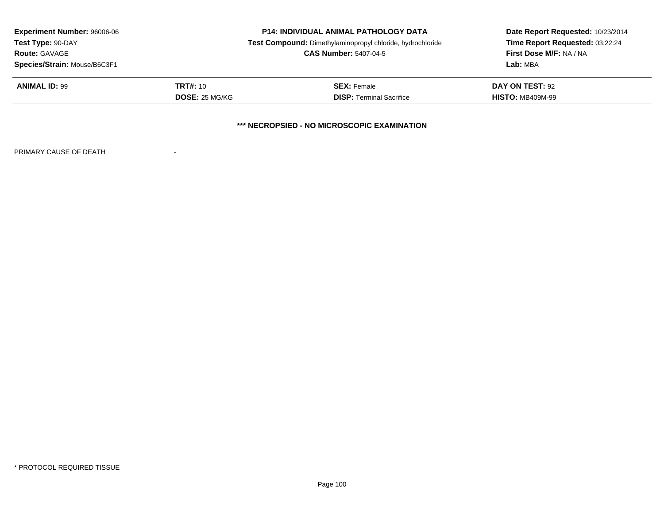| <b>Experiment Number: 96006-06</b><br>Test Type: 90-DAY<br><b>Route: GAVAGE</b> |                 | <b>P14: INDIVIDUAL ANIMAL PATHOLOGY DATA</b><br>Test Compound: Dimethylaminopropyl chloride, hydrochloride | Date Report Requested: 10/23/2014<br>Time Report Requested: 03:22:24<br>First Dose M/F: NA / NA |  |
|---------------------------------------------------------------------------------|-----------------|------------------------------------------------------------------------------------------------------------|-------------------------------------------------------------------------------------------------|--|
|                                                                                 |                 | <b>CAS Number: 5407-04-5</b>                                                                               |                                                                                                 |  |
| Species/Strain: Mouse/B6C3F1                                                    |                 |                                                                                                            | Lab: MBA                                                                                        |  |
| <b>ANIMAL ID: 99</b>                                                            | <b>TRT#:</b> 10 | <b>SEX: Female</b>                                                                                         | DAY ON TEST: 92                                                                                 |  |
|                                                                                 | DOSE: 25 MG/KG  | <b>DISP: Terminal Sacrifice</b>                                                                            | <b>HISTO: MB409M-99</b>                                                                         |  |
| <b>*** NECROPSIED - NO MICROSCOPIC EXAMINATION</b>                              |                 |                                                                                                            |                                                                                                 |  |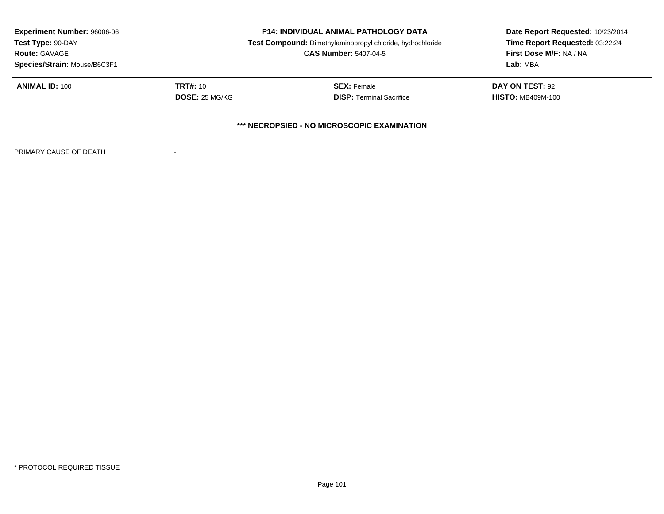| <b>Experiment Number: 96006-06</b> |                 | <b>P14: INDIVIDUAL ANIMAL PATHOLOGY DATA</b>               | Date Report Requested: 10/23/2014<br>Time Report Requested: 03:22:24 |
|------------------------------------|-----------------|------------------------------------------------------------|----------------------------------------------------------------------|
| Test Type: 90-DAY                  |                 | Test Compound: Dimethylaminopropyl chloride, hydrochloride |                                                                      |
| <b>Route: GAVAGE</b>               |                 | <b>CAS Number: 5407-04-5</b>                               | First Dose M/F: NA / NA                                              |
| Species/Strain: Mouse/B6C3F1       |                 |                                                            | Lab: MBA                                                             |
| <b>ANIMAL ID: 100</b>              | <b>TRT#:</b> 10 | <b>SEX:</b> Female                                         | DAY ON TEST: 92                                                      |
|                                    | DOSE: 25 MG/KG  | <b>DISP:</b> Terminal Sacrifice                            | <b>HISTO: MB409M-100</b>                                             |
|                                    |                 |                                                            |                                                                      |
|                                    |                 | *** NECROPSIED - NO MICROSCOPIC EXAMINATION                |                                                                      |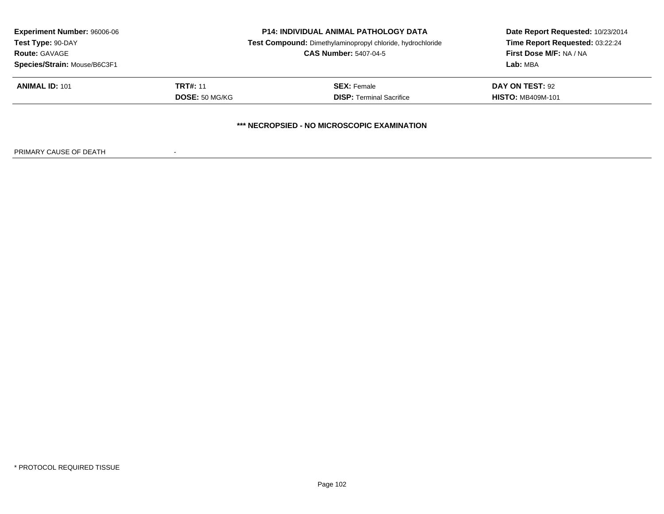| <b>Experiment Number: 96006-06</b><br>Test Type: 90-DAY<br><b>Route: GAVAGE</b> | <b>P14: INDIVIDUAL ANIMAL PATHOLOGY DATA</b><br>Test Compound: Dimethylaminopropyl chloride, hydrochloride<br><b>CAS Number: 5407-04-5</b> |                                             | Date Report Requested: 10/23/2014<br>Time Report Requested: 03:22:24<br>First Dose M/F: NA / NA<br>Lab: MBA |
|---------------------------------------------------------------------------------|--------------------------------------------------------------------------------------------------------------------------------------------|---------------------------------------------|-------------------------------------------------------------------------------------------------------------|
| Species/Strain: Mouse/B6C3F1                                                    |                                                                                                                                            |                                             |                                                                                                             |
| <b>ANIMAL ID: 101</b>                                                           | <b>TRT#: 11</b>                                                                                                                            | <b>SEX:</b> Female                          | DAY ON TEST: 92                                                                                             |
|                                                                                 | DOSE: 50 MG/KG                                                                                                                             | <b>DISP: Terminal Sacrifice</b>             | <b>HISTO: MB409M-101</b>                                                                                    |
|                                                                                 |                                                                                                                                            | *** NECROPSIED - NO MICROSCOPIC EXAMINATION |                                                                                                             |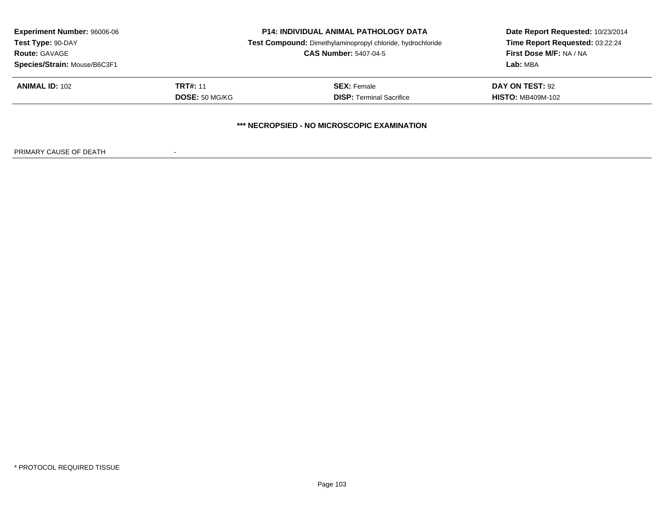| <b>Experiment Number: 96006-06</b>          |                              | <b>P14: INDIVIDUAL ANIMAL PATHOLOGY DATA</b>               | Date Report Requested: 10/23/2014 |  |
|---------------------------------------------|------------------------------|------------------------------------------------------------|-----------------------------------|--|
| Test Type: 90-DAY                           |                              | Test Compound: Dimethylaminopropyl chloride, hydrochloride | Time Report Requested: 03:22:24   |  |
| <b>Route: GAVAGE</b>                        | <b>CAS Number: 5407-04-5</b> |                                                            | First Dose M/F: NA / NA           |  |
| Species/Strain: Mouse/B6C3F1                |                              |                                                            | Lab: MBA                          |  |
| <b>ANIMAL ID: 102</b>                       | <b>TRT#: 11</b>              | <b>SEX:</b> Female                                         | DAY ON TEST: 92                   |  |
|                                             | <b>DOSE: 50 MG/KG</b>        | <b>DISP: Terminal Sacrifice</b>                            | <b>HISTO: MB409M-102</b>          |  |
| *** NECROPSIED - NO MICROSCOPIC EXAMINATION |                              |                                                            |                                   |  |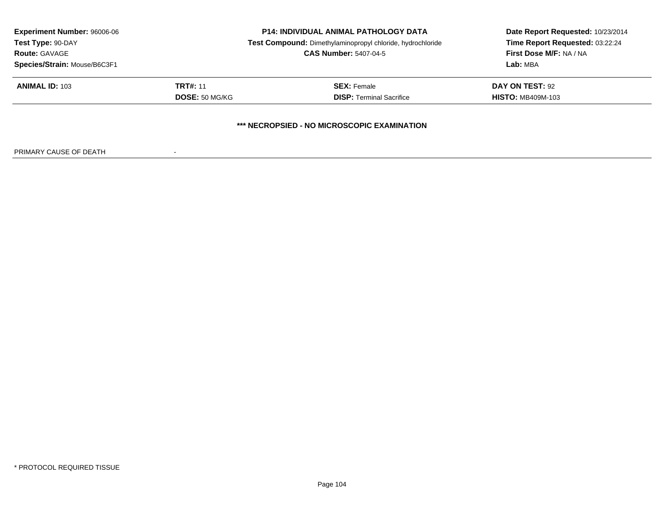| <b>Experiment Number: 96006-06</b> | <b>P14: INDIVIDUAL ANIMAL PATHOLOGY DATA</b> |                                                            | Date Report Requested: 10/23/2014 |
|------------------------------------|----------------------------------------------|------------------------------------------------------------|-----------------------------------|
| Test Type: 90-DAY                  |                                              | Test Compound: Dimethylaminopropyl chloride, hydrochloride | Time Report Requested: 03:22:24   |
| <b>Route: GAVAGE</b>               | <b>CAS Number: 5407-04-5</b>                 |                                                            | First Dose M/F: NA / NA           |
| Species/Strain: Mouse/B6C3F1       |                                              |                                                            | Lab: MBA                          |
| <b>ANIMAL ID: 103</b>              | <b>TRT#: 11</b>                              | <b>SEX:</b> Female                                         | DAY ON TEST: 92                   |
|                                    | <b>DOSE: 50 MG/KG</b>                        | <b>DISP: Terminal Sacrifice</b>                            | <b>HISTO: MB409M-103</b>          |
|                                    |                                              | *** NECROPSIED - NO MICROSCOPIC EXAMINATION                |                                   |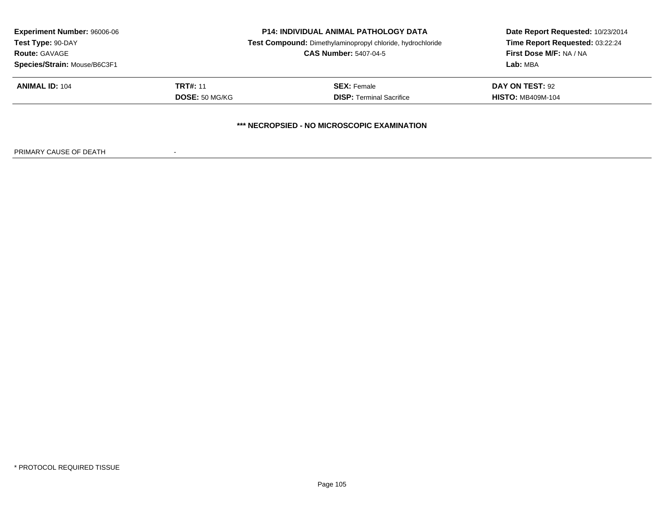| <b>Experiment Number: 96006-06</b> |                       | <b>P14: INDIVIDUAL ANIMAL PATHOLOGY DATA</b>               | Date Report Requested: 10/23/2014<br>Time Report Requested: 03:22:24 |
|------------------------------------|-----------------------|------------------------------------------------------------|----------------------------------------------------------------------|
| Test Type: 90-DAY                  |                       | Test Compound: Dimethylaminopropyl chloride, hydrochloride |                                                                      |
| <b>Route: GAVAGE</b>               |                       | <b>CAS Number: 5407-04-5</b>                               | First Dose M/F: NA / NA                                              |
| Species/Strain: Mouse/B6C3F1       |                       |                                                            | Lab: MBA                                                             |
| <b>ANIMAL ID: 104</b>              | <b>TRT#: 11</b>       | <b>SEX:</b> Female                                         | DAY ON TEST: 92                                                      |
|                                    | <b>DOSE: 50 MG/KG</b> | <b>DISP: Terminal Sacrifice</b>                            | <b>HISTO: MB409M-104</b>                                             |
|                                    |                       | *** NECROPSIED - NO MICROSCOPIC EXAMINATION                |                                                                      |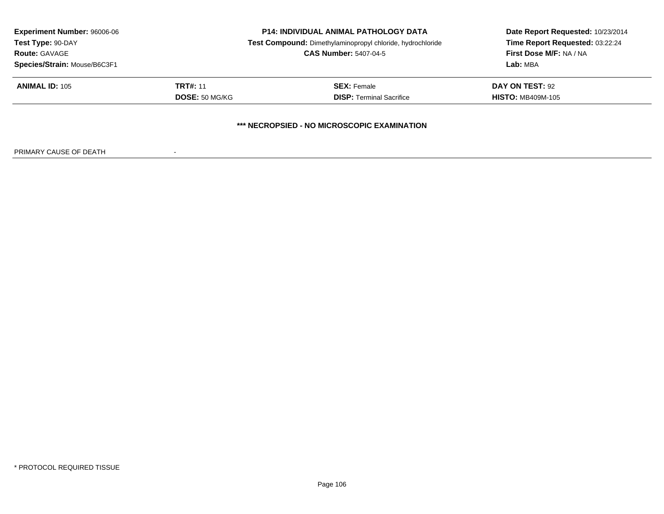| <b>Experiment Number: 96006-06</b><br>Test Type: 90-DAY<br><b>Route: GAVAGE</b><br>Species/Strain: Mouse/B6C3F1 | <b>P14: INDIVIDUAL ANIMAL PATHOLOGY DATA</b><br>Test Compound: Dimethylaminopropyl chloride, hydrochloride<br><b>CAS Number: 5407-04-5</b> |                                                       | Date Report Requested: 10/23/2014<br>Time Report Requested: 03:22:24<br>First Dose M/F: NA / NA<br>Lab: MBA |
|-----------------------------------------------------------------------------------------------------------------|--------------------------------------------------------------------------------------------------------------------------------------------|-------------------------------------------------------|-------------------------------------------------------------------------------------------------------------|
| <b>ANIMAL ID: 105</b>                                                                                           | <b>TRT#: 11</b><br><b>DOSE: 50 MG/KG</b>                                                                                                   | <b>SEX:</b> Female<br><b>DISP: Terminal Sacrifice</b> | DAY ON TEST: 92<br><b>HISTO: MB409M-105</b>                                                                 |
|                                                                                                                 |                                                                                                                                            | *** NECROPSIED - NO MICROSCOPIC EXAMINATION           |                                                                                                             |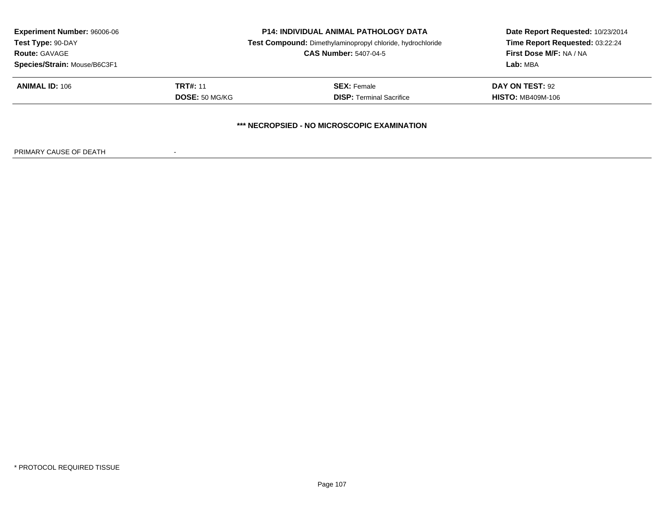| <b>Experiment Number: 96006-06</b>          |                              | <b>P14: INDIVIDUAL ANIMAL PATHOLOGY DATA</b>               | Date Report Requested: 10/23/2014 |  |
|---------------------------------------------|------------------------------|------------------------------------------------------------|-----------------------------------|--|
| Test Type: 90-DAY                           |                              | Test Compound: Dimethylaminopropyl chloride, hydrochloride | Time Report Requested: 03:22:24   |  |
| <b>Route: GAVAGE</b>                        | <b>CAS Number: 5407-04-5</b> |                                                            | First Dose M/F: NA / NA           |  |
| Species/Strain: Mouse/B6C3F1                |                              |                                                            | Lab: MBA                          |  |
| <b>ANIMAL ID: 106</b>                       | <b>TRT#: 11</b>              | <b>SEX:</b> Female                                         | DAY ON TEST: 92                   |  |
|                                             | <b>DOSE: 50 MG/KG</b>        | <b>DISP: Terminal Sacrifice</b>                            | <b>HISTO: MB409M-106</b>          |  |
| *** NECROPSIED - NO MICROSCOPIC EXAMINATION |                              |                                                            |                                   |  |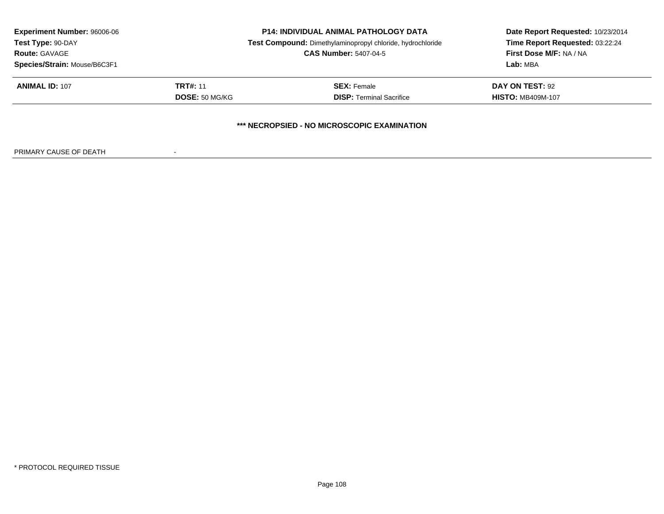| <b>Experiment Number: 96006-06</b>          |                              | <b>P14: INDIVIDUAL ANIMAL PATHOLOGY DATA</b>               | Date Report Requested: 10/23/2014<br>Time Report Requested: 03:22:24 |  |
|---------------------------------------------|------------------------------|------------------------------------------------------------|----------------------------------------------------------------------|--|
| Test Type: 90-DAY                           |                              | Test Compound: Dimethylaminopropyl chloride, hydrochloride |                                                                      |  |
| <b>Route: GAVAGE</b>                        | <b>CAS Number: 5407-04-5</b> |                                                            | First Dose M/F: NA / NA                                              |  |
| Species/Strain: Mouse/B6C3F1                |                              |                                                            | Lab: MBA                                                             |  |
| <b>ANIMAL ID: 107</b>                       | <b>TRT#: 11</b>              | <b>SEX:</b> Female                                         | DAY ON TEST: 92                                                      |  |
|                                             | <b>DOSE: 50 MG/KG</b>        | <b>DISP: Terminal Sacrifice</b>                            | <b>HISTO: MB409M-107</b>                                             |  |
| *** NECROPSIED - NO MICROSCOPIC EXAMINATION |                              |                                                            |                                                                      |  |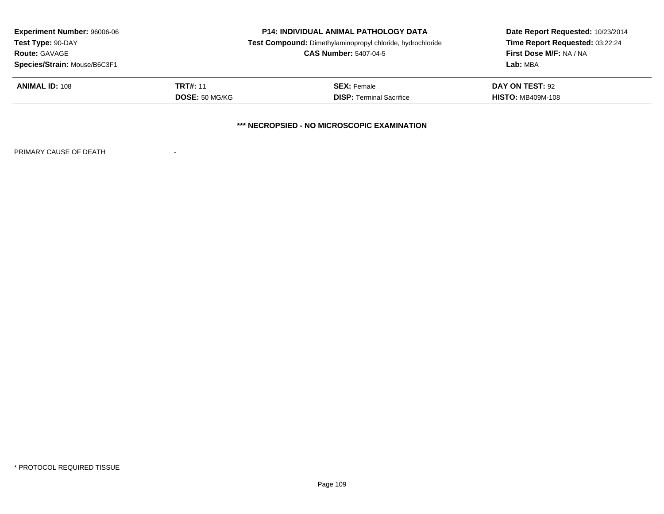| <b>Experiment Number: 96006-06</b>          |                 | <b>P14: INDIVIDUAL ANIMAL PATHOLOGY DATA</b>               | Date Report Requested: 10/23/2014 |  |  |
|---------------------------------------------|-----------------|------------------------------------------------------------|-----------------------------------|--|--|
| Test Type: 90-DAY                           |                 | Test Compound: Dimethylaminopropyl chloride, hydrochloride | Time Report Requested: 03:22:24   |  |  |
| <b>Route: GAVAGE</b>                        |                 | <b>CAS Number: 5407-04-5</b>                               | First Dose M/F: NA / NA           |  |  |
| Species/Strain: Mouse/B6C3F1                |                 |                                                            | Lab: MBA                          |  |  |
| <b>ANIMAL ID: 108</b>                       | <b>TRT#: 11</b> | <b>SEX:</b> Female                                         | DAY ON TEST: 92                   |  |  |
| <b>DOSE: 50 MG/KG</b>                       |                 | <b>DISP: Terminal Sacrifice</b>                            | <b>HISTO: MB409M-108</b>          |  |  |
| *** NECROPSIED - NO MICROSCOPIC EXAMINATION |                 |                                                            |                                   |  |  |

PRIMARY CAUSE OF DEATH-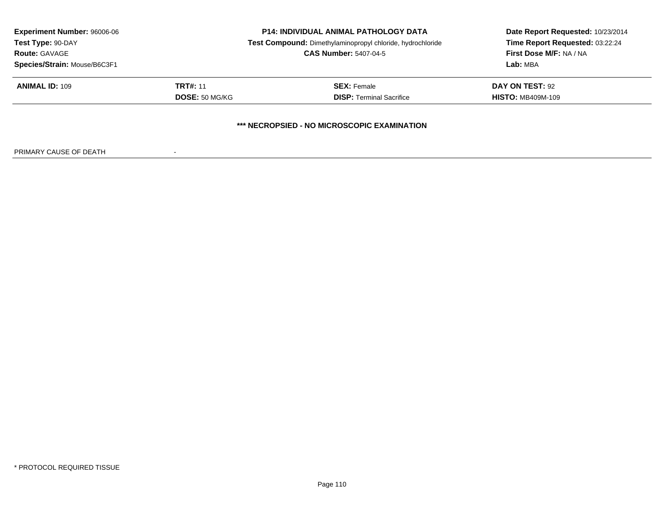| <b>Experiment Number: 96006-06</b>          |                 | <b>P14: INDIVIDUAL ANIMAL PATHOLOGY DATA</b>               | Date Report Requested: 10/23/2014 |  |  |
|---------------------------------------------|-----------------|------------------------------------------------------------|-----------------------------------|--|--|
| Test Type: 90-DAY                           |                 | Test Compound: Dimethylaminopropyl chloride, hydrochloride | Time Report Requested: 03:22:24   |  |  |
| <b>Route: GAVAGE</b>                        |                 | <b>CAS Number: 5407-04-5</b>                               | First Dose M/F: NA / NA           |  |  |
| Species/Strain: Mouse/B6C3F1                |                 |                                                            | Lab: MBA                          |  |  |
| <b>ANIMAL ID: 109</b>                       | <b>TRT#: 11</b> | <b>SEX:</b> Female                                         | DAY ON TEST: 92                   |  |  |
| <b>DOSE: 50 MG/KG</b>                       |                 | <b>DISP: Terminal Sacrifice</b>                            | <b>HISTO: MB409M-109</b>          |  |  |
| *** NECROPSIED - NO MICROSCOPIC EXAMINATION |                 |                                                            |                                   |  |  |

PRIMARY CAUSE OF DEATH-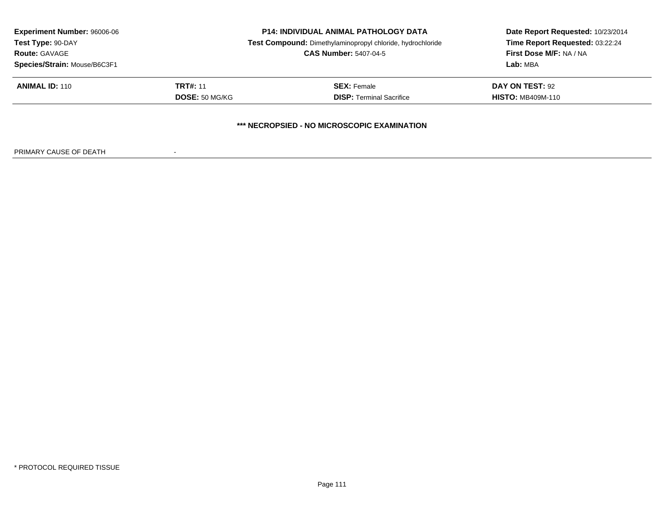| <b>Experiment Number: 96006-06</b><br><b>P14: INDIVIDUAL ANIMAL PATHOLOGY DATA</b><br>Test Compound: Dimethylaminopropyl chloride, hydrochloride<br>Test Type: 90-DAY<br><b>Route: GAVAGE</b><br><b>CAS Number: 5407-04-5</b><br>Species/Strain: Mouse/B6C3F1 |                 |                                             | Date Report Requested: 10/23/2014<br>Time Report Requested: 03:22:24 |
|---------------------------------------------------------------------------------------------------------------------------------------------------------------------------------------------------------------------------------------------------------------|-----------------|---------------------------------------------|----------------------------------------------------------------------|
|                                                                                                                                                                                                                                                               |                 |                                             |                                                                      |
|                                                                                                                                                                                                                                                               |                 |                                             | <b>First Dose M/F: NA / NA</b>                                       |
|                                                                                                                                                                                                                                                               |                 |                                             | Lab: MBA                                                             |
| <b>ANIMAL ID: 110</b>                                                                                                                                                                                                                                         | <b>TRT#: 11</b> | <b>SEX: Female</b>                          | DAY ON TEST: 92                                                      |
|                                                                                                                                                                                                                                                               | DOSE: 50 MG/KG  | <b>DISP:</b> Terminal Sacrifice             | <b>HISTO: MB409M-110</b>                                             |
|                                                                                                                                                                                                                                                               |                 | *** NECROPSIED - NO MICROSCOPIC EXAMINATION |                                                                      |

PRIMARY CAUSE OF DEATH-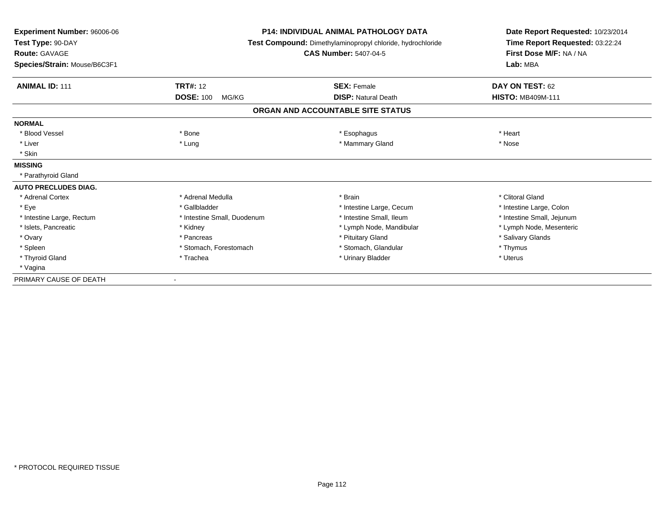| Experiment Number: 96006-06  |                                                            | <b>P14: INDIVIDUAL ANIMAL PATHOLOGY DATA</b> | Date Report Requested: 10/23/2014<br>Time Report Requested: 03:22:24 |
|------------------------------|------------------------------------------------------------|----------------------------------------------|----------------------------------------------------------------------|
| Test Type: 90-DAY            | Test Compound: Dimethylaminopropyl chloride, hydrochloride |                                              |                                                                      |
| <b>Route: GAVAGE</b>         |                                                            | <b>CAS Number: 5407-04-5</b>                 | First Dose M/F: NA / NA                                              |
| Species/Strain: Mouse/B6C3F1 |                                                            |                                              | Lab: MBA                                                             |
| <b>ANIMAL ID: 111</b>        | <b>TRT#: 12</b>                                            | <b>SEX: Female</b>                           | DAY ON TEST: 62                                                      |
|                              | <b>DOSE: 100</b><br>MG/KG                                  | <b>DISP: Natural Death</b>                   | <b>HISTO: MB409M-111</b>                                             |
|                              |                                                            | ORGAN AND ACCOUNTABLE SITE STATUS            |                                                                      |
| <b>NORMAL</b>                |                                                            |                                              |                                                                      |
| * Blood Vessel               | * Bone                                                     | * Esophagus                                  | * Heart                                                              |
| * Liver                      | * Lung                                                     | * Mammary Gland                              | * Nose                                                               |
| * Skin                       |                                                            |                                              |                                                                      |
| <b>MISSING</b>               |                                                            |                                              |                                                                      |
| * Parathyroid Gland          |                                                            |                                              |                                                                      |
| <b>AUTO PRECLUDES DIAG.</b>  |                                                            |                                              |                                                                      |
| * Adrenal Cortex             | * Adrenal Medulla                                          | * Brain                                      | * Clitoral Gland                                                     |
| * Eye                        | * Gallbladder                                              | * Intestine Large, Cecum                     | * Intestine Large, Colon                                             |
| * Intestine Large, Rectum    | * Intestine Small, Duodenum                                | * Intestine Small, Ileum                     | * Intestine Small, Jejunum                                           |
| * Islets, Pancreatic         | * Kidney                                                   | * Lymph Node, Mandibular                     | * Lymph Node, Mesenteric                                             |
| * Ovary                      | * Pancreas                                                 | * Pituitary Gland                            | * Salivary Glands                                                    |
| * Spleen                     | * Stomach, Forestomach                                     | * Stomach, Glandular                         | * Thymus                                                             |
| * Thyroid Gland              | * Trachea                                                  | * Urinary Bladder                            | * Uterus                                                             |
| * Vagina                     |                                                            |                                              |                                                                      |
| PRIMARY CAUSE OF DEATH       |                                                            |                                              |                                                                      |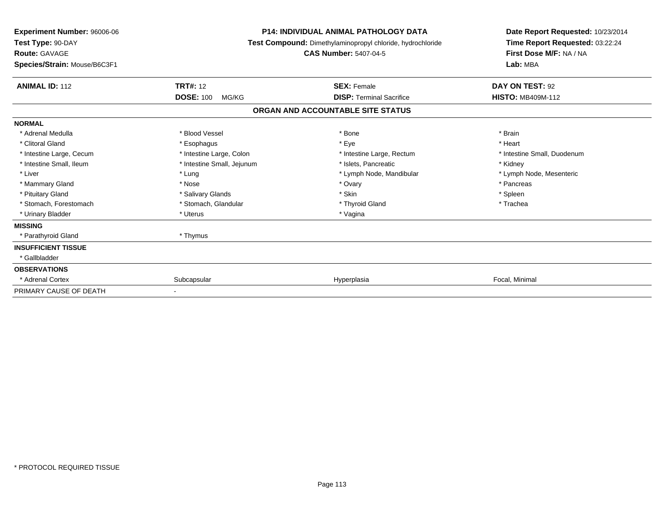| Experiment Number: 96006-06<br>Test Type: 90-DAY<br><b>Route: GAVAGE</b><br>Species/Strain: Mouse/B6C3F1 | <b>P14: INDIVIDUAL ANIMAL PATHOLOGY DATA</b><br>Test Compound: Dimethylaminopropyl chloride, hydrochloride<br><b>CAS Number: 5407-04-5</b> |                                   | Date Report Requested: 10/23/2014<br>Time Report Requested: 03:22:24<br>First Dose M/F: NA / NA<br>Lab: MBA |
|----------------------------------------------------------------------------------------------------------|--------------------------------------------------------------------------------------------------------------------------------------------|-----------------------------------|-------------------------------------------------------------------------------------------------------------|
| <b>ANIMAL ID: 112</b>                                                                                    | <b>TRT#: 12</b>                                                                                                                            | <b>SEX: Female</b>                | DAY ON TEST: 92                                                                                             |
|                                                                                                          | <b>DOSE: 100</b><br>MG/KG                                                                                                                  | <b>DISP: Terminal Sacrifice</b>   | <b>HISTO: MB409M-112</b>                                                                                    |
|                                                                                                          |                                                                                                                                            | ORGAN AND ACCOUNTABLE SITE STATUS |                                                                                                             |
| <b>NORMAL</b>                                                                                            |                                                                                                                                            |                                   |                                                                                                             |
| * Adrenal Medulla                                                                                        | * Blood Vessel                                                                                                                             | * Bone                            | * Brain                                                                                                     |
| * Clitoral Gland                                                                                         | * Esophagus                                                                                                                                | * Eye                             | * Heart                                                                                                     |
| * Intestine Large, Cecum                                                                                 | * Intestine Large, Colon                                                                                                                   | * Intestine Large, Rectum         | * Intestine Small, Duodenum                                                                                 |
| * Intestine Small, Ileum                                                                                 | * Intestine Small, Jejunum                                                                                                                 | * Islets, Pancreatic              | * Kidney                                                                                                    |
| * Liver                                                                                                  | * Lung                                                                                                                                     | * Lymph Node, Mandibular          | * Lymph Node, Mesenteric                                                                                    |
| * Mammary Gland                                                                                          | * Nose                                                                                                                                     | * Ovary                           | * Pancreas                                                                                                  |
| * Pituitary Gland                                                                                        | * Salivary Glands                                                                                                                          | * Skin                            | * Spleen                                                                                                    |
| * Stomach, Forestomach                                                                                   | * Stomach, Glandular                                                                                                                       | * Thyroid Gland                   | * Trachea                                                                                                   |
| * Urinary Bladder                                                                                        | * Uterus                                                                                                                                   | * Vagina                          |                                                                                                             |
| <b>MISSING</b>                                                                                           |                                                                                                                                            |                                   |                                                                                                             |
| * Parathyroid Gland                                                                                      | * Thymus                                                                                                                                   |                                   |                                                                                                             |
| <b>INSUFFICIENT TISSUE</b>                                                                               |                                                                                                                                            |                                   |                                                                                                             |
| * Gallbladder                                                                                            |                                                                                                                                            |                                   |                                                                                                             |
| <b>OBSERVATIONS</b>                                                                                      |                                                                                                                                            |                                   |                                                                                                             |
| * Adrenal Cortex                                                                                         | Subcapsular                                                                                                                                | Hyperplasia                       | Focal, Minimal                                                                                              |
| PRIMARY CAUSE OF DEATH                                                                                   |                                                                                                                                            |                                   |                                                                                                             |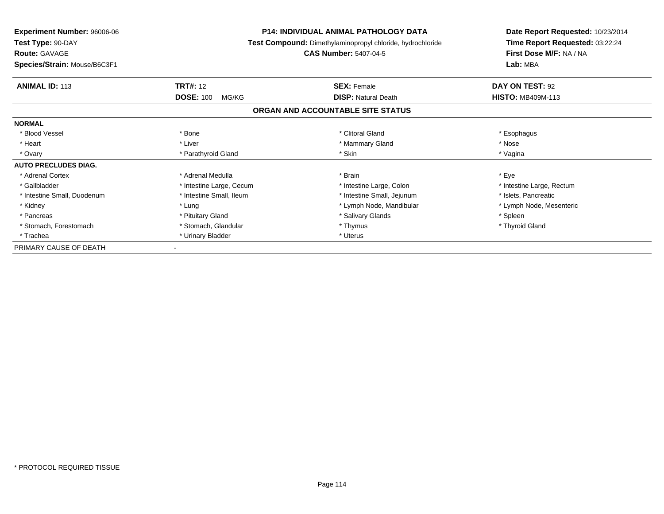| <b>Experiment Number: 96006-06</b> |                                                            | <b>P14: INDIVIDUAL ANIMAL PATHOLOGY DATA</b> | Date Report Requested: 10/23/2014 |  |
|------------------------------------|------------------------------------------------------------|----------------------------------------------|-----------------------------------|--|
| Test Type: 90-DAY                  | Test Compound: Dimethylaminopropyl chloride, hydrochloride |                                              | Time Report Requested: 03:22:24   |  |
| <b>Route: GAVAGE</b>               |                                                            | <b>CAS Number: 5407-04-5</b>                 | First Dose M/F: NA / NA           |  |
| Species/Strain: Mouse/B6C3F1       |                                                            |                                              | Lab: MBA                          |  |
| <b>ANIMAL ID: 113</b>              | <b>TRT#: 12</b>                                            | <b>SEX: Female</b>                           | DAY ON TEST: 92                   |  |
|                                    | <b>DOSE: 100</b><br>MG/KG                                  | <b>DISP:</b> Natural Death                   | <b>HISTO: MB409M-113</b>          |  |
|                                    |                                                            | ORGAN AND ACCOUNTABLE SITE STATUS            |                                   |  |
| <b>NORMAL</b>                      |                                                            |                                              |                                   |  |
| * Blood Vessel                     | * Bone                                                     | * Clitoral Gland                             | * Esophagus                       |  |
| * Heart                            | * Liver                                                    | * Mammary Gland                              | * Nose                            |  |
| * Ovary                            | * Parathyroid Gland                                        | * Skin                                       | * Vagina                          |  |
| <b>AUTO PRECLUDES DIAG.</b>        |                                                            |                                              |                                   |  |
| * Adrenal Cortex                   | * Adrenal Medulla                                          | * Brain                                      | * Eye                             |  |
| * Gallbladder                      | * Intestine Large, Cecum                                   | * Intestine Large, Colon                     | * Intestine Large, Rectum         |  |
| * Intestine Small, Duodenum        | * Intestine Small, Ileum                                   | * Intestine Small, Jejunum                   | * Islets, Pancreatic              |  |
| * Kidney                           | * Lung                                                     | * Lymph Node, Mandibular                     | * Lymph Node, Mesenteric          |  |
| * Pancreas                         | * Pituitary Gland                                          | * Salivary Glands                            | * Spleen                          |  |
| * Stomach, Forestomach             | * Stomach, Glandular                                       | * Thymus                                     | * Thyroid Gland                   |  |
| * Trachea                          | * Urinary Bladder                                          | * Uterus                                     |                                   |  |
| PRIMARY CAUSE OF DEATH             |                                                            |                                              |                                   |  |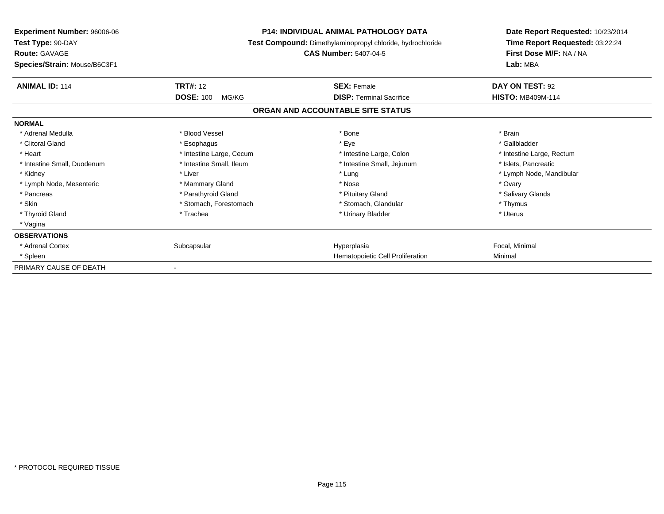| <b>Experiment Number: 96006-06</b><br>Test Type: 90-DAY<br><b>Route: GAVAGE</b><br>Species/Strain: Mouse/B6C3F1 | <b>P14: INDIVIDUAL ANIMAL PATHOLOGY DATA</b><br>Test Compound: Dimethylaminopropyl chloride, hydrochloride<br><b>CAS Number: 5407-04-5</b> |                                   | Date Report Requested: 10/23/2014<br>Time Report Requested: 03:22:24<br>First Dose M/F: NA / NA<br>Lab: MBA |
|-----------------------------------------------------------------------------------------------------------------|--------------------------------------------------------------------------------------------------------------------------------------------|-----------------------------------|-------------------------------------------------------------------------------------------------------------|
| <b>ANIMAL ID: 114</b>                                                                                           | <b>TRT#: 12</b>                                                                                                                            | <b>SEX: Female</b>                | DAY ON TEST: 92                                                                                             |
|                                                                                                                 | <b>DOSE: 100</b><br>MG/KG                                                                                                                  | <b>DISP: Terminal Sacrifice</b>   | <b>HISTO: MB409M-114</b>                                                                                    |
|                                                                                                                 |                                                                                                                                            | ORGAN AND ACCOUNTABLE SITE STATUS |                                                                                                             |
| <b>NORMAL</b>                                                                                                   |                                                                                                                                            |                                   |                                                                                                             |
| * Adrenal Medulla                                                                                               | * Blood Vessel                                                                                                                             | * Bone                            | * Brain                                                                                                     |
| * Clitoral Gland                                                                                                | * Esophagus                                                                                                                                | * Eye                             | * Gallbladder                                                                                               |
| * Heart                                                                                                         | * Intestine Large, Cecum                                                                                                                   | * Intestine Large, Colon          | * Intestine Large, Rectum                                                                                   |
| * Intestine Small, Duodenum                                                                                     | * Intestine Small. Ileum                                                                                                                   | * Intestine Small, Jejunum        | * Islets, Pancreatic                                                                                        |
| * Kidney                                                                                                        | * Liver                                                                                                                                    | * Lung                            | * Lymph Node, Mandibular                                                                                    |
| * Lymph Node, Mesenteric                                                                                        | * Mammary Gland                                                                                                                            | * Nose                            | * Ovary                                                                                                     |
| * Pancreas                                                                                                      | * Parathyroid Gland                                                                                                                        | * Pituitary Gland                 | * Salivary Glands                                                                                           |
| * Skin                                                                                                          | * Stomach, Forestomach                                                                                                                     | * Stomach, Glandular              | * Thymus                                                                                                    |
| * Thyroid Gland                                                                                                 | * Trachea                                                                                                                                  | * Urinary Bladder                 | * Uterus                                                                                                    |
| * Vagina                                                                                                        |                                                                                                                                            |                                   |                                                                                                             |
| <b>OBSERVATIONS</b>                                                                                             |                                                                                                                                            |                                   |                                                                                                             |
| * Adrenal Cortex                                                                                                | Subcapsular                                                                                                                                | Hyperplasia                       | Focal, Minimal                                                                                              |
| * Spleen                                                                                                        |                                                                                                                                            | Hematopoietic Cell Proliferation  | Minimal                                                                                                     |
| PRIMARY CAUSE OF DEATH                                                                                          |                                                                                                                                            |                                   |                                                                                                             |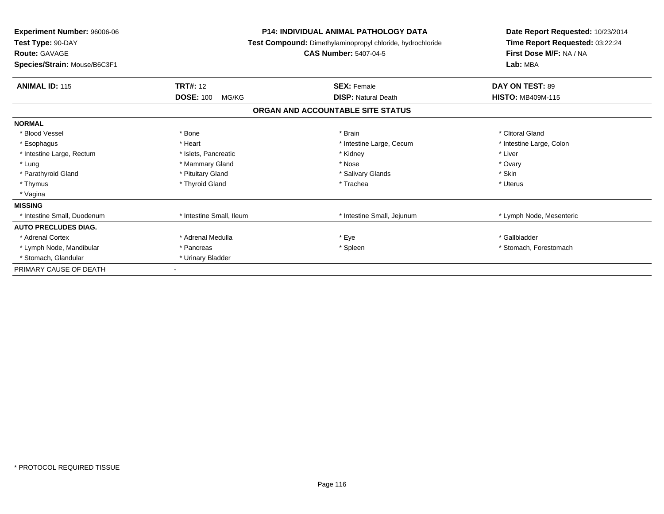| Experiment Number: 96006-06<br>Test Type: 90-DAY<br><b>Route: GAVAGE</b><br>Species/Strain: Mouse/B6C3F1 |                           | <b>P14: INDIVIDUAL ANIMAL PATHOLOGY DATA</b><br>Test Compound: Dimethylaminopropyl chloride, hydrochloride<br><b>CAS Number: 5407-04-5</b> | Date Report Requested: 10/23/2014<br>Time Report Requested: 03:22:24<br>First Dose M/F: NA / NA<br>Lab: MBA |
|----------------------------------------------------------------------------------------------------------|---------------------------|--------------------------------------------------------------------------------------------------------------------------------------------|-------------------------------------------------------------------------------------------------------------|
| <b>ANIMAL ID: 115</b>                                                                                    | <b>TRT#: 12</b>           | <b>SEX: Female</b>                                                                                                                         | DAY ON TEST: 89                                                                                             |
|                                                                                                          | <b>DOSE: 100</b><br>MG/KG | <b>DISP: Natural Death</b><br>ORGAN AND ACCOUNTABLE SITE STATUS                                                                            | <b>HISTO: MB409M-115</b>                                                                                    |
|                                                                                                          |                           |                                                                                                                                            |                                                                                                             |
| <b>NORMAL</b>                                                                                            |                           |                                                                                                                                            |                                                                                                             |
| * Blood Vessel                                                                                           | * Bone                    | * Brain                                                                                                                                    | * Clitoral Gland                                                                                            |
| * Esophagus                                                                                              | * Heart                   | * Intestine Large, Cecum                                                                                                                   | * Intestine Large, Colon                                                                                    |
| * Intestine Large, Rectum                                                                                | * Islets, Pancreatic      | * Kidney                                                                                                                                   | * Liver                                                                                                     |
| * Lung                                                                                                   | * Mammary Gland           | * Nose                                                                                                                                     | * Ovary                                                                                                     |
| * Parathyroid Gland                                                                                      | * Pituitary Gland         | * Salivary Glands                                                                                                                          | * Skin                                                                                                      |
| * Thymus                                                                                                 | * Thyroid Gland           | * Trachea                                                                                                                                  | * Uterus                                                                                                    |
| * Vagina                                                                                                 |                           |                                                                                                                                            |                                                                                                             |
| <b>MISSING</b>                                                                                           |                           |                                                                                                                                            |                                                                                                             |
| * Intestine Small, Duodenum                                                                              | * Intestine Small, Ileum  | * Intestine Small, Jejunum                                                                                                                 | * Lymph Node, Mesenteric                                                                                    |
| <b>AUTO PRECLUDES DIAG.</b>                                                                              |                           |                                                                                                                                            |                                                                                                             |
| * Adrenal Cortex                                                                                         | * Adrenal Medulla         | * Eye                                                                                                                                      | * Gallbladder                                                                                               |
| * Lymph Node, Mandibular                                                                                 | * Pancreas                | * Spleen                                                                                                                                   | * Stomach, Forestomach                                                                                      |
| * Stomach, Glandular                                                                                     | * Urinary Bladder         |                                                                                                                                            |                                                                                                             |
| PRIMARY CAUSE OF DEATH                                                                                   |                           |                                                                                                                                            |                                                                                                             |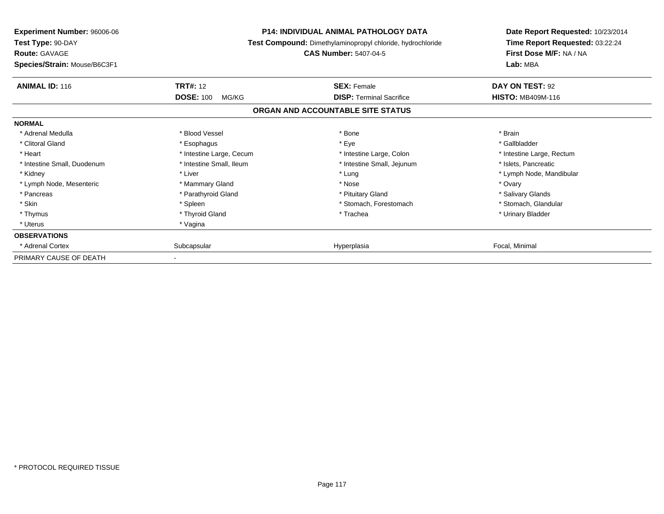| <b>Experiment Number: 96006-06</b><br>Test Type: 90-DAY<br><b>Route: GAVAGE</b><br>Species/Strain: Mouse/B6C3F1 | <b>P14: INDIVIDUAL ANIMAL PATHOLOGY DATA</b><br>Test Compound: Dimethylaminopropyl chloride, hydrochloride<br><b>CAS Number: 5407-04-5</b> |                                                       | Date Report Requested: 10/23/2014<br>Time Report Requested: 03:22:24<br>First Dose M/F: NA / NA<br>Lab: MBA |
|-----------------------------------------------------------------------------------------------------------------|--------------------------------------------------------------------------------------------------------------------------------------------|-------------------------------------------------------|-------------------------------------------------------------------------------------------------------------|
| <b>ANIMAL ID: 116</b>                                                                                           | <b>TRT#: 12</b><br><b>DOSE: 100</b><br>MG/KG                                                                                               | <b>SEX: Female</b><br><b>DISP: Terminal Sacrifice</b> | DAY ON TEST: 92<br><b>HISTO: MB409M-116</b>                                                                 |
|                                                                                                                 |                                                                                                                                            | ORGAN AND ACCOUNTABLE SITE STATUS                     |                                                                                                             |
| <b>NORMAL</b>                                                                                                   |                                                                                                                                            |                                                       |                                                                                                             |
| * Adrenal Medulla                                                                                               | * Blood Vessel                                                                                                                             | * Bone                                                | * Brain                                                                                                     |
| * Clitoral Gland                                                                                                | * Esophagus                                                                                                                                | * Eye                                                 | * Gallbladder                                                                                               |
| * Heart                                                                                                         | * Intestine Large, Cecum                                                                                                                   | * Intestine Large, Colon                              | * Intestine Large, Rectum                                                                                   |
| * Intestine Small, Duodenum                                                                                     | * Intestine Small, Ileum                                                                                                                   | * Intestine Small, Jejunum                            | * Islets, Pancreatic                                                                                        |
| * Kidney                                                                                                        | * Liver                                                                                                                                    | * Lung                                                | * Lymph Node, Mandibular                                                                                    |
| * Lymph Node, Mesenteric                                                                                        | * Mammary Gland                                                                                                                            | * Nose                                                | * Ovary                                                                                                     |
| * Pancreas                                                                                                      | * Parathyroid Gland                                                                                                                        | * Pituitary Gland                                     | * Salivary Glands                                                                                           |
| * Skin                                                                                                          | * Spleen                                                                                                                                   | * Stomach, Forestomach                                | * Stomach. Glandular                                                                                        |
| * Thymus                                                                                                        | * Thyroid Gland                                                                                                                            | * Trachea                                             | * Urinary Bladder                                                                                           |
| * Uterus                                                                                                        | * Vagina                                                                                                                                   |                                                       |                                                                                                             |
| <b>OBSERVATIONS</b>                                                                                             |                                                                                                                                            |                                                       |                                                                                                             |
| * Adrenal Cortex                                                                                                | Subcapsular                                                                                                                                | Hyperplasia                                           | Focal, Minimal                                                                                              |
| PRIMARY CAUSE OF DEATH                                                                                          |                                                                                                                                            |                                                       |                                                                                                             |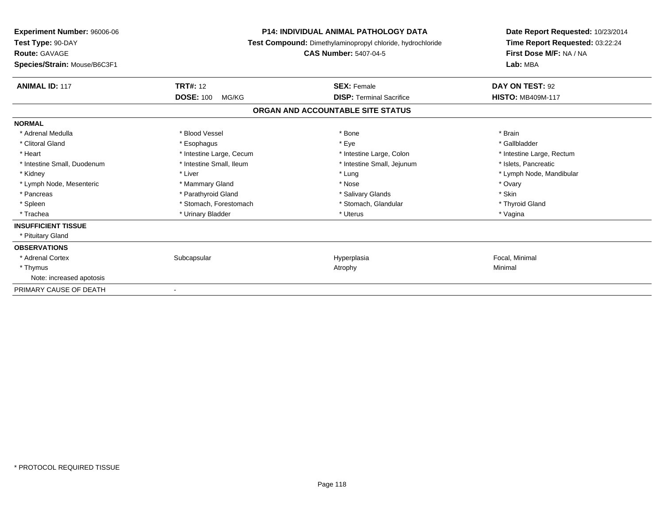| <b>Experiment Number: 96006-06</b><br>Test Type: 90-DAY<br><b>Route: GAVAGE</b><br>Species/Strain: Mouse/B6C3F1 |                           | <b>P14: INDIVIDUAL ANIMAL PATHOLOGY DATA</b><br>Test Compound: Dimethylaminopropyl chloride, hydrochloride<br><b>CAS Number: 5407-04-5</b> | Date Report Requested: 10/23/2014<br>Time Report Requested: 03:22:24<br>First Dose M/F: NA / NA<br>Lab: MBA |
|-----------------------------------------------------------------------------------------------------------------|---------------------------|--------------------------------------------------------------------------------------------------------------------------------------------|-------------------------------------------------------------------------------------------------------------|
| <b>ANIMAL ID: 117</b>                                                                                           | <b>TRT#: 12</b>           | <b>SEX: Female</b>                                                                                                                         | DAY ON TEST: 92                                                                                             |
|                                                                                                                 | <b>DOSE: 100</b><br>MG/KG | <b>DISP: Terminal Sacrifice</b>                                                                                                            | <b>HISTO: MB409M-117</b>                                                                                    |
|                                                                                                                 |                           | ORGAN AND ACCOUNTABLE SITE STATUS                                                                                                          |                                                                                                             |
| <b>NORMAL</b>                                                                                                   |                           |                                                                                                                                            |                                                                                                             |
| * Adrenal Medulla                                                                                               | * Blood Vessel            | * Bone                                                                                                                                     | * Brain                                                                                                     |
| * Clitoral Gland                                                                                                | * Esophagus               | * Eye                                                                                                                                      | * Gallbladder                                                                                               |
| * Heart                                                                                                         | * Intestine Large, Cecum  | * Intestine Large, Colon                                                                                                                   | * Intestine Large, Rectum                                                                                   |
| * Intestine Small, Duodenum                                                                                     | * Intestine Small, Ileum  | * Intestine Small, Jejunum                                                                                                                 | * Islets. Pancreatic                                                                                        |
| * Kidney                                                                                                        | * Liver                   | * Lung                                                                                                                                     | * Lymph Node, Mandibular                                                                                    |
| * Lymph Node, Mesenteric                                                                                        | * Mammary Gland           | * Nose                                                                                                                                     | * Ovary                                                                                                     |
| * Pancreas                                                                                                      | * Parathyroid Gland       | * Salivary Glands                                                                                                                          | * Skin                                                                                                      |
| * Spleen                                                                                                        | * Stomach, Forestomach    | * Stomach, Glandular                                                                                                                       | * Thyroid Gland                                                                                             |
| * Trachea                                                                                                       | * Urinary Bladder         | * Uterus                                                                                                                                   | * Vagina                                                                                                    |
| <b>INSUFFICIENT TISSUE</b>                                                                                      |                           |                                                                                                                                            |                                                                                                             |
| * Pituitary Gland                                                                                               |                           |                                                                                                                                            |                                                                                                             |
| <b>OBSERVATIONS</b>                                                                                             |                           |                                                                                                                                            |                                                                                                             |
| * Adrenal Cortex                                                                                                | Subcapsular               | Hyperplasia                                                                                                                                | Focal, Minimal                                                                                              |
| * Thymus                                                                                                        |                           | Atrophy                                                                                                                                    | Minimal                                                                                                     |
| Note: increased apotosis                                                                                        |                           |                                                                                                                                            |                                                                                                             |
| PRIMARY CAUSE OF DEATH                                                                                          |                           |                                                                                                                                            |                                                                                                             |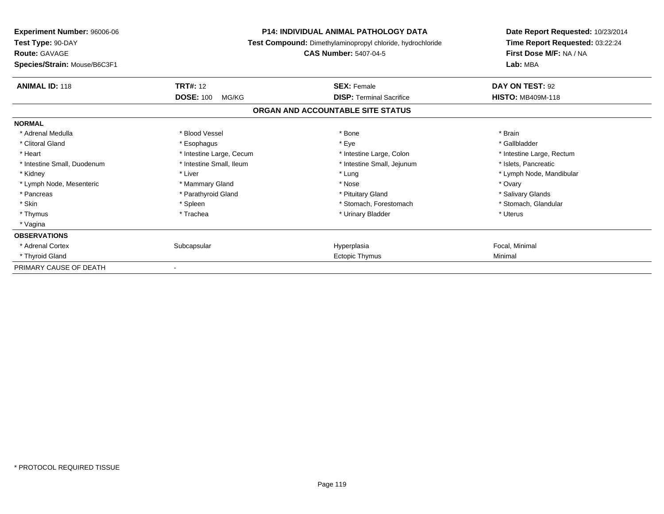| <b>Experiment Number: 96006-06</b><br>Test Type: 90-DAY<br><b>Route: GAVAGE</b><br>Species/Strain: Mouse/B6C3F1 | <b>P14: INDIVIDUAL ANIMAL PATHOLOGY DATA</b><br>Test Compound: Dimethylaminopropyl chloride, hydrochloride<br><b>CAS Number: 5407-04-5</b> |                                   | Date Report Requested: 10/23/2014<br>Time Report Requested: 03:22:24<br>First Dose M/F: NA / NA<br>Lab: MBA |
|-----------------------------------------------------------------------------------------------------------------|--------------------------------------------------------------------------------------------------------------------------------------------|-----------------------------------|-------------------------------------------------------------------------------------------------------------|
| <b>ANIMAL ID: 118</b>                                                                                           | <b>TRT#: 12</b>                                                                                                                            | <b>SEX: Female</b>                | DAY ON TEST: 92                                                                                             |
|                                                                                                                 | <b>DOSE: 100</b><br>MG/KG                                                                                                                  | <b>DISP: Terminal Sacrifice</b>   | <b>HISTO: MB409M-118</b>                                                                                    |
|                                                                                                                 |                                                                                                                                            | ORGAN AND ACCOUNTABLE SITE STATUS |                                                                                                             |
| <b>NORMAL</b>                                                                                                   |                                                                                                                                            |                                   |                                                                                                             |
| * Adrenal Medulla                                                                                               | * Blood Vessel                                                                                                                             | * Bone                            | * Brain                                                                                                     |
| * Clitoral Gland                                                                                                | * Esophagus                                                                                                                                | * Eye                             | * Gallbladder                                                                                               |
| * Heart                                                                                                         | * Intestine Large, Cecum                                                                                                                   | * Intestine Large, Colon          | * Intestine Large, Rectum                                                                                   |
| * Intestine Small, Duodenum                                                                                     | * Intestine Small, Ileum                                                                                                                   | * Intestine Small, Jejunum        | * Islets, Pancreatic                                                                                        |
| * Kidney                                                                                                        | * Liver                                                                                                                                    | * Lung                            | * Lymph Node, Mandibular                                                                                    |
| * Lymph Node, Mesenteric                                                                                        | * Mammary Gland                                                                                                                            | * Nose                            | * Ovary                                                                                                     |
| * Pancreas                                                                                                      | * Parathyroid Gland                                                                                                                        | * Pituitary Gland                 | * Salivary Glands                                                                                           |
| * Skin                                                                                                          | * Spleen                                                                                                                                   | * Stomach. Forestomach            | * Stomach. Glandular                                                                                        |
| * Thymus                                                                                                        | * Trachea                                                                                                                                  | * Urinary Bladder                 | * Uterus                                                                                                    |
| * Vagina                                                                                                        |                                                                                                                                            |                                   |                                                                                                             |
| <b>OBSERVATIONS</b>                                                                                             |                                                                                                                                            |                                   |                                                                                                             |
| * Adrenal Cortex                                                                                                | Subcapsular                                                                                                                                | Hyperplasia                       | Focal, Minimal                                                                                              |
| * Thyroid Gland                                                                                                 |                                                                                                                                            | Ectopic Thymus                    | Minimal                                                                                                     |
| PRIMARY CAUSE OF DEATH                                                                                          |                                                                                                                                            |                                   |                                                                                                             |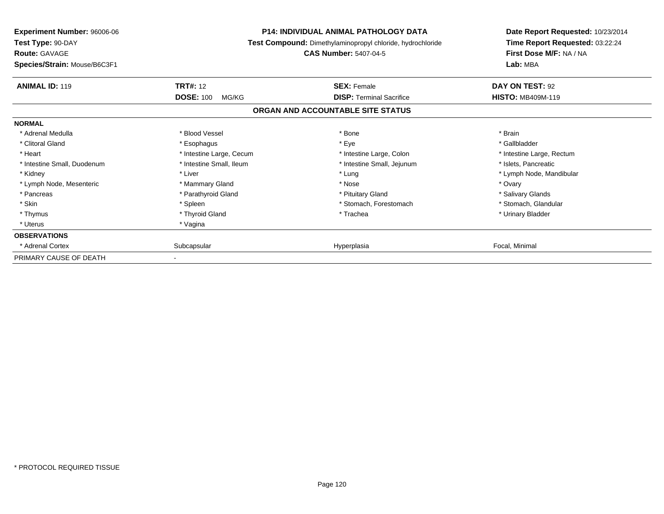| <b>Experiment Number: 96006-06</b><br>Test Type: 90-DAY<br><b>Route: GAVAGE</b><br>Species/Strain: Mouse/B6C3F1 | <b>P14: INDIVIDUAL ANIMAL PATHOLOGY DATA</b><br>Test Compound: Dimethylaminopropyl chloride, hydrochloride<br><b>CAS Number: 5407-04-5</b> |                                                       | Date Report Requested: 10/23/2014<br>Time Report Requested: 03:22:24<br>First Dose M/F: NA / NA<br>Lab: MBA |
|-----------------------------------------------------------------------------------------------------------------|--------------------------------------------------------------------------------------------------------------------------------------------|-------------------------------------------------------|-------------------------------------------------------------------------------------------------------------|
| <b>ANIMAL ID: 119</b>                                                                                           | <b>TRT#: 12</b><br><b>DOSE: 100</b><br>MG/KG                                                                                               | <b>SEX: Female</b><br><b>DISP: Terminal Sacrifice</b> | DAY ON TEST: 92<br><b>HISTO: MB409M-119</b>                                                                 |
|                                                                                                                 |                                                                                                                                            | ORGAN AND ACCOUNTABLE SITE STATUS                     |                                                                                                             |
| <b>NORMAL</b>                                                                                                   |                                                                                                                                            |                                                       |                                                                                                             |
| * Adrenal Medulla                                                                                               | * Blood Vessel                                                                                                                             | * Bone                                                | * Brain                                                                                                     |
| * Clitoral Gland                                                                                                | * Esophagus                                                                                                                                | * Eye                                                 | * Gallbladder                                                                                               |
| * Heart                                                                                                         | * Intestine Large, Cecum                                                                                                                   | * Intestine Large, Colon                              | * Intestine Large, Rectum                                                                                   |
| * Intestine Small, Duodenum                                                                                     | * Intestine Small, Ileum                                                                                                                   | * Intestine Small, Jejunum                            | * Islets, Pancreatic                                                                                        |
| * Kidney                                                                                                        | * Liver                                                                                                                                    | * Lung                                                | * Lymph Node, Mandibular                                                                                    |
| * Lymph Node, Mesenteric                                                                                        | * Mammary Gland                                                                                                                            | * Nose                                                | * Ovary                                                                                                     |
| * Pancreas                                                                                                      | * Parathyroid Gland                                                                                                                        | * Pituitary Gland                                     | * Salivary Glands                                                                                           |
| * Skin                                                                                                          | * Spleen                                                                                                                                   | * Stomach, Forestomach                                | * Stomach. Glandular                                                                                        |
| * Thymus                                                                                                        | * Thyroid Gland                                                                                                                            | * Trachea                                             | * Urinary Bladder                                                                                           |
| * Uterus                                                                                                        | * Vagina                                                                                                                                   |                                                       |                                                                                                             |
| <b>OBSERVATIONS</b>                                                                                             |                                                                                                                                            |                                                       |                                                                                                             |
| * Adrenal Cortex                                                                                                | Subcapsular                                                                                                                                | Hyperplasia                                           | Focal, Minimal                                                                                              |
| PRIMARY CAUSE OF DEATH                                                                                          |                                                                                                                                            |                                                       |                                                                                                             |